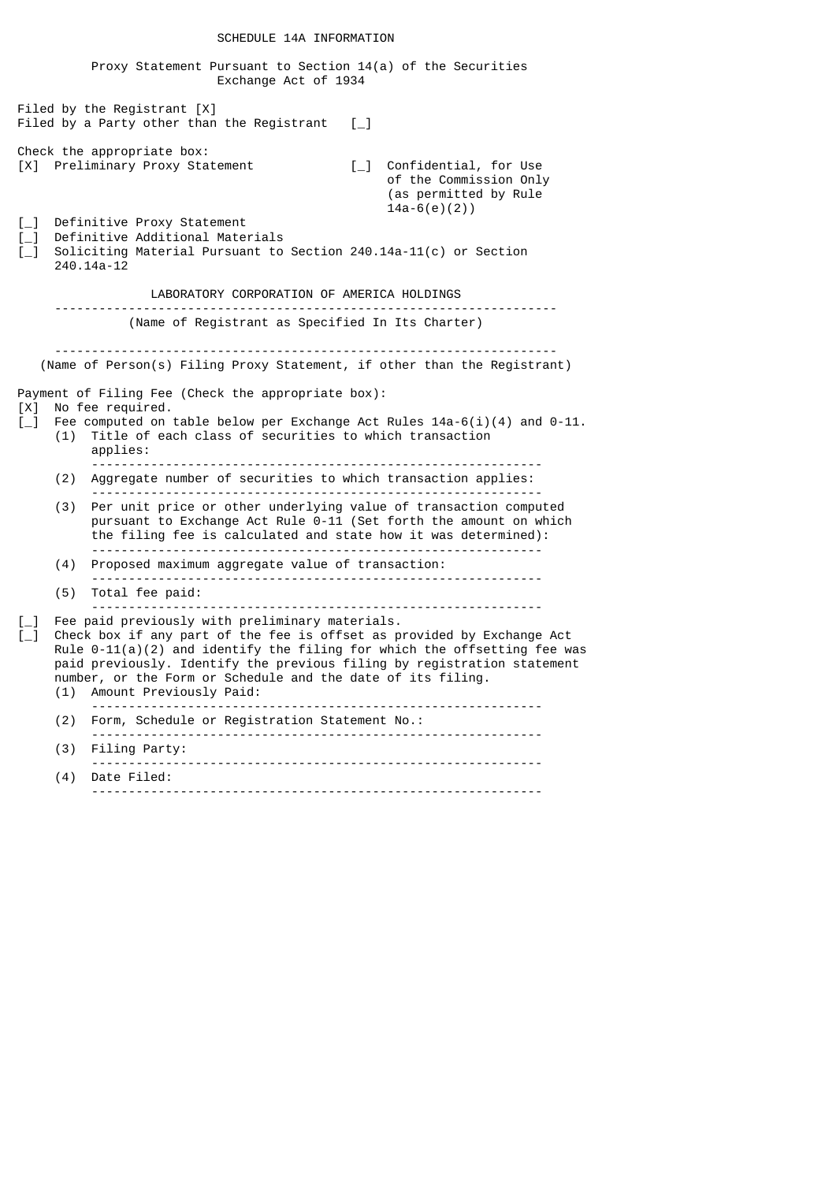|                                                                                                         |     | Proxy Statement Pursuant to Section $14(a)$ of the Securities<br>Exchange Act of 1934                                                                                                                                                                                                                                                                                        |                                                                                               |
|---------------------------------------------------------------------------------------------------------|-----|------------------------------------------------------------------------------------------------------------------------------------------------------------------------------------------------------------------------------------------------------------------------------------------------------------------------------------------------------------------------------|-----------------------------------------------------------------------------------------------|
|                                                                                                         |     | Filed by the Registrant $[X]$<br>Filed by a Party other than the Registrant $\lceil \_ \rceil$                                                                                                                                                                                                                                                                               |                                                                                               |
|                                                                                                         |     | Check the appropriate box:<br>[X] Preliminary Proxy Statement                                                                                                                                                                                                                                                                                                                | [_] Confidential, for Use<br>of the Commission Only<br>(as permitted by Rule<br>$14a-6(e)(2)$ |
| $[-]$<br>$\left[\begin{matrix} -1 \end{matrix}\right]$<br>$\left[\begin{matrix} -1 \end{matrix}\right]$ |     | Definitive Proxy Statement<br>Definitive Additional Materials<br>Soliciting Material Pursuant to Section 240.14a-11(c) or Section<br>240.14a-12                                                                                                                                                                                                                              |                                                                                               |
|                                                                                                         |     | LABORATORY CORPORATION OF AMERICA HOLDINGS                                                                                                                                                                                                                                                                                                                                   |                                                                                               |
|                                                                                                         |     | (Name of Registrant as Specified In Its Charter)                                                                                                                                                                                                                                                                                                                             |                                                                                               |
|                                                                                                         |     | (Name of Person(s) Filing Proxy Statement, if other than the Registrant)                                                                                                                                                                                                                                                                                                     |                                                                                               |
| [X]<br>$\sqrt{1}$                                                                                       |     | Payment of Filing Fee (Check the appropriate box):<br>No fee required.<br>Fee computed on table below per Exchange Act Rules $14a-6(i)(4)$ and 0-11.<br>(1) Title of each class of securities to which transaction<br>applies:                                                                                                                                               |                                                                                               |
|                                                                                                         | (2) | Aggregate number of securities to which transaction applies:                                                                                                                                                                                                                                                                                                                 |                                                                                               |
|                                                                                                         | (3) | Per unit price or other underlying value of transaction computed<br>pursuant to Exchange Act Rule 0-11 (Set forth the amount on which<br>the filing fee is calculated and state how it was determined):                                                                                                                                                                      |                                                                                               |
|                                                                                                         | (4) | Proposed maximum aggregate value of transaction:                                                                                                                                                                                                                                                                                                                             |                                                                                               |
|                                                                                                         | (5) | Total fee paid:                                                                                                                                                                                                                                                                                                                                                              |                                                                                               |
| $[-]$<br>$L_{-}$                                                                                        | (1) | Fee paid previously with preliminary materials.<br>Check box if any part of the fee is offset as provided by Exchange Act<br>Rule $0-11(a)(2)$ and identify the filing for which the offsetting fee was<br>paid previously. Identify the previous filing by registration statement<br>number, or the Form or Schedule and the date of its filing.<br>Amount Previously Paid: |                                                                                               |
|                                                                                                         | (2) | Form, Schedule or Registration Statement No.:                                                                                                                                                                                                                                                                                                                                |                                                                                               |
|                                                                                                         | (3) | Filing Party:                                                                                                                                                                                                                                                                                                                                                                |                                                                                               |
|                                                                                                         | (4) | Date Filed:                                                                                                                                                                                                                                                                                                                                                                  |                                                                                               |
|                                                                                                         |     |                                                                                                                                                                                                                                                                                                                                                                              |                                                                                               |

# SCHEDULE 14A INFORMATION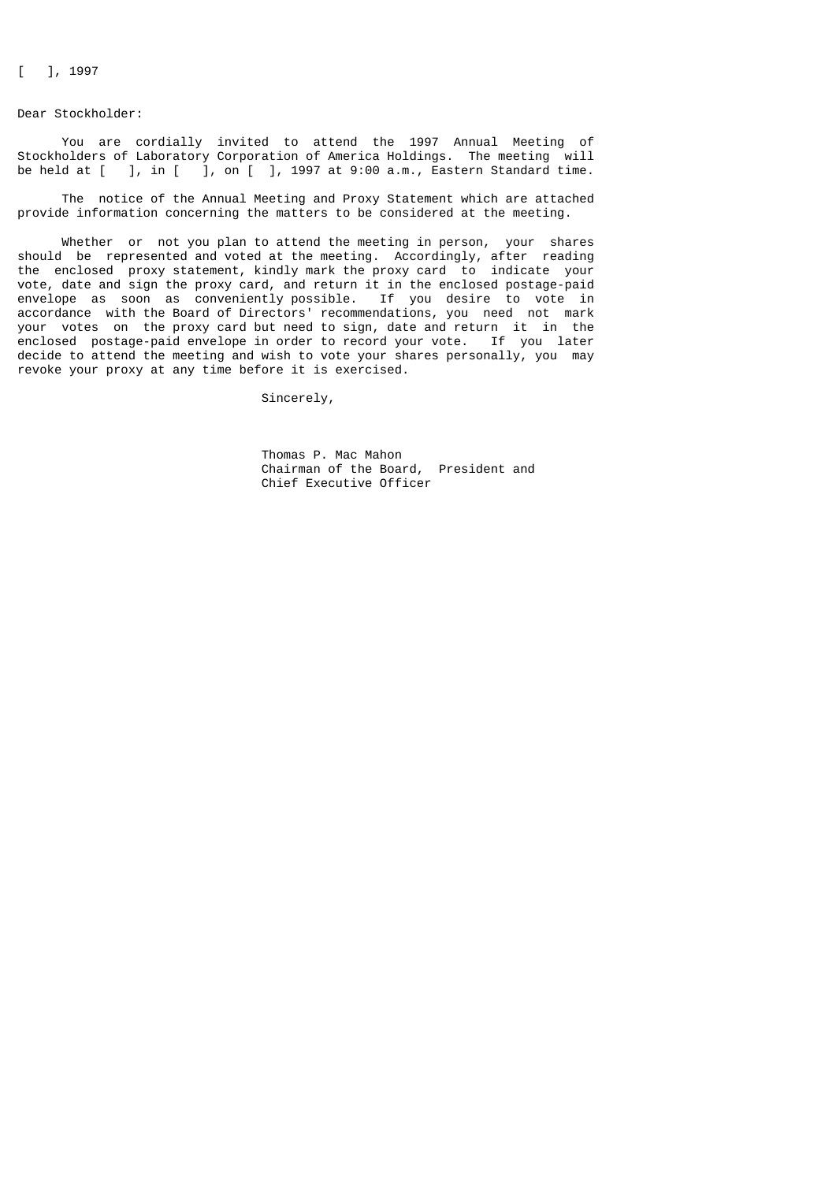[ ], 1997

Dear Stockholder:

 You are cordially invited to attend the 1997 Annual Meeting of Stockholders of Laboratory Corporation of America Holdings. The meeting will be held at  $\begin{bmatrix} 1, 1 \\ 1, 0 \end{bmatrix}$ , on  $\begin{bmatrix} 1, 1997 \text{ at } 9:00 \text{ a.m.} \\ 1, 1997 \text{ at } 9:00 \end{bmatrix}$  Eastern Standard time.

 The notice of the Annual Meeting and Proxy Statement which are attached provide information concerning the matters to be considered at the meeting.

 Whether or not you plan to attend the meeting in person, your shares should be represented and voted at the meeting. Accordingly, after reading the enclosed proxy statement, kindly mark the proxy card to indicate your vote, date and sign the proxy card, and return it in the enclosed postage-paid envelope as soon as conveniently possible. If you desire to vote in accordance with the Board of Directors' recommendations, you need not mark your votes on the proxy card but need to sign, date and return it in the enclosed postage-paid envelope in order to record your vote. If you later decide to attend the meeting and wish to vote your shares personally, you may revoke your proxy at any time before it is exercised.

Sincerely,

 Thomas P. Mac Mahon Chairman of the Board, President and Chief Executive Officer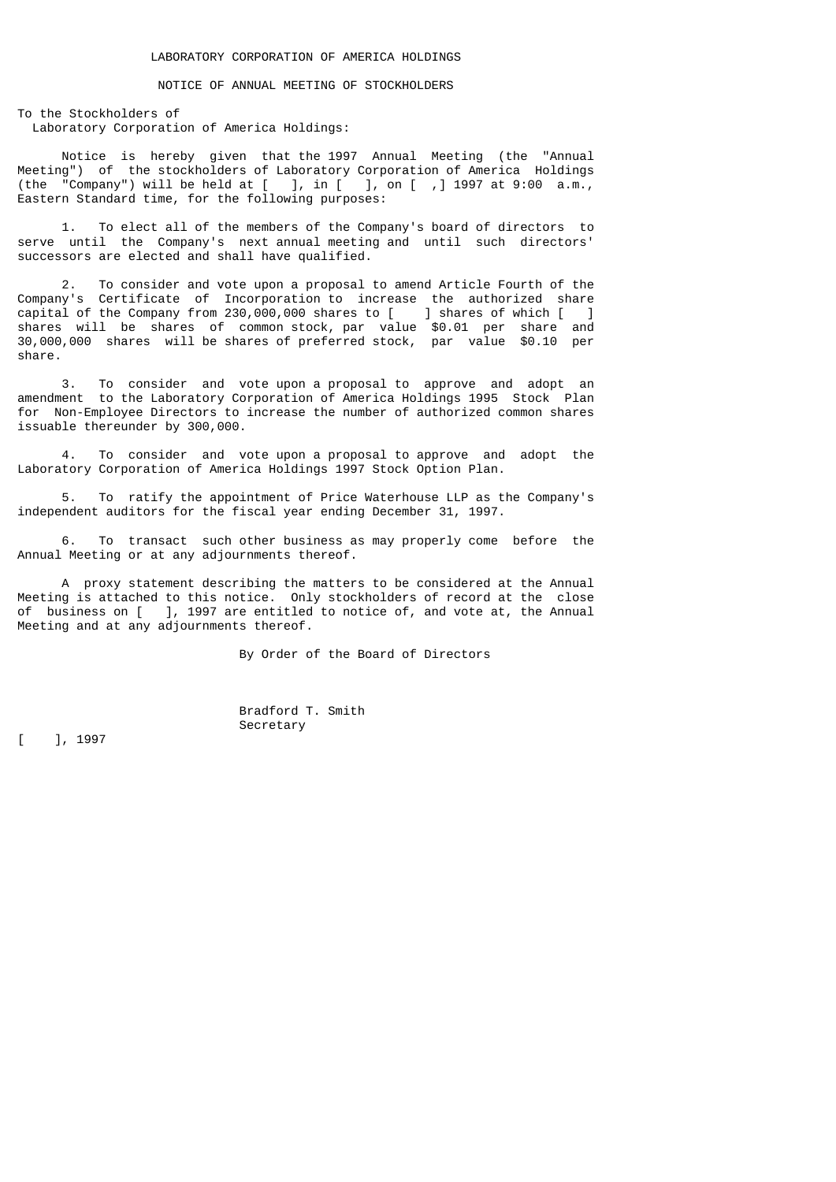# NOTICE OF ANNUAL MEETING OF STOCKHOLDERS

To the Stockholders of Laboratory Corporation of America Holdings:

 Notice is hereby given that the 1997 Annual Meeting (the "Annual Meeting") of the stockholders of Laboratory Corporation of America Holdings (the "Company") will be held at [ ], in [ ], on [ ,] 1997 at 9:00 a.m., Eastern Standard time, for the following purposes:

 1. To elect all of the members of the Company's board of directors to serve until the Company's next annual meeting and until such directors' successors are elected and shall have qualified.

 2. To consider and vote upon a proposal to amend Article Fourth of the Company's Certificate of Incorporation to increase the authorized share capital of the Company from 230,000,000 shares to [ ] shares of which [ ] shares will be shares of common stock, par value \$0.01 per share and 30,000,000 shares will be shares of preferred stock, par value \$0.10 per share.

 3. To consider and vote upon a proposal to approve and adopt an amendment to the Laboratory Corporation of America Holdings 1995 Stock Plan for Non-Employee Directors to increase the number of authorized common shares issuable thereunder by 300,000.

 4. To consider and vote upon a proposal to approve and adopt the Laboratory Corporation of America Holdings 1997 Stock Option Plan.

 5. To ratify the appointment of Price Waterhouse LLP as the Company's independent auditors for the fiscal year ending December 31, 1997.

 6. To transact such other business as may properly come before the Annual Meeting or at any adjournments thereof.

 A proxy statement describing the matters to be considered at the Annual Meeting is attached to this notice. Only stockholders of record at the close of business on [ ], 1997 are entitled to notice of, and vote at, the Annual Meeting and at any adjournments thereof.

By Order of the Board of Directors

Bradford T. Smith

Secretary<br>
[ ], 1997 Secretary [ ], 1997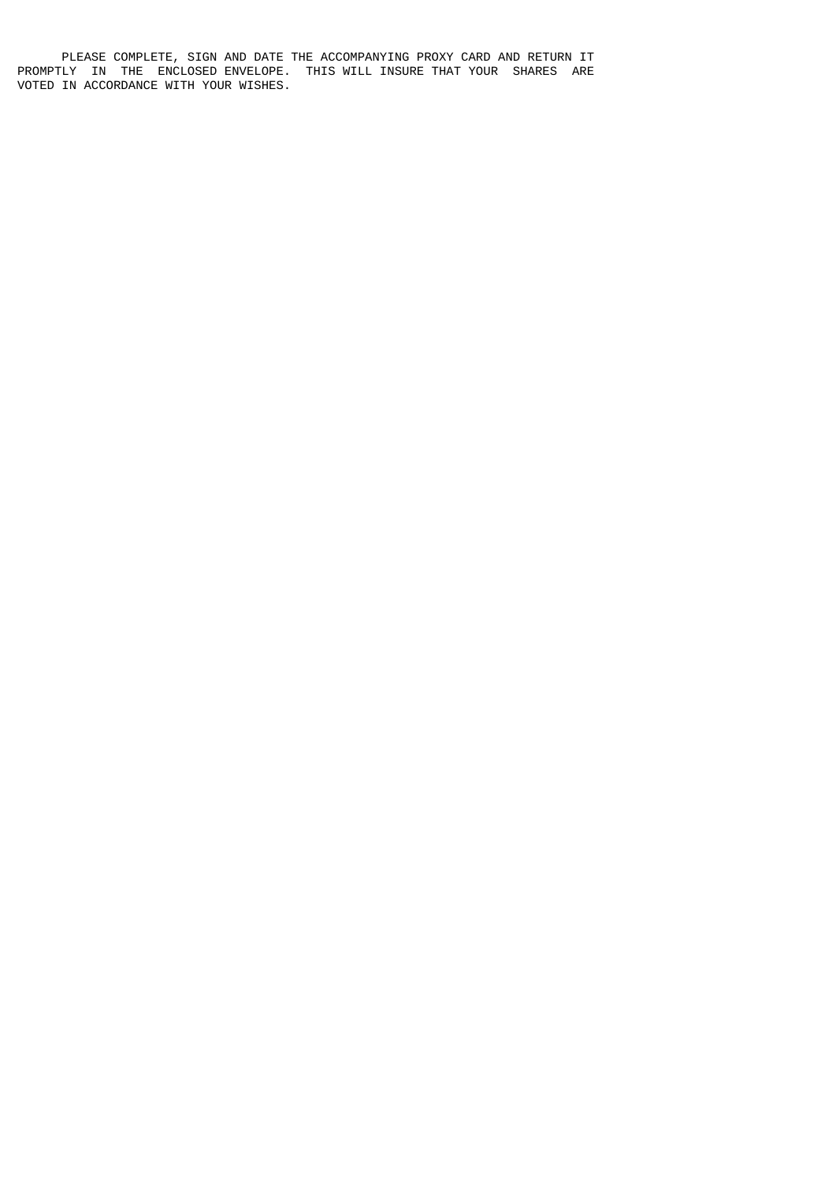PLEASE COMPLETE, SIGN AND DATE THE ACCOMPANYING PROXY CARD AND RETURN IT PROMPTLY IN THE ENCLOSED ENVELOPE. THIS WILL INSURE THAT YOUR SHARES ARE VOTED IN ACCORDANCE WITH YOUR WISHES.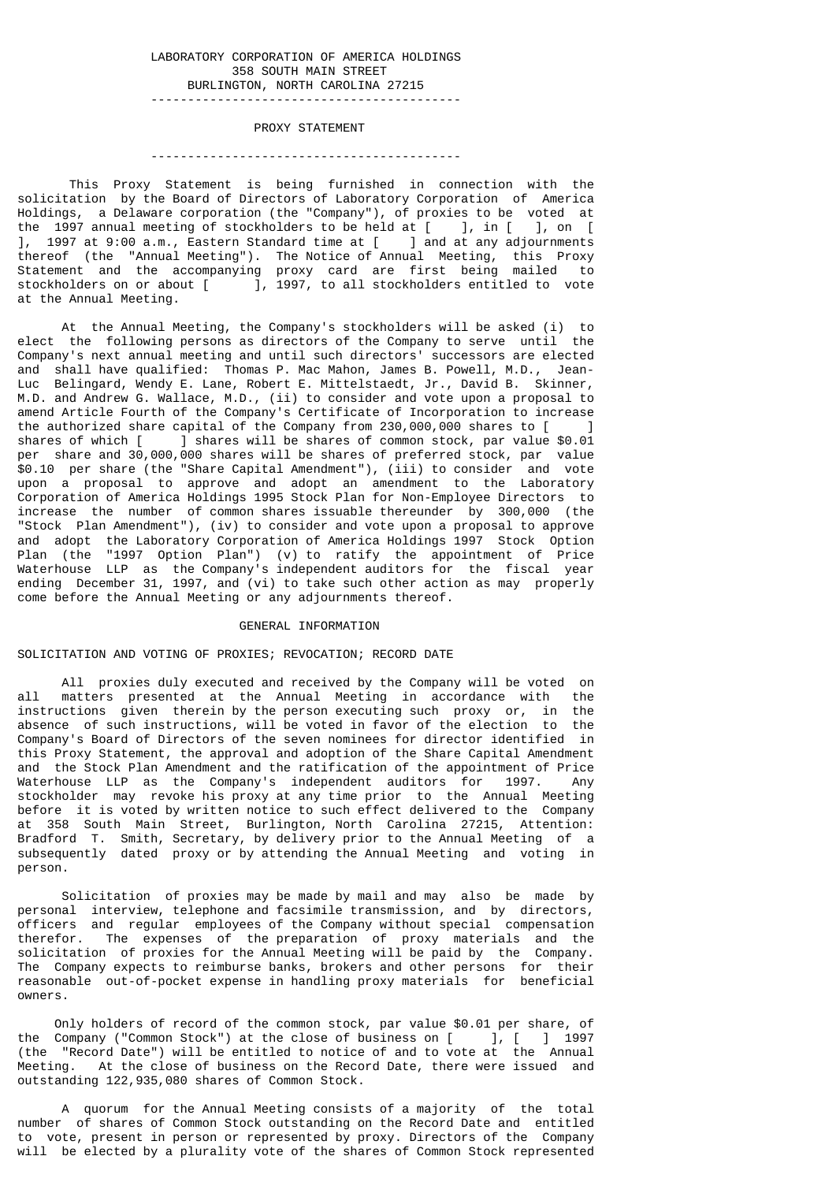# LABORATORY CORPORATION OF AMERICA HOLDINGS 358 SOUTH MAIN STREET BURLINGTON, NORTH CAROLINA 27215

------------------------------------------

#### PROXY STATEMENT

#### ------------------------------------------

 This Proxy Statement is being furnished in connection with the solicitation by the Board of Directors of Laboratory Corporation of America Holdings, a Delaware corporation (the "Company"), of proxies to be voted at the 1997 annual meeting of stockholders to be held at [ ], in [ ], on [ ], 1997 at 9:00 a.m., Eastern Standard time at [ ] and at any adjournments thereof (the "Annual Meeting"). The Notice of Annual Meeting, this Proxy Statement and the accompanying proxy card are first being mailed to stockholders on or about [ ], 1997, to all stockholders entitled to vote at the Annual Meeting.

 At the Annual Meeting, the Company's stockholders will be asked (i) to elect the following persons as directors of the Company to serve until the Company's next annual meeting and until such directors' successors are elected and shall have qualified: Thomas P. Mac Mahon, James B. Powell, M.D., Jean-Luc Belingard, Wendy E. Lane, Robert E. Mittelstaedt, Jr., David B. Skinner, M.D. and Andrew G. Wallace, M.D., (ii) to consider and vote upon a proposal to amend Article Fourth of the Company's Certificate of Incorporation to increase the authorized share capital of the Company from 230,000,000 shares to [ ]<br>shares of which [ ] shares will be shares of common stock, par value \$0.01 ] shares will be shares of common stock, par value \$0.01 per share and 30,000,000 shares will be shares of preferred stock, par value \$0.10 per share (the "Share Capital Amendment"), (iii) to consider and vote upon a proposal to approve and adopt an amendment to the Laboratory Corporation of America Holdings 1995 Stock Plan for Non-Employee Directors to increase the number of common shares issuable thereunder by 300,000 (the "Stock Plan Amendment"), (iv) to consider and vote upon a proposal to approve and adopt the Laboratory Corporation of America Holdings 1997 Stock Option Plan (the "1997 Option Plan") (v) to ratify the appointment of Price Waterhouse LLP as the Company's independent auditors for the fiscal year ending December 31, 1997, and (vi) to take such other action as may properly come before the Annual Meeting or any adjournments thereof.

#### GENERAL INFORMATION

# SOLICITATION AND VOTING OF PROXIES; REVOCATION; RECORD DATE

 All proxies duly executed and received by the Company will be voted on all matters presented at the Annual Meeting in accordance with the instructions given therein by the person executing such proxy or, in the absence of such instructions, will be voted in favor of the election to the absence of such instructions, will be voted in favor of the election to Company's Board of Directors of the seven nominees for director identified in this Proxy Statement, the approval and adoption of the Share Capital Amendment and the Stock Plan Amendment and the ratification of the appointment of Price Waterhouse LLP as the Company's independent auditors for 1997. Any stockholder may revoke his proxy at any time prior to the Annual Meeting before it is voted by written notice to such effect delivered to the Company at 358 South Main Street, Burlington, North Carolina 27215, Attention: Bradford T. Smith, Secretary, by delivery prior to the Annual Meeting of a subsequently dated proxy or by attending the Annual Meeting and voting in person.

 Solicitation of proxies may be made by mail and may also be made by personal interview, telephone and facsimile transmission, and by directors, officers and regular employees of the Company without special compensation therefor. The expenses of the preparation of proxy materials and the solicitation of proxies for the Annual Meeting will be paid by the Company. The Company expects to reimburse banks, brokers and other persons for their reasonable out-of-pocket expense in handling proxy materials for beneficial owners.

 Only holders of record of the common stock, par value \$0.01 per share, of the Company ("Common Stock") at the close of business on  $[$  ],  $[$  ] 1997 (the "Record Date") will be entitled to notice of and to vote at the Annual Meeting. At the close of business on the Record Date, there were issued and outstanding 122,935,080 shares of Common Stock.

 A quorum for the Annual Meeting consists of a majority of the total number of shares of Common Stock outstanding on the Record Date and entitled to vote, present in person or represented by proxy. Directors of the Company will be elected by a plurality vote of the shares of Common Stock represented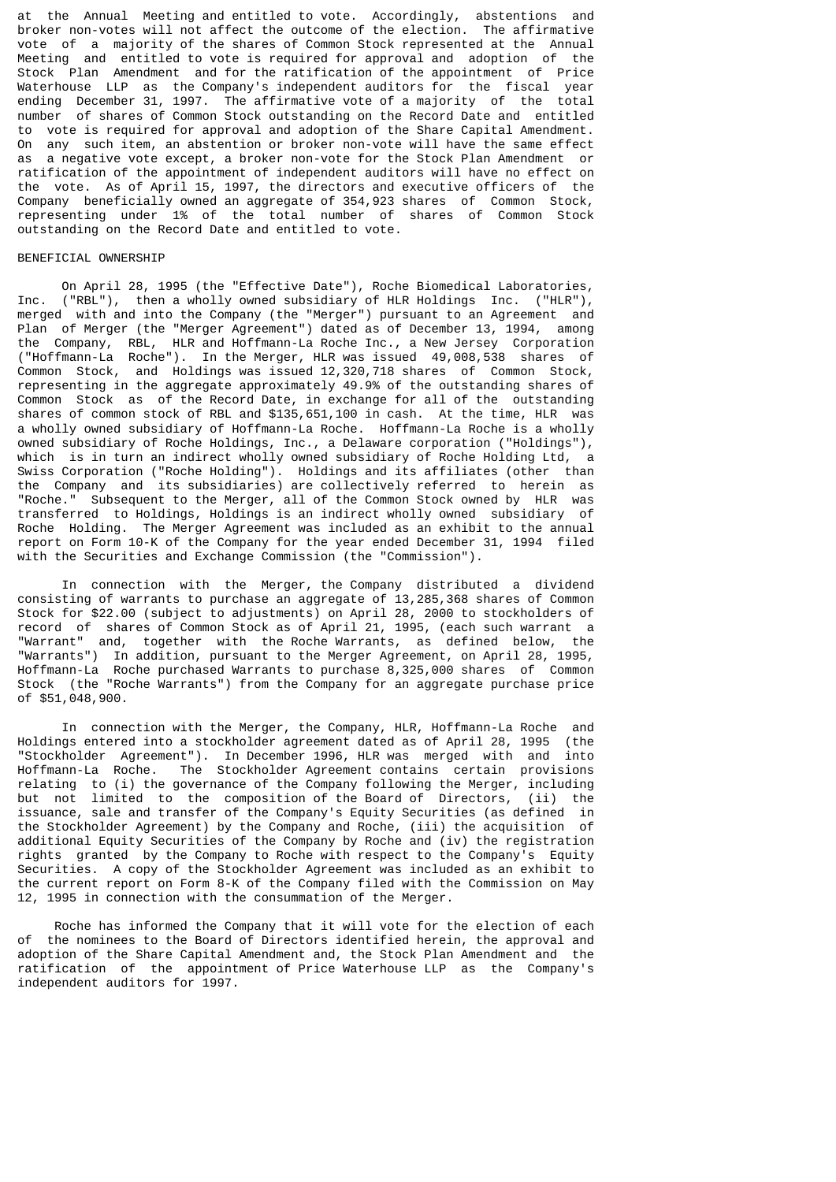at the Annual Meeting and entitled to vote. Accordingly, abstentions and broker non-votes will not affect the outcome of the election. The affirmative vote of a majority of the shares of Common Stock represented at the Annual Meeting and entitled to vote is required for approval and adoption of the Stock Plan Amendment and for the ratification of the appointment of Price Waterhouse LLP as the Company's independent auditors for the fiscal year ending December 31, 1997. The affirmative vote of a majority of the total number of shares of Common Stock outstanding on the Record Date and entitled to vote is required for approval and adoption of the Share Capital Amendment. On any such item, an abstention or broker non-vote will have the same effect as a negative vote except, a broker non-vote for the Stock Plan Amendment or ratification of the appointment of independent auditors will have no effect on the vote. As of April 15, 1997, the directors and executive officers of the Company beneficially owned an aggregate of 354,923 shares of Common Stock, representing under 1% of the total number of shares of Common Stock outstanding on the Record Date and entitled to vote.

### BENEFICIAL OWNERSHIP

 On April 28, 1995 (the "Effective Date"), Roche Biomedical Laboratories, Inc. ("RBL"), then a wholly owned subsidiary of HLR Holdings Inc. ("HLR"), merged with and into the Company (the "Merger") pursuant to an Agreement and Plan of Merger (the "Merger Agreement") dated as of December 13, 1994, among the Company, RBL, HLR and Hoffmann-La Roche Inc., a New Jersey Corporation ("Hoffmann-La Roche"). In the Merger, HLR was issued 49,008,538 shares of Common Stock, and Holdings was issued 12,320,718 shares of Common Stock, representing in the aggregate approximately 49.9% of the outstanding shares of Common Stock as of the Record Date, in exchange for all of the outstanding shares of common stock of RBL and \$135,651,100 in cash. At the time, HLR was a wholly owned subsidiary of Hoffmann-La Roche. Hoffmann-La Roche is a wholly owned subsidiary of Roche Holdings, Inc., a Delaware corporation ("Holdings"), which is in turn an indirect wholly owned subsidiary of Roche Holding Ltd, a Swiss Corporation ("Roche Holding"). Holdings and its affiliates (other than the Company and its subsidiaries) are collectively referred to herein as "Roche." Subsequent to the Merger, all of the Common Stock owned by HLR was transferred to Holdings, Holdings is an indirect wholly owned subsidiary of Roche Holding. The Merger Agreement was included as an exhibit to the annual report on Form 10-K of the Company for the year ended December 31, 1994 filed with the Securities and Exchange Commission (the "Commission").

 In connection with the Merger, the Company distributed a dividend consisting of warrants to purchase an aggregate of 13,285,368 shares of Common Stock for \$22.00 (subject to adjustments) on April 28, 2000 to stockholders of record of shares of Common Stock as of April 21, 1995, (each such warrant a "Warrant" and, together with the Roche Warrants, as defined below, the "Warrants") In addition, pursuant to the Merger Agreement, on April 28, 1995, Hoffmann-La Roche purchased Warrants to purchase 8,325,000 shares of Common Stock (the "Roche Warrants") from the Company for an aggregate purchase price of \$51,048,900.

 In connection with the Merger, the Company, HLR, Hoffmann-La Roche and Holdings entered into a stockholder agreement dated as of April 28, 1995 (the "Stockholder Agreement"). In December 1996, HLR was merged with and into Hoffmann-La Roche. The Stockholder Agreement contains certain provisions relating to (i) the governance of the Company following the Merger, including but not limited to the composition of the Board of Directors, (ii) the issuance, sale and transfer of the Company's Equity Securities (as defined in the Stockholder Agreement) by the Company and Roche, (iii) the acquisition of additional Equity Securities of the Company by Roche and (iv) the registration rights granted by the Company to Roche with respect to the Company's Equity Securities. A copy of the Stockholder Agreement was included as an exhibit to the current report on Form 8-K of the Company filed with the Commission on May 12, 1995 in connection with the consummation of the Merger.

 Roche has informed the Company that it will vote for the election of each of the nominees to the Board of Directors identified herein, the approval and adoption of the Share Capital Amendment and, the Stock Plan Amendment and the ratification of the appointment of Price Waterhouse LLP as the Company's independent auditors for 1997.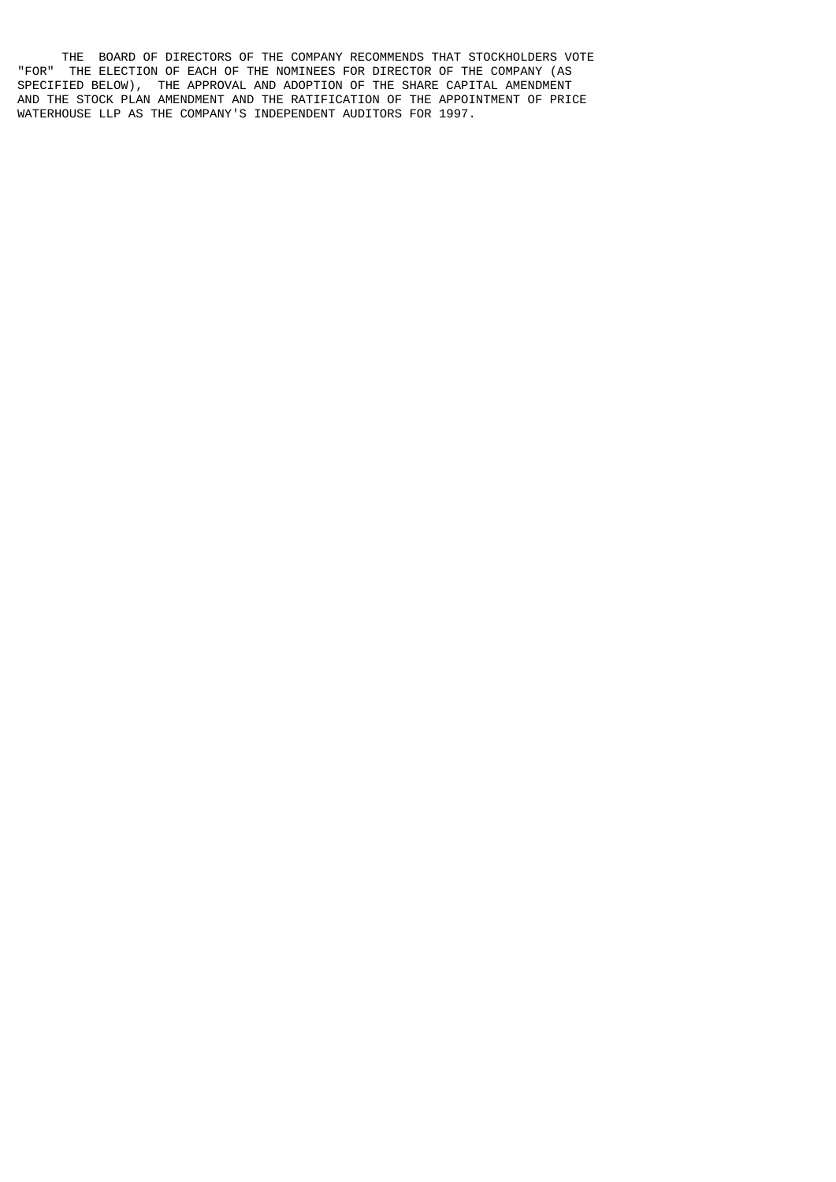THE BOARD OF DIRECTORS OF THE COMPANY RECOMMENDS THAT STOCKHOLDERS VOTE "FOR" THE ELECTION OF EACH OF THE NOMINEES FOR DIRECTOR OF THE COMPANY (AS SPECIFIED BELOW), THE APPROVAL AND ADOPTION OF THE SHARE CAPITAL AMENDMENT AND THE STOCK PLAN AMENDMENT AND THE RATIFICATION OF THE APPOINTMENT OF PRICE WATERHOUSE LLP AS THE COMPANY'S INDEPENDENT AUDITORS FOR 1997.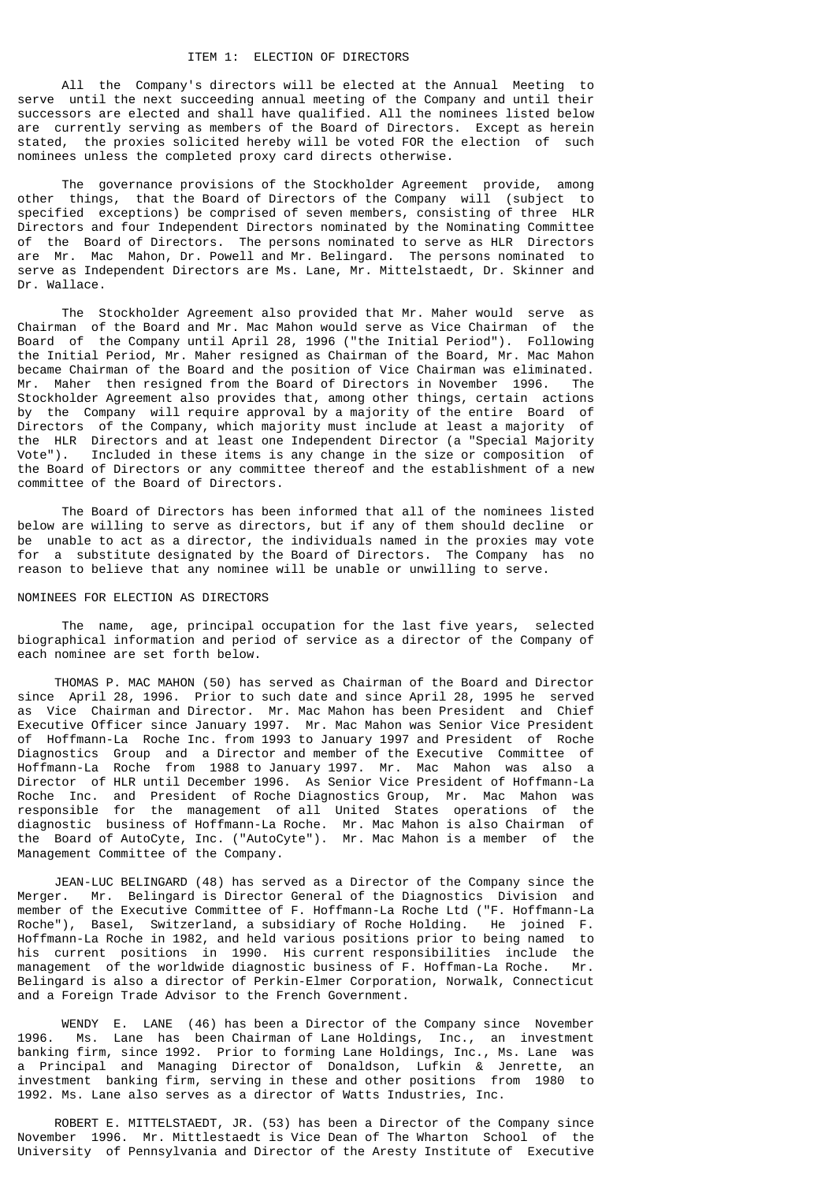# ITEM 1: ELECTION OF DIRECTORS

 All the Company's directors will be elected at the Annual Meeting to serve until the next succeeding annual meeting of the Company and until their successors are elected and shall have qualified. All the nominees listed below are currently serving as members of the Board of Directors. Except as herein stated, the proxies solicited hereby will be voted FOR the election of such nominees unless the completed proxy card directs otherwise.

 The governance provisions of the Stockholder Agreement provide, among other things, that the Board of Directors of the Company will (subject to specified exceptions) be comprised of seven members, consisting of three HLR Directors and four Independent Directors nominated by the Nominating Committee of the Board of Directors. The persons nominated to serve as HLR Directors are Mr. Mac Mahon, Dr. Powell and Mr. Belingard. The persons nominated to serve as Independent Directors are Ms. Lane, Mr. Mittelstaedt, Dr. Skinner and Dr. Wallace.

 The Stockholder Agreement also provided that Mr. Maher would serve as Chairman of the Board and Mr. Mac Mahon would serve as Vice Chairman of the Board of the Company until April 28, 1996 ("the Initial Period"). Following the Initial Period, Mr. Maher resigned as Chairman of the Board, Mr. Mac Mahon became Chairman of the Board and the position of Vice Chairman was eliminated. Mr. Maher then resigned from the Board of Directors in November 1996. The Stockholder Agreement also provides that, among other things, certain actions by the Company will require approval by a majority of the entire Board of Directors of the Company, which majority must include at least a majority of the HLR Directors and at least one Independent Director (a "Special Majority Vote"). Included in these items is any change in the size or composition of the Board of Directors or any committee thereof and the establishment of a new committee of the Board of Directors.

 The Board of Directors has been informed that all of the nominees listed below are willing to serve as directors, but if any of them should decline or be unable to act as a director, the individuals named in the proxies may vote for a substitute designated by the Board of Directors. The Company has no reason to believe that any nominee will be unable or unwilling to serve.

# NOMINEES FOR ELECTION AS DIRECTORS

 The name, age, principal occupation for the last five years, selected biographical information and period of service as a director of the Company of each nominee are set forth below.

 THOMAS P. MAC MAHON (50) has served as Chairman of the Board and Director since April 28, 1996. Prior to such date and since April 28, 1995 he served as Vice Chairman and Director. Mr. Mac Mahon has been President and Chief Executive Officer since January 1997. Mr. Mac Mahon was Senior Vice President of Hoffmann-La Roche Inc. from 1993 to January 1997 and President of Roche Diagnostics Group and a Director and member of the Executive Committee of Hoffmann-La Roche from 1988 to January 1997. Mr. Mac Mahon was also a Director of HLR until December 1996. As Senior Vice President of Hoffmann-La Roche Inc. and President of Roche Diagnostics Group, Mr. Mac Mahon was responsible for the management of all United States operations of the diagnostic business of Hoffmann-La Roche. Mr. Mac Mahon is also Chairman of the Board of AutoCyte, Inc. ("AutoCyte"). Mr. Mac Mahon is a member of the Management Committee of the Company.

 JEAN-LUC BELINGARD (48) has served as a Director of the Company since the Merger. Mr. Belingard is Director General of the Diagnostics Division and member of the Executive Committee of F. Hoffmann-La Roche Ltd ("F. Hoffmann-La Roche"), Basel, Switzerland, a subsidiary of Roche Holding. He joined F. Hoffmann-La Roche in 1982, and held various positions prior to being named to his current positions in 1990. His current responsibilities include the management of the worldwide diagnostic business of F. Hoffman-La Roche. Mr. Belingard is also a director of Perkin-Elmer Corporation, Norwalk, Connecticut and a Foreign Trade Advisor to the French Government.

 WENDY E. LANE (46) has been a Director of the Company since November 1996. Ms. Lane has been Chairman of Lane Holdings, Inc., an investment banking firm, since 1992. Prior to forming Lane Holdings, Inc., Ms. Lane was a Principal and Managing Director of Donaldson, Lufkin & Jenrette, an investment banking firm, serving in these and other positions from 1980 to 1992. Ms. Lane also serves as a director of Watts Industries, Inc.

 ROBERT E. MITTELSTAEDT, JR. (53) has been a Director of the Company since November 1996. Mr. Mittlestaedt is Vice Dean of The Wharton School of the University of Pennsylvania and Director of the Aresty Institute of Executive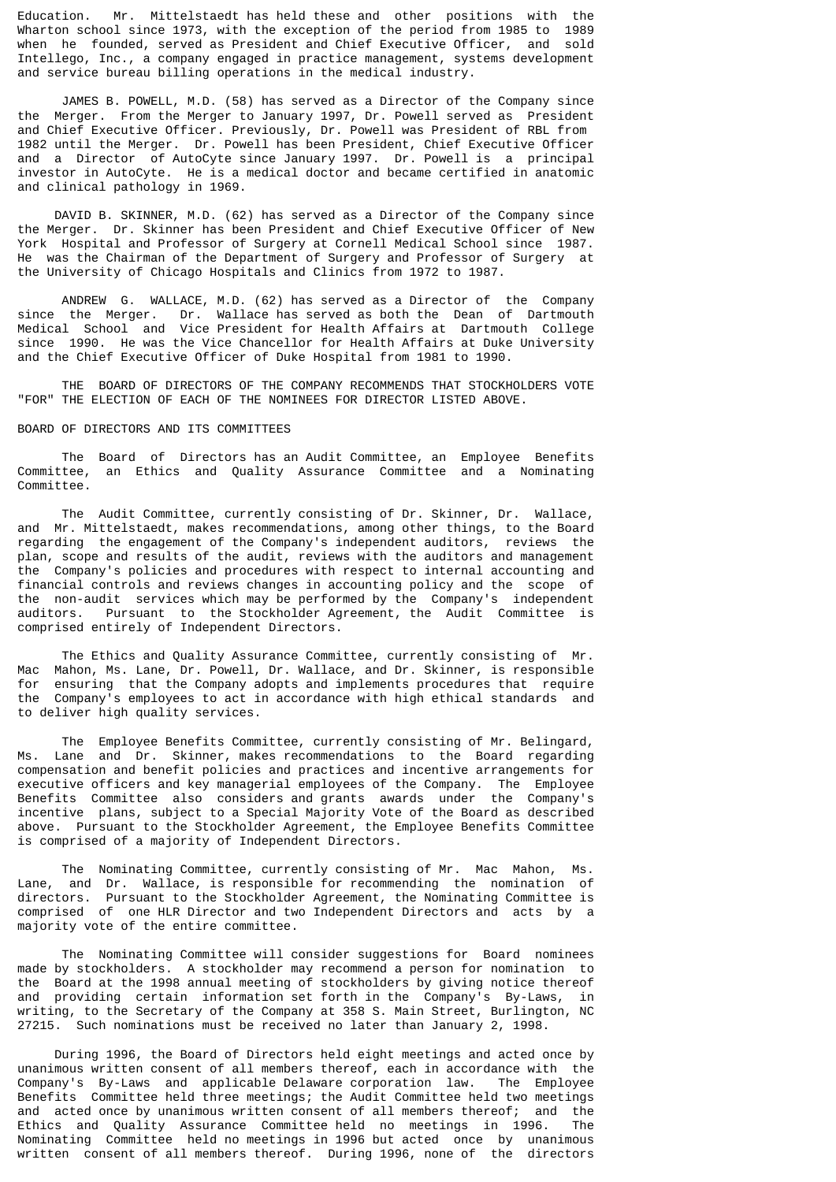Education. Mr. Mittelstaedt has held these and other positions with the Wharton school since 1973, with the exception of the period from 1985 to 1989 when he founded, served as President and Chief Executive Officer, and sold Intellego, Inc., a company engaged in practice management, systems development and service bureau billing operations in the medical industry.

 JAMES B. POWELL, M.D. (58) has served as a Director of the Company since the Merger. From the Merger to January 1997, Dr. Powell served as President and Chief Executive Officer. Previously, Dr. Powell was President of RBL from 1982 until the Merger. Dr. Powell has been President, Chief Executive Officer and a Director of AutoCyte since January 1997. Dr. Powell is a principal investor in AutoCyte. He is a medical doctor and became certified in anatomic and clinical pathology in 1969.

 DAVID B. SKINNER, M.D. (62) has served as a Director of the Company since the Merger. Dr. Skinner has been President and Chief Executive Officer of New York Hospital and Professor of Surgery at Cornell Medical School since 1987. He was the Chairman of the Department of Surgery and Professor of Surgery at the University of Chicago Hospitals and Clinics from 1972 to 1987.

ANDREW G. WALLACE, M.D. (62) has served as a Director of the Company since the Merger. Dr. Wallace has served as both the Dean of Dartmouth Dr. Wallace has served as both the Dean of Dartmouth Medical School and Vice President for Health Affairs at Dartmouth College since 1990. He was the Vice Chancellor for Health Affairs at Duke University and the Chief Executive Officer of Duke Hospital from 1981 to 1990.

 THE BOARD OF DIRECTORS OF THE COMPANY RECOMMENDS THAT STOCKHOLDERS VOTE "FOR" THE ELECTION OF EACH OF THE NOMINEES FOR DIRECTOR LISTED ABOVE.

#### BOARD OF DIRECTORS AND ITS COMMITTEES

 The Board of Directors has an Audit Committee, an Employee Benefits Committee, an Ethics and Quality Assurance Committee and a Nominating Committee.

 The Audit Committee, currently consisting of Dr. Skinner, Dr. Wallace, and Mr. Mittelstaedt, makes recommendations, among other things, to the Board regarding the engagement of the Company's independent auditors, reviews the plan, scope and results of the audit, reviews with the auditors and management the Company's policies and procedures with respect to internal accounting and financial controls and reviews changes in accounting policy and the scope of the non-audit services which may be performed by the Company's independent auditors. Pursuant to the Stockholder Agreement, the Audit Committee is comprised entirely of Independent Directors.

The Ethics and Quality Assurance Committee, currently consisting of Mr.<br>Mac Mahon, Ms. Lane, Dr. Powell, Dr. Wallace, and Dr. Skinner, is responsible Mahon, Ms. Lane, Dr. Powell, Dr. Wallace, and Dr. Skinner, is responsible for ensuring that the Company adopts and implements procedures that require the Company's employees to act in accordance with high ethical standards and to deliver high quality services.

 The Employee Benefits Committee, currently consisting of Mr. Belingard, Ms. Lane and Dr. Skinner, makes recommendations to the Board regarding compensation and benefit policies and practices and incentive arrangements for executive officers and key managerial employees of the Company. The Employee Benefits Committee also considers and grants awards under the Company's incentive plans, subject to a Special Majority Vote of the Board as described above. Pursuant to the Stockholder Agreement, the Employee Benefits Committee is comprised of a majority of Independent Directors.

 The Nominating Committee, currently consisting of Mr. Mac Mahon, Ms. Lane, and Dr. Wallace, is responsible for recommending the nomination of directors. Pursuant to the Stockholder Agreement, the Nominating Committee is comprised of one HLR Director and two Independent Directors and acts by a majority vote of the entire committee.

 The Nominating Committee will consider suggestions for Board nominees made by stockholders. A stockholder may recommend a person for nomination to the Board at the 1998 annual meeting of stockholders by giving notice thereof and providing certain information set forth in the Company's By-Laws, in writing, to the Secretary of the Company at 358 S. Main Street, Burlington, NC 27215. Such nominations must be received no later than January 2, 1998.

 During 1996, the Board of Directors held eight meetings and acted once by unanimous written consent of all members thereof, each in accordance with the Company's By-Laws and applicable Delaware corporation law. The Employee Benefits Committee held three meetings; the Audit Committee held two meetings and acted once by unanimous written consent of all members thereof; and the Ethics and Quality Assurance Committee held no meetings in 1996. The Nominating Committee held no meetings in 1996 but acted once by unanimous written consent of all members thereof. During 1996, none of the directors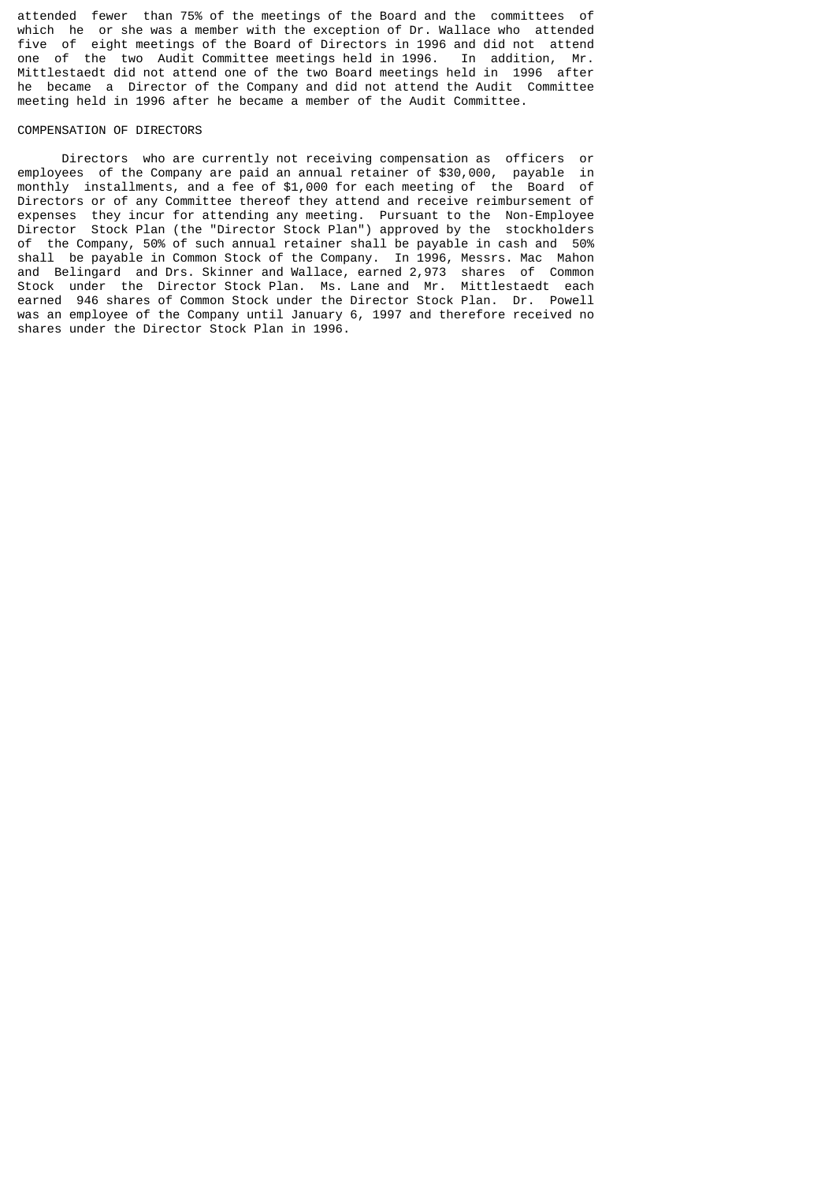attended fewer than 75% of the meetings of the Board and the committees of which he or she was a member with the exception of Dr. Wallace who attended five of eight meetings of the Board of Directors in 1996 and did not attend<br>one of the two Audit Committee meetings held in 1996. In addition, Mr. one of the two Audit Committee meetings held in 1996. Mittlestaedt did not attend one of the two Board meetings held in 1996 after he became a Director of the Company and did not attend the Audit Committee meeting held in 1996 after he became a member of the Audit Committee.

# COMPENSATION OF DIRECTORS

 Directors who are currently not receiving compensation as officers or employees of the Company are paid an annual retainer of \$30,000, payable in monthly installments, and a fee of \$1,000 for each meeting of the Board of Directors or of any Committee thereof they attend and receive reimbursement of expenses they incur for attending any meeting. Pursuant to the Non-Employee Director Stock Plan (the "Director Stock Plan") approved by the stockholders of the Company, 50% of such annual retainer shall be payable in cash and 50% shall be payable in Common Stock of the Company. In 1996, Messrs. Mac Mahon and Belingard and Drs. Skinner and Wallace, earned 2,973 shares of Common Stock under the Director Stock Plan. Ms. Lane and Mr. Mittlestaedt each earned 946 shares of Common Stock under the Director Stock Plan. Dr. Powell was an employee of the Company until January 6, 1997 and therefore received no shares under the Director Stock Plan in 1996.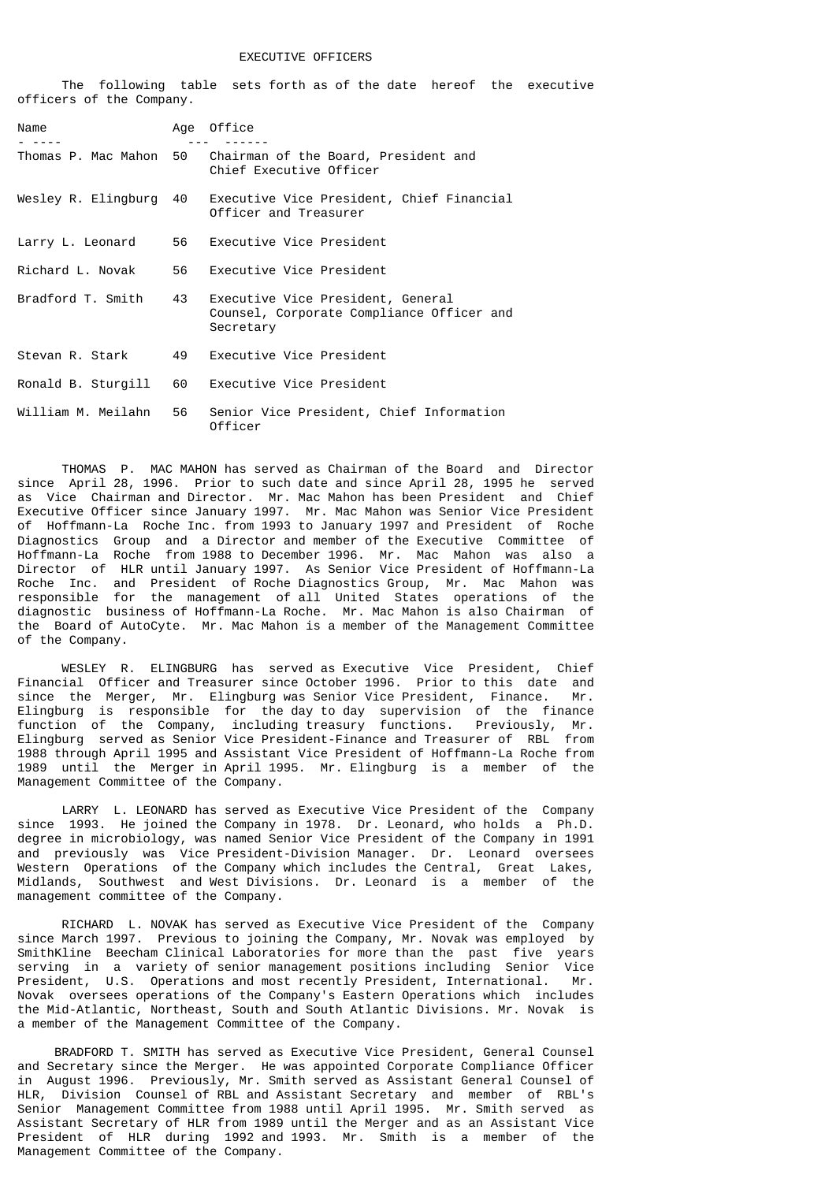#### EXECUTIVE OFFICERS

 The following table sets forth as of the date hereof the executive officers of the Company.

| Name                | Age | Office                                                                                      |
|---------------------|-----|---------------------------------------------------------------------------------------------|
| Thomas P. Mac Mahon | 50  | Chairman of the Board, President and<br>Chief Executive Officer                             |
| Wesley R. Elingburg | 40  | Executive Vice President, Chief Financial<br>Officer and Treasurer                          |
| Larry L. Leonard    | 56  | Executive Vice President                                                                    |
| Richard L. Novak    | 56  | Executive Vice President                                                                    |
| Bradford T. Smith   | 43  | Executive Vice President, General<br>Counsel, Corporate Compliance Officer and<br>Secretary |
| Stevan R. Stark     | 49  | Executive Vice President                                                                    |
| Ronald B. Sturgill  | 60  | Executive Vice President                                                                    |
| William M. Meilahn  | 56  | Senior Vice President, Chief Information<br>Officer                                         |

 THOMAS P. MAC MAHON has served as Chairman of the Board and Director since April 28, 1996. Prior to such date and since April 28, 1995 he served as Vice Chairman and Director. Mr. Mac Mahon has been President and Chief Executive Officer since January 1997. Mr. Mac Mahon was Senior Vice President of Hoffmann-La Roche Inc. from 1993 to January 1997 and President of Roche Diagnostics Group and a Director and member of the Executive Committee of Hoffmann-La Roche from 1988 to December 1996. Mr. Mac Mahon was also a Director of HLR until January 1997. As Senior Vice President of Hoffmann-La Roche Inc. and President of Roche Diagnostics Group, Mr. Mac Mahon was responsible for the management of all United States operations of the diagnostic business of Hoffmann-La Roche. Mr. Mac Mahon is also Chairman of the Board of AutoCyte. Mr. Mac Mahon is a member of the Management Committee of the Company.

 WESLEY R. ELINGBURG has served as Executive Vice President, Chief Financial Officer and Treasurer since October 1996. Prior to this date and since the Merger, Mr. Elingburg was Senior Vice President, Finance. Mr. Elingburg is responsible for the day to day supervision of the finance function of the Company, including treasury functions. Previously, Mr. Elingburg served as Senior Vice President-Finance and Treasurer of RBL from 1988 through April 1995 and Assistant Vice President of Hoffmann-La Roche from 1989 until the Merger in April 1995. Mr. Elingburg is a member of the Management Committee of the Company.

 LARRY L. LEONARD has served as Executive Vice President of the Company since 1993. He joined the Company in 1978. Dr. Leonard, who holds a Ph.D. degree in microbiology, was named Senior Vice President of the Company in 1991 and previously was Vice President-Division Manager. Dr. Leonard oversees Western Operations of the Company which includes the Central, Great Lakes, Midlands, Southwest and West Divisions. Dr. Leonard is a member of the management committee of the Company.

 RICHARD L. NOVAK has served as Executive Vice President of the Company since March 1997. Previous to joining the Company, Mr. Novak was employed by SmithKline Beecham Clinical Laboratories for more than the past five years serving in a variety of senior management positions including Senior Vice President, U.S. Operations and most recently President, International. Mr. Novak oversees operations of the Company's Eastern Operations which includes the Mid-Atlantic, Northeast, South and South Atlantic Divisions. Mr. Novak is a member of the Management Committee of the Company.

 BRADFORD T. SMITH has served as Executive Vice President, General Counsel and Secretary since the Merger. He was appointed Corporate Compliance Officer in August 1996. Previously, Mr. Smith served as Assistant General Counsel of HLR, Division Counsel of RBL and Assistant Secretary and member of RBL's Senior Management Committee from 1988 until April 1995. Mr. Smith served as Assistant Secretary of HLR from 1989 until the Merger and as an Assistant Vice President of HLR during 1992 and 1993. Mr. Smith is a member of the Management Committee of the Company.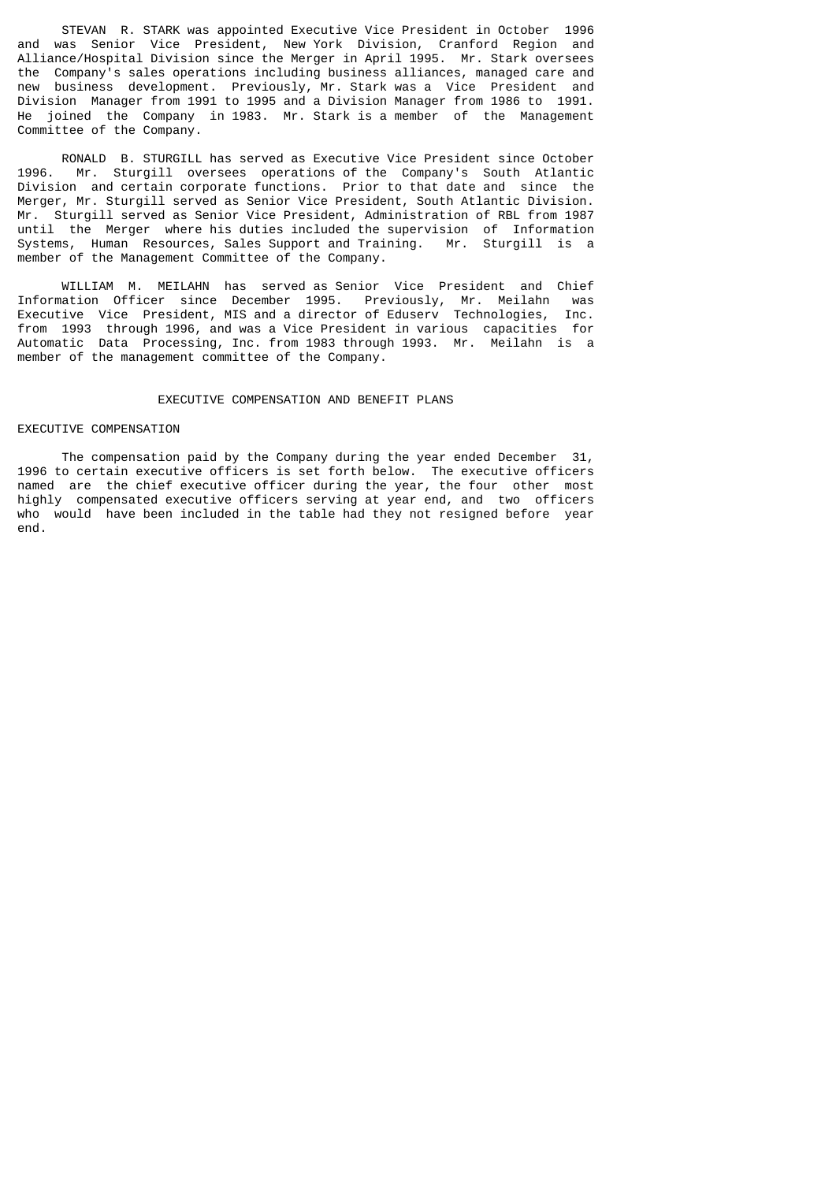STEVAN R. STARK was appointed Executive Vice President in October 1996 and was Senior Vice President, New York Division, Cranford Region and Alliance/Hospital Division since the Merger in April 1995. Mr. Stark oversees the Company's sales operations including business alliances, managed care and new business development. Previously, Mr. Stark was a Vice President and Division Manager from 1991 to 1995 and a Division Manager from 1986 to 1991. He joined the Company in 1983. Mr. Stark is a member of the Management Committee of the Company.

 RONALD B. STURGILL has served as Executive Vice President since October 1996. Mr. Sturgill oversees operations of the Company's South Atlantic Division and certain corporate functions. Prior to that date and since the Merger, Mr. Sturgill served as Senior Vice President, South Atlantic Division. Mr. Sturgill served as Senior Vice President, Administration of RBL from 1987 until the Merger where his duties included the supervision of Information Systems, Human Resources, Sales Support and Training. Mr. Sturgill is a member of the Management Committee of the Company.

 WILLIAM M. MEILAHN has served as Senior Vice President and Chief Information Officer since December 1995. Previously, Mr. Meilahn was Executive Vice President, MIS and a director of Eduserv Technologies, Inc. from 1993 through 1996, and was a Vice President in various capacities for Automatic Data Processing, Inc. from 1983 through 1993. Mr. Meilahn is a member of the management committee of the Company.

# EXECUTIVE COMPENSATION AND BENEFIT PLANS

### EXECUTIVE COMPENSATION

 The compensation paid by the Company during the year ended December 31, 1996 to certain executive officers is set forth below. The executive officers named are the chief executive officer during the year, the four other most highly compensated executive officers serving at year end, and two officers who would have been included in the table had they not resigned before year end.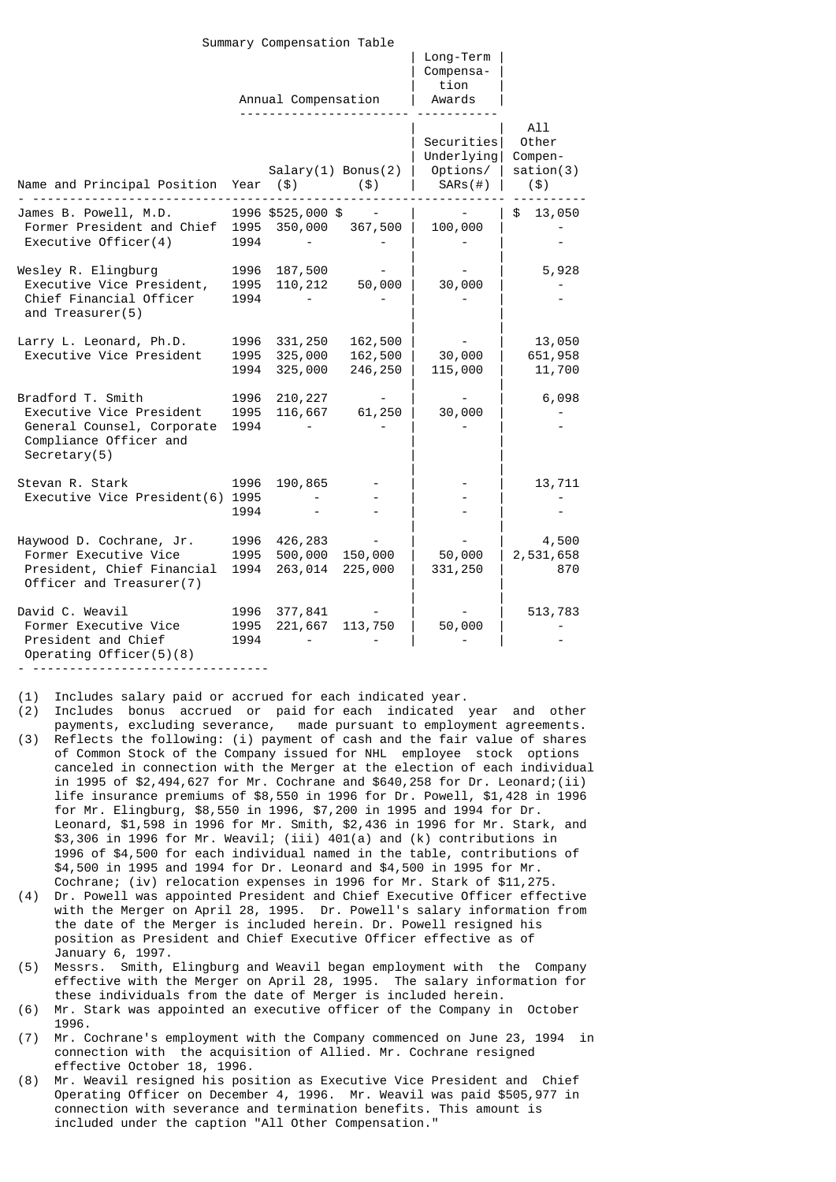|                                                                                                                       |                      | Summary Compensation Table    |                               |                                                    |                                             |
|-----------------------------------------------------------------------------------------------------------------------|----------------------|-------------------------------|-------------------------------|----------------------------------------------------|---------------------------------------------|
|                                                                                                                       |                      | Annual Compensation           |                               | Long-Term<br>Compensa-<br>tion<br>Awards           |                                             |
| Name and Principal Position                                                                                           | Year                 | $Salary(1)$ Bonus(2)<br>(5)   | (3)                           | Securities<br>Underlying <br>Options/  <br>SARS(H) | All<br>Other<br>Compen-<br>sation(3)<br>(3) |
| James B. Powell, M.D.<br>Former President and Chief<br>Executive Officer $(4)$                                        | 1995<br>1994         | 1996 \$525,000 \$<br>350,000  | 367,500                       | 100,000                                            | 13,050<br>\$                                |
| Wesley R. Elingburg<br>Executive Vice President,<br>Chief Financial Officer<br>and Treasurer(5)                       | 1996<br>1995<br>1994 | 187,500<br>110, 212           | 50,000                        | 30,000                                             | 5,928                                       |
| Larry L. Leonard, Ph.D.<br>Executive Vice President                                                                   | 1996<br>1995<br>1994 | 331,250<br>325,000<br>325,000 | 162,500<br>162,500<br>246,250 | 30,000<br>115,000                                  | 13,050<br>651,958<br>11,700                 |
| Bradford T. Smith<br>Executive Vice President<br>General Counsel, Corporate<br>Compliance Officer and<br>Sercetary(5) | 1996<br>1995<br>1994 | 210, 227<br>116,667           | 61,250                        | 30,000                                             | 6,098                                       |
| Stevan R. Stark<br>Executive Vice President(6)                                                                        | 1996<br>1995<br>1994 | 190,865                       |                               |                                                    | 13,711                                      |
| Haywood D. Cochrane, Jr.<br>Former Executive Vice<br>President, Chief Financial<br>Officer and Treasurer(7)           | 1996<br>1995<br>1994 | 426,283<br>500,000<br>263,014 | 150,000<br>225,000            | 50,000<br>331,250                                  | 4,500<br>2,531,658<br>870                   |
| David C. Weavil<br>Former Executive Vice<br>President and Chief<br>Operating Officer $(5)(8)$                         | 1996<br>1995<br>1994 | 377,841<br>221,667            | 113,750                       | 50,000                                             | 513,783                                     |

- --------------------------------

(1) Includes salary paid or accrued for each indicated year.

- (2) Includes bonus accrued or paid for each indicated year and other payments, excluding severance, made pursuant to employment agreements. (3) Reflects the following: (i) payment of cash and the fair value of shares of Common Stock of the Company issued for NHL employee stock options canceled in connection with the Merger at the election of each individual in 1995 of \$2,494,627 for Mr. Cochrane and \$640,258 for Dr. Leonard;(ii) life insurance premiums of \$8,550 in 1996 for Dr. Powell, \$1,428 in 1996 for Mr. Elingburg, \$8,550 in 1996, \$7,200 in 1995 and 1994 for Dr. Leonard, \$1,598 in 1996 for Mr. Smith, \$2,436 in 1996 for Mr. Stark, and \$3,306 in 1996 for Mr. Weavil; (iii) 401(a) and (k) contributions in 1996 of \$4,500 for each individual named in the table, contributions of \$4,500 in 1995 and 1994 for Dr. Leonard and \$4,500 in 1995 for Mr. Cochrane; (iv) relocation expenses in 1996 for Mr. Stark of \$11,275.
- (4) Dr. Powell was appointed President and Chief Executive Officer effective with the Merger on April 28, 1995. Dr. Powell's salary information from the date of the Merger is included herein. Dr. Powell resigned his position as President and Chief Executive Officer effective as of January 6, 1997.
- (5) Messrs. Smith, Elingburg and Weavil began employment with the Company effective with the Merger on April 28, 1995. The salary information for these individuals from the date of Merger is included herein.
- (6) Mr. Stark was appointed an executive officer of the Company in October 1996.
- (7) Mr. Cochrane's employment with the Company commenced on June 23, 1994 in connection with the acquisition of Allied. Mr. Cochrane resigned effective October 18, 1996.
- (8) Mr. Weavil resigned his position as Executive Vice President and Chief Operating Officer on December 4, 1996. Mr. Weavil was paid \$505,977 in connection with severance and termination benefits. This amount is included under the caption "All Other Compensation."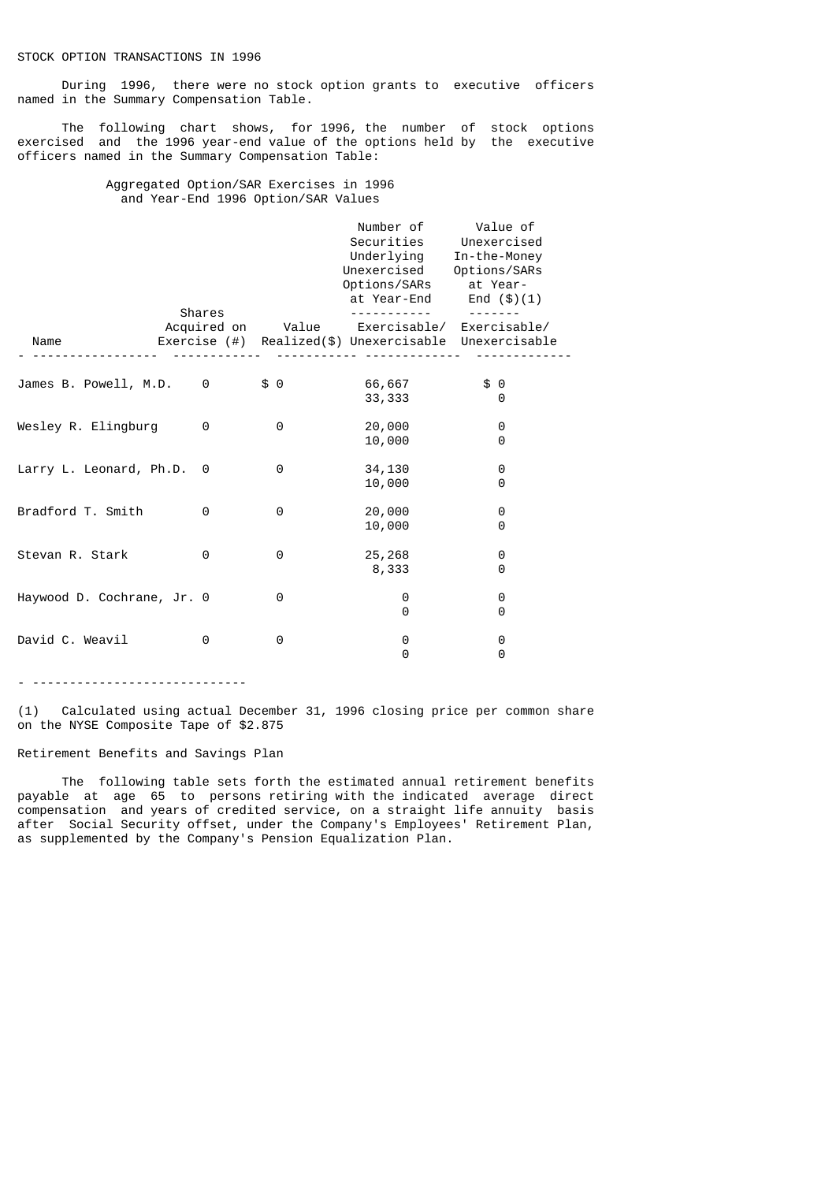During 1996, there were no stock option grants to executive officers named in the Summary Compensation Table.

 The following chart shows, for 1996, the number of stock options exercised and the 1996 year-end value of the options held by the executive officers named in the Summary Compensation Table:

# Aggregated Option/SAR Exercises in 1996 and Year-End 1996 Option/SAR Values

|                            |        |          | Number of<br>Securities<br>Underlying<br>Unexercised<br>Options/SARs<br>at Year-End                        | Value of<br>Unexercised<br>In-the-Money<br>Options/SARs<br>at Year-<br>End $($ \$ $)(1)$ |  |
|----------------------------|--------|----------|------------------------------------------------------------------------------------------------------------|------------------------------------------------------------------------------------------|--|
| Name                       | Shares |          | Acquired on Value Exercisable/ Exercisable/<br>Exercise $(\#)$ Realized $(\$)$ Unexercisable Unexercisable |                                                                                          |  |
|                            |        |          |                                                                                                            |                                                                                          |  |
| James B. Powell, M.D.      | 0      | \$0      | 66,667<br>33, 333                                                                                          | \$0<br>0                                                                                 |  |
| Wesley R. Elingburg        | 0      | $\Theta$ | 20,000<br>10,000                                                                                           | 0<br>0                                                                                   |  |
| Larry L. Leonard, Ph.D.    | 0      | 0        | 34,130<br>10,000                                                                                           | 0<br>0                                                                                   |  |
| Bradford T. Smith          | 0      | 0        | 20,000<br>10,000                                                                                           | 0<br>0                                                                                   |  |
| Stevan R. Stark            | 0      | 0        | 25,268<br>8,333                                                                                            | 0<br>0                                                                                   |  |
| Haywood D. Cochrane, Jr. 0 |        | 0        | 0<br>0                                                                                                     | 0<br>0                                                                                   |  |
| David C. Weavil            | 0      | 0        | 0<br>0                                                                                                     | 0<br>0                                                                                   |  |

- -----------------------------

(1) Calculated using actual December 31, 1996 closing price per common share on the NYSE Composite Tape of \$2.875

# Retirement Benefits and Savings Plan

 The following table sets forth the estimated annual retirement benefits payable at age 65 to persons retiring with the indicated average direct compensation and years of credited service, on a straight life annuity basis after Social Security offset, under the Company's Employees' Retirement Plan, as supplemented by the Company's Pension Equalization Plan.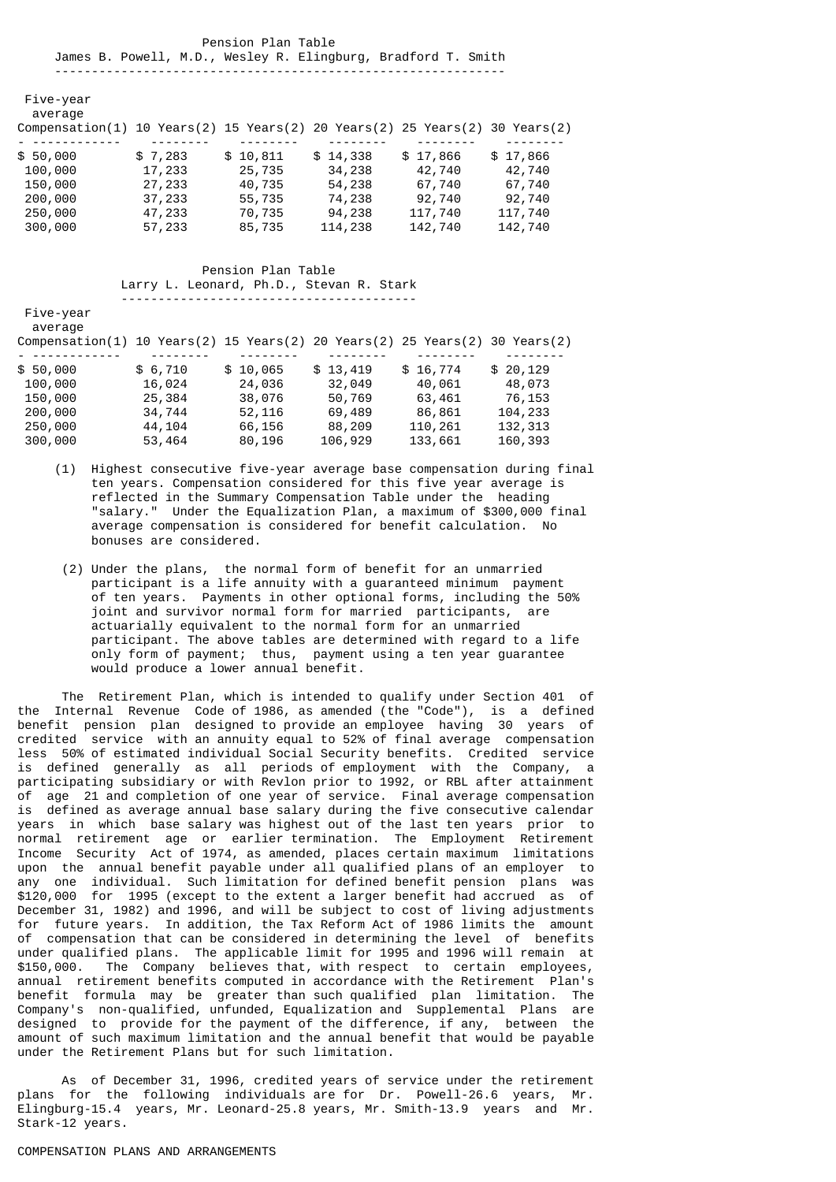Pension Plan Table James B. Powell, M.D., Wesley R. Elingburg, Bradford T. Smith -------------------------------------------------------------

 Five-year average

| Compensation(1) 10 Years(2) 15 Years(2) 20 Years(2) 25 Years(2) 30 Years(2) |         |          |          |          |          |
|-----------------------------------------------------------------------------|---------|----------|----------|----------|----------|
|                                                                             |         |          |          |          |          |
| \$50,000                                                                    | \$7,283 | \$10,811 | \$14,338 | \$17,866 | \$17,866 |
| 100,000                                                                     | 17,233  | 25,735   | 34,238   | 42,740   | 42,740   |
| 150,000                                                                     | 27,233  | 40,735   | 54,238   | 67,740   | 67,740   |
| 200,000                                                                     | 37,233  | 55,735   | 74,238   | 92,740   | 92,740   |
| 250,000                                                                     | 47,233  | 70,735   | 94,238   | 117,740  | 117,740  |
| 300,000                                                                     | 57,233  | 85,735   | 114,238  | 142,740  | 142,740  |
|                                                                             |         |          |          |          |          |

# Pension Plan Table Larry L. Leonard, Ph.D., Stevan R. Stark

----------------------------------------

 Five-year average

| Compensation(1) 10 Years(2) 15 Years(2) 20 Years(2) 25 Years(2) 30 Years(2) |         |          |          |          |          |
|-----------------------------------------------------------------------------|---------|----------|----------|----------|----------|
|                                                                             |         |          |          |          |          |
| \$50,000                                                                    | \$6,710 | \$10,065 | \$13,419 | \$16,774 | \$20,129 |
| 100,000                                                                     | 16,024  | 24,036   | 32,049   | 40,061   | 48,073   |
| 150,000                                                                     | 25,384  | 38,076   | 50,769   | 63,461   | 76,153   |
| 200,000                                                                     | 34,744  | 52,116   | 69,489   | 86,861   | 104,233  |
| 250,000                                                                     | 44,104  | 66,156   | 88,209   | 110,261  | 132,313  |
| 300,000                                                                     | 53,464  | 80,196   | 106,929  | 133,661  | 160,393  |

- (1) Highest consecutive five-year average base compensation during final ten years. Compensation considered for this five year average is reflected in the Summary Compensation Table under the heading "salary." Under the Equalization Plan, a maximum of \$300,000 final average compensation is considered for benefit calculation. No bonuses are considered.
- (2) Under the plans, the normal form of benefit for an unmarried participant is a life annuity with a guaranteed minimum payment of ten years. Payments in other optional forms, including the 50% joint and survivor normal form for married participants, are actuarially equivalent to the normal form for an unmarried participant. The above tables are determined with regard to a life only form of payment; thus, payment using a ten year guarantee would produce a lower annual benefit.

 The Retirement Plan, which is intended to qualify under Section 401 of the Internal Revenue Code of 1986, as amended (the "Code"), is a defined benefit pension plan designed to provide an employee having 30 years of credited service with an annuity equal to 52% of final average compensation less 50% of estimated individual Social Security benefits. Credited service is defined generally as all periods of employment with the Company, a participating subsidiary or with Revlon prior to 1992, or RBL after attainment of age 21 and completion of one year of service. Final average compensation is defined as average annual base salary during the five consecutive calendar years in which base salary was highest out of the last ten years prior to normal retirement age or earlier termination. The Employment Retirement Income Security Act of 1974, as amended, places certain maximum limitations upon the annual benefit payable under all qualified plans of an employer to any one individual. Such limitation for defined benefit pension plans was \$120,000 for 1995 (except to the extent a larger benefit had accrued as of December 31, 1982) and 1996, and will be subject to cost of living adjustments for future years. In addition, the Tax Reform Act of 1986 limits the amount of compensation that can be considered in determining the level of benefits under qualified plans. The applicable limit for 1995 and 1996 will remain at \$150,000. The Company believes that, with respect to certain employees, annual retirement benefits computed in accordance with the Retirement Plan's benefit formula may be greater than such qualified plan limitation. The Company's non-qualified, unfunded, Equalization and Supplemental Plans are designed to provide for the payment of the difference, if any, between the amount of such maximum limitation and the annual benefit that would be payable under the Retirement Plans but for such limitation.

 As of December 31, 1996, credited years of service under the retirement plans for the following individuals are for Dr. Powell-26.6 years, Mr. Elingburg-15.4 years, Mr. Leonard-25.8 years, Mr. Smith-13.9 years and Mr. Stark-12 years.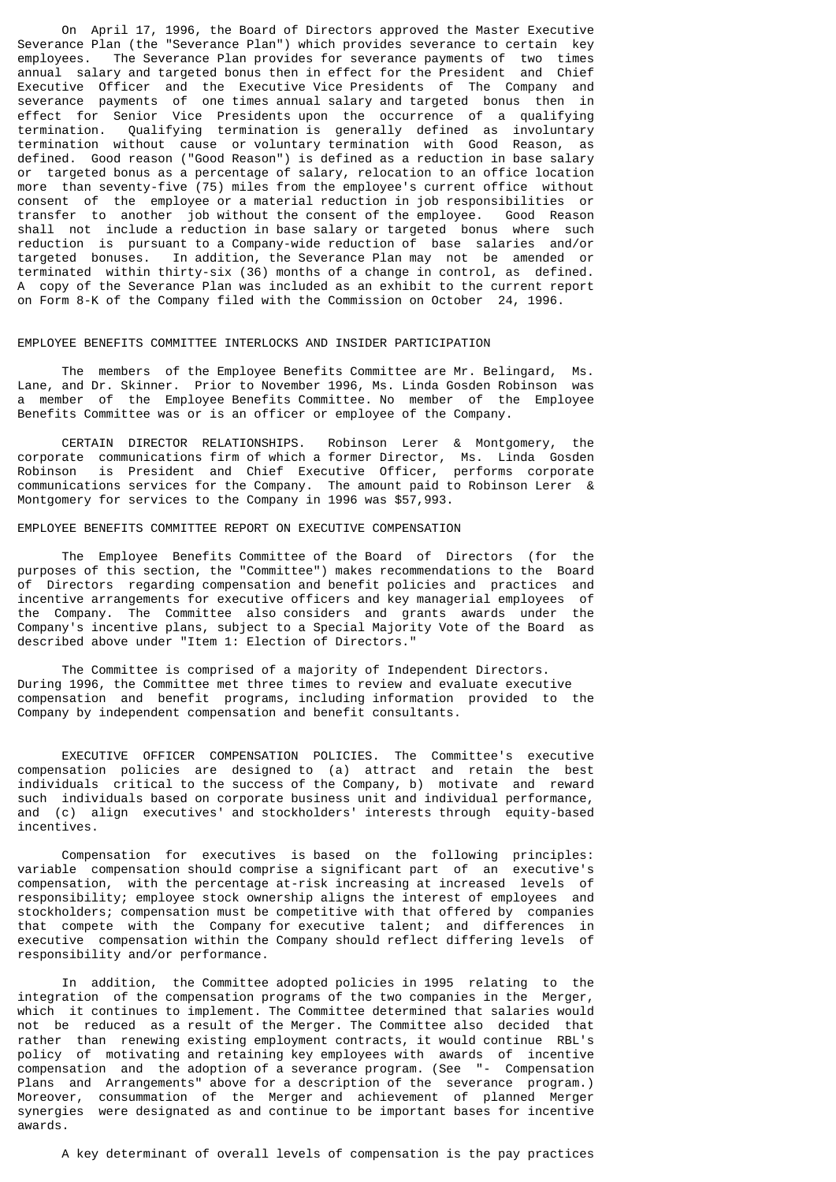On April 17, 1996, the Board of Directors approved the Master Executive Severance Plan (the "Severance Plan") which provides severance to certain key employees. The Severance Plan provides for severance payments of two times annual salary and targeted bonus then in effect for the President and Chief Executive Officer and the Executive Vice Presidents of The Company and severance payments of one times annual salary and targeted bonus then in effect for Senior Vice Presidents upon the occurrence of a qualifying termination. Qualifying termination is generally defined as involuntary termination without cause or voluntary termination with Good Reason, as defined. Good reason ("Good Reason") is defined as a reduction in base salary or targeted bonus as a percentage of salary, relocation to an office location more than seventy-five (75) miles from the employee's current office without consent of the employee or a material reduction in job responsibilities or transfer to another job without the consent of the employee. Good Reason shall not include a reduction in base salary or targeted bonus where such reduction is pursuant to a Company-wide reduction of base salaries and/or targeted bonuses. In addition, the Severance Plan may not be amended or terminated within thirty-six (36) months of a change in control, as defined. A copy of the Severance Plan was included as an exhibit to the current report on Form 8-K of the Company filed with the Commission on October 24, 1996.

## EMPLOYEE BENEFITS COMMITTEE INTERLOCKS AND INSIDER PARTICIPATION

 The members of the Employee Benefits Committee are Mr. Belingard, Ms. Lane, and Dr. Skinner. Prior to November 1996, Ms. Linda Gosden Robinson was a member of the Employee Benefits Committee. No member of the Employee Benefits Committee was or is an officer or employee of the Company.

 CERTAIN DIRECTOR RELATIONSHIPS. Robinson Lerer & Montgomery, the corporate communications firm of which a former Director, Ms. Linda Gosden Robinson is President and Chief Executive Officer, performs corporate communications services for the Company. The amount paid to Robinson Lerer & Montgomery for services to the Company in 1996 was \$57,993.

# EMPLOYEE BENEFITS COMMITTEE REPORT ON EXECUTIVE COMPENSATION

 The Employee Benefits Committee of the Board of Directors (for the purposes of this section, the "Committee") makes recommendations to the Board of Directors regarding compensation and benefit policies and practices and incentive arrangements for executive officers and key managerial employees of the Company. The Committee also considers and grants awards under the Company's incentive plans, subject to a Special Majority Vote of the Board as described above under "Item 1: Election of Directors."

 The Committee is comprised of a majority of Independent Directors. During 1996, the Committee met three times to review and evaluate executive compensation and benefit programs, including information provided to the Company by independent compensation and benefit consultants.

 EXECUTIVE OFFICER COMPENSATION POLICIES. The Committee's executive compensation policies are designed to (a) attract and retain the best individuals critical to the success of the Company, b) motivate and reward such individuals based on corporate business unit and individual performance, and (c) align executives' and stockholders' interests through equity-based incentives.

 Compensation for executives is based on the following principles: variable compensation should comprise a significant part of an executive's compensation, with the percentage at-risk increasing at increased levels of responsibility; employee stock ownership aligns the interest of employees and stockholders; compensation must be competitive with that offered by companies that compete with the Company for executive talent; and differences in executive compensation within the Company should reflect differing levels of responsibility and/or performance.

 In addition, the Committee adopted policies in 1995 relating to the integration of the compensation programs of the two companies in the Merger, which it continues to implement. The Committee determined that salaries would not be reduced as a result of the Merger. The Committee also decided that rather than renewing existing employment contracts, it would continue RBL's policy of motivating and retaining key employees with awards of incentive compensation and the adoption of a severance program. (See "- Compensation Plans and Arrangements" above for a description of the severance program.) Moreover, consummation of the Merger and achievement of planned Merger synergies were designated as and continue to be important bases for incentive awards.

A key determinant of overall levels of compensation is the pay practices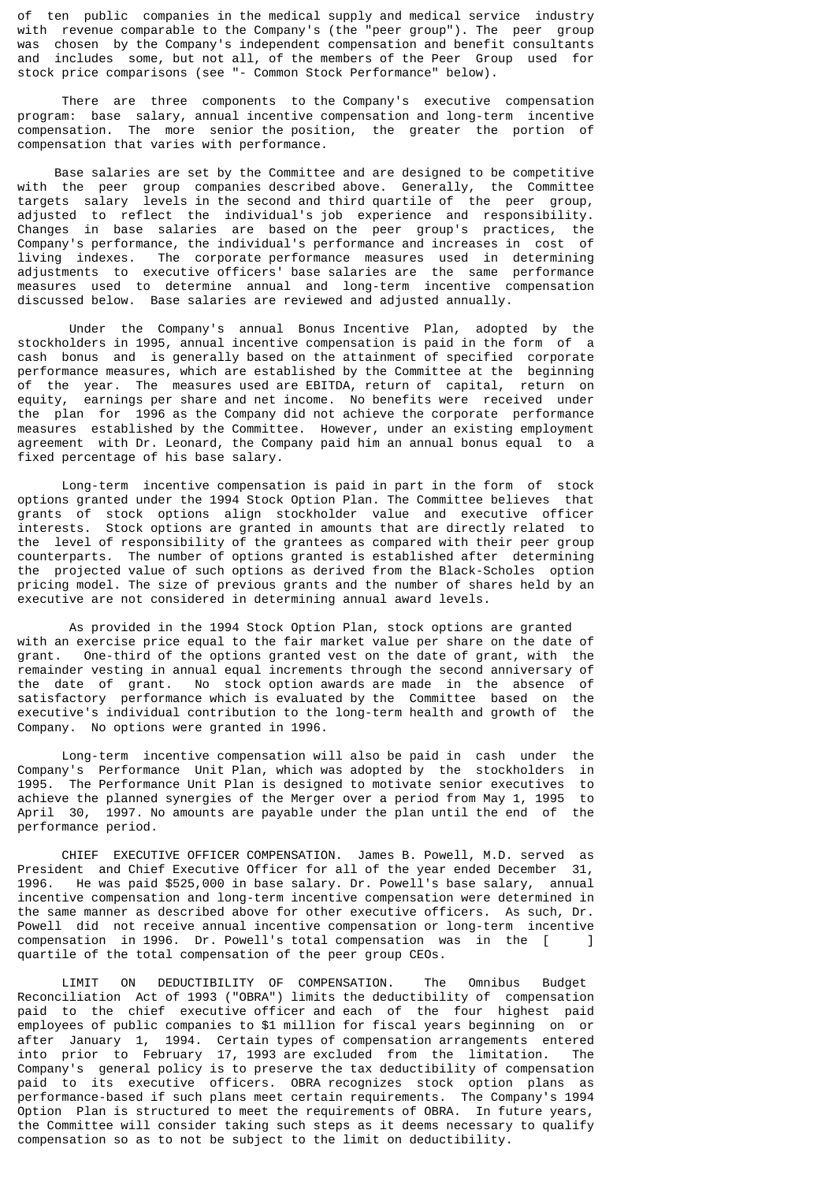of ten public companies in the medical supply and medical service industry with revenue comparable to the Company's (the "peer group"). The peer group was chosen by the Company's independent compensation and benefit consultants and includes some, but not all, of the members of the Peer Group used for stock price comparisons (see "- Common Stock Performance" below).

 There are three components to the Company's executive compensation program: base salary, annual incentive compensation and long-term incentive compensation. The more senior the position, the greater the portion of compensation that varies with performance.

 Base salaries are set by the Committee and are designed to be competitive with the peer group companies described above. Generally, the Committee targets salary levels in the second and third quartile of the peer group, adjusted to reflect the individual's job experience and responsibility. Changes in base salaries are based on the peer group's practices, the Company's performance, the individual's performance and increases in cost of living indexes. The corporate performance measures used in determining adjustments to executive officers' base salaries are the same performance measures used to determine annual and long-term incentive compensation discussed below. Base salaries are reviewed and adjusted annually.

 Under the Company's annual Bonus Incentive Plan, adopted by the stockholders in 1995, annual incentive compensation is paid in the form of a cash bonus and is generally based on the attainment of specified corporate performance measures, which are established by the Committee at the beginning of the year. The measures used are EBITDA, return of capital, return on equity, earnings per share and net income. No benefits were received under the plan for 1996 as the Company did not achieve the corporate performance measures established by the Committee. However, under an existing employment agreement with Dr. Leonard, the Company paid him an annual bonus equal to a fixed percentage of his base salary.

 Long-term incentive compensation is paid in part in the form of stock options granted under the 1994 Stock Option Plan. The Committee believes that grants of stock options align stockholder value and executive officer interests. Stock options are granted in amounts that are directly related to the level of responsibility of the grantees as compared with their peer group counterparts. The number of options granted is established after determining the projected value of such options as derived from the Black-Scholes option pricing model. The size of previous grants and the number of shares held by an executive are not considered in determining annual award levels.

 As provided in the 1994 Stock Option Plan, stock options are granted with an exercise price equal to the fair market value per share on the date of grant. One-third of the options granted vest on the date of grant, with the remainder vesting in annual equal increments through the second anniversary of<br>the date of grant. No stock option awards are made in the absence of No stock option awards are made in the absence of satisfactory performance which is evaluated by the Committee based on the executive's individual contribution to the long-term health and growth of the Company. No options were granted in 1996.

 Long-term incentive compensation will also be paid in cash under the Company's Performance Unit Plan, which was adopted by the stockholders in 1995. The Performance Unit Plan is designed to motivate senior executives to achieve the planned synergies of the Merger over a period from May 1, 1995 to April 30, 1997. No amounts are payable under the plan until the end of the performance period.

 CHIEF EXECUTIVE OFFICER COMPENSATION. James B. Powell, M.D. served as President and Chief Executive Officer for all of the year ended December 31,<br>1996. He was paid \$525.000 in base salary. Dr. Powell's base salary, annual He was paid \$525,000 in base salary. Dr. Powell's base salary, annual incentive compensation and long-term incentive compensation were determined in the same manner as described above for other executive officers. As such, Dr. Powell did not receive annual incentive compensation or long-term incentive compensation in 1996. Dr. Powell's total compensation was in the [ ] quartile of the total compensation of the peer group CEOs.

 LIMIT ON DEDUCTIBILITY OF COMPENSATION. The Omnibus Budget Reconciliation Act of 1993 ("OBRA") limits the deductibility of compensation paid to the chief executive officer and each of the four highest paid employees of public companies to \$1 million for fiscal years beginning on or after January 1, 1994. Certain types of compensation arrangements entered into prior to February 17, 1993 are excluded from the limitation. The Company's general policy is to preserve the tax deductibility of compensation paid to its executive officers. OBRA recognizes stock option plans as performance-based if such plans meet certain requirements. The Company's 1994 Option Plan is structured to meet the requirements of OBRA. In future years, the Committee will consider taking such steps as it deems necessary to qualify compensation so as to not be subject to the limit on deductibility.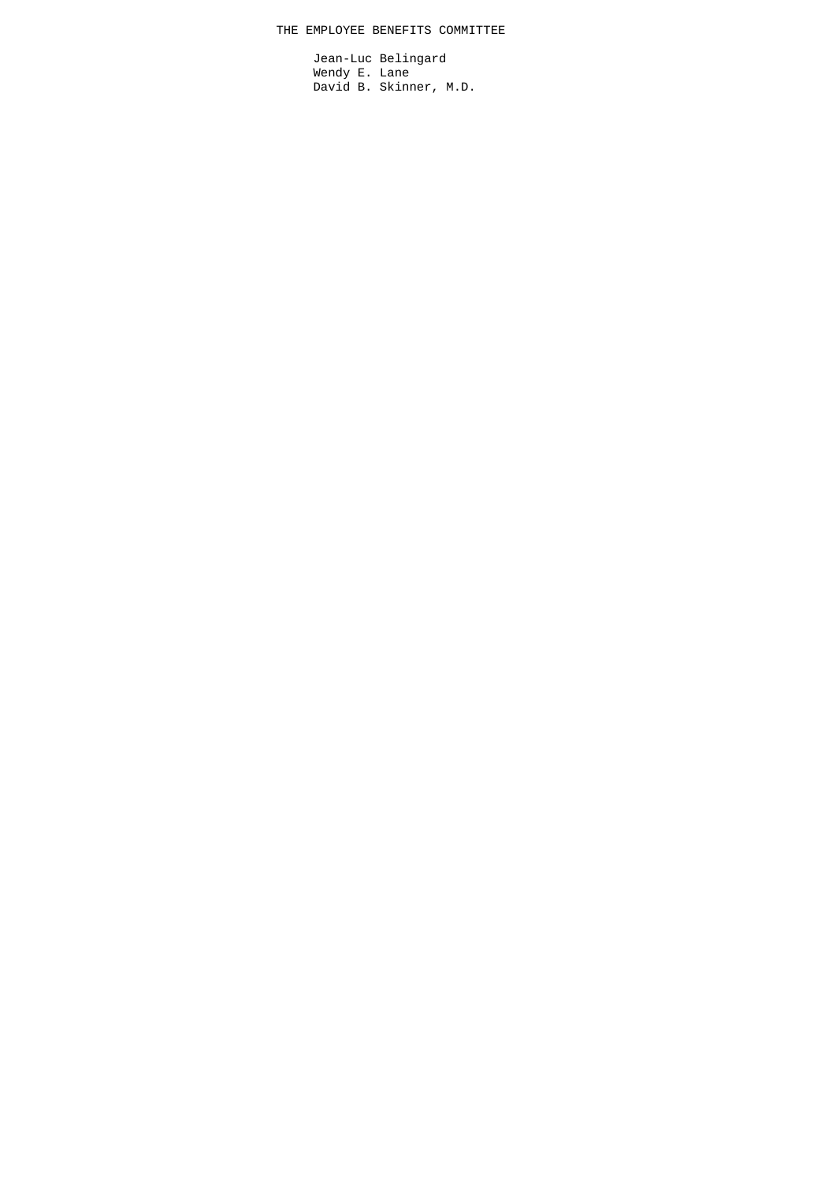# THE EMPLOYEE BENEFITS COMMITTEE

 Jean-Luc Belingard Wendy E. Lane David B. Skinner, M.D.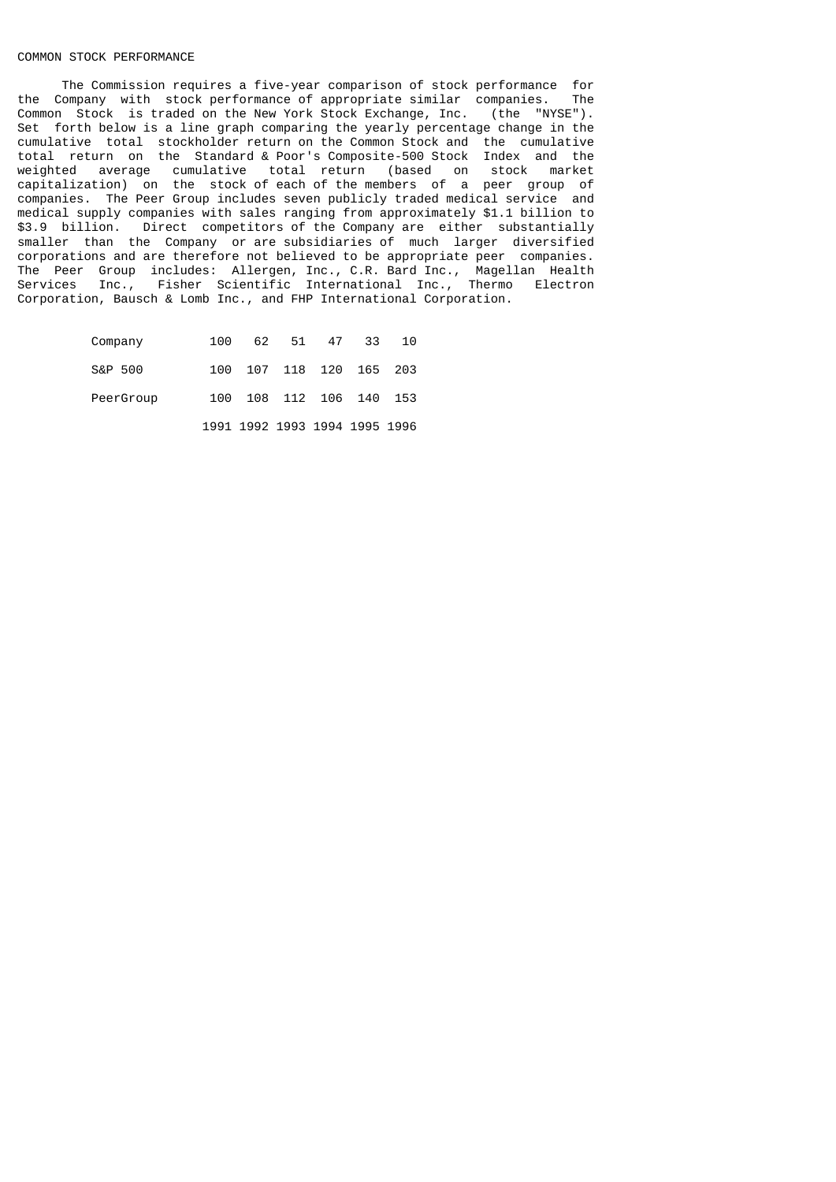# COMMON STOCK PERFORMANCE

The Commission requires a five-year comparison of stock performance for<br>Company with stock performance of appropriate similar companies. The the Company with stock performance of appropriate similar companies. Common Stock is traded on the New York Stock Exchange, Inc. (the "NYSE"). Set forth below is a line graph comparing the yearly percentage change in the cumulative total stockholder return on the Common Stock and the cumulative total return on the Standard & Poor's Composite-500 Stock Index and the weighted average cumulative total return (based on stock market capitalization) on the stock of each of the members of a peer group of companies. The Peer Group includes seven publicly traded medical service and medical supply companies with sales ranging from approximately \$1.1 billion to \$3.9 billion. Direct competitors of the Company are either substantially smaller than the Company or are subsidiaries of much larger diversified corporations and are therefore not believed to be appropriate peer companies. The Peer Group includes: Allergen, Inc., C.R. Bard Inc., Magellan Health Services Inc., Fisher Scientific International Inc., Thermo Electron Corporation, Bausch & Lomb Inc., and FHP International Corporation.

| Company   | 100 | 62 51 47 33                   |  | 10  |
|-----------|-----|-------------------------------|--|-----|
| S&P 500   | 100 | 107 118 120 165               |  | 203 |
| PeerGroup | 100 | 108 112 106 140 153           |  |     |
|           |     | 1991 1992 1993 1994 1995 1996 |  |     |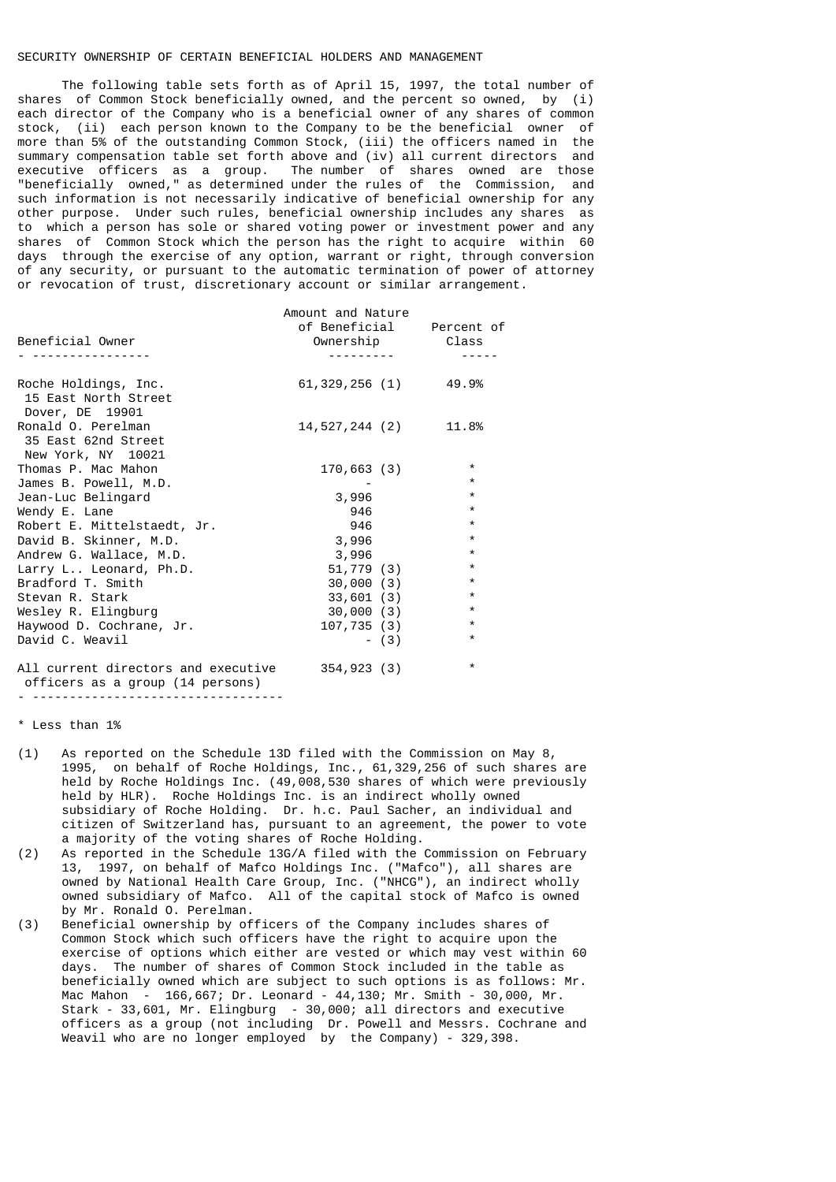# SECURITY OWNERSHIP OF CERTAIN BENEFICIAL HOLDERS AND MANAGEMENT

 The following table sets forth as of April 15, 1997, the total number of shares of Common Stock beneficially owned, and the percent so owned, by (i) each director of the Company who is a beneficial owner of any shares of common stock, (ii) each person known to the Company to be the beneficial owner of more than 5% of the outstanding Common Stock, (iii) the officers named in the summary compensation table set forth above and (iv) all current directors and executive officers as a group. The number of shares owned are those "beneficially owned," as determined under the rules of the Commission, and such information is not necessarily indicative of beneficial ownership for any other purpose. Under such rules, beneficial ownership includes any shares as to which a person has sole or shared voting power or investment power and any shares of Common Stock which the person has the right to acquire within 60 days through the exercise of any option, warrant or right, through conversion of any security, or pursuant to the automatic termination of power of attorney or revocation of trust, discretionary account or similar arrangement.

| Beneficial Owner                                                        | Amount and Nature      |         | of Beneficial Percent of<br>Ownership Class |
|-------------------------------------------------------------------------|------------------------|---------|---------------------------------------------|
|                                                                         |                        |         |                                             |
|                                                                         |                        |         |                                             |
| Roche Holdings, Inc.<br>15 East North Street<br>Dover, DE 19901         | 61, 329, 256 (1) 49.9% |         |                                             |
| Ronald O. Perelman<br>35 East 62nd Street<br>New York, NY 10021         | 14,527,244 (2)         |         | 11.8%                                       |
| Thomas P. Mac Mahon                                                     | 170,663(3)             |         | $\star$                                     |
| James B. Powell, M.D.                                                   |                        |         | $\star$                                     |
| Jean-Luc Belingard                                                      | 3,996                  |         | $\star$                                     |
| Wendy E. Lane                                                           | 946                    |         | $\star$                                     |
| Robert E. Mittelstaedt, Jr.                                             | 946                    |         | $\star$                                     |
| David B. Skinner, M.D.                                                  | 3,996                  |         | $\star$                                     |
| Andrew G. Wallace, M.D.                                                 | 3,996                  |         | $\star$                                     |
| Larry L Leonard, Ph.D.                                                  | 51,779 (3)             |         | $\star$                                     |
| Bradford T. Smith                                                       | 30,000(3)              |         | $\star$                                     |
| Stevan R. Stark                                                         | 33,601(3)              |         | $\star$                                     |
| Wesley R. Elingburg                                                     | 30,000(3)              |         | $\star$                                     |
| Haywood D. Cochrane, Jr.                                                | 107,735 (3)            |         | $\star$                                     |
| David C. Weavil                                                         |                        | $- (3)$ | $\star$                                     |
| All current directors and executive<br>officers as a group (14 persons) | 354,923(3)             |         | $\star$                                     |

- ----------------------------------

#### \* Less than 1%

- (1) As reported on the Schedule 13D filed with the Commission on May 8, 1995, on behalf of Roche Holdings, Inc., 61,329,256 of such shares are held by Roche Holdings Inc. (49,008,530 shares of which were previously held by HLR). Roche Holdings Inc. is an indirect wholly owned subsidiary of Roche Holding. Dr. h.c. Paul Sacher, an individual and citizen of Switzerland has, pursuant to an agreement, the power to vote a majority of the voting shares of Roche Holding.
- (2) As reported in the Schedule 13G/A filed with the Commission on February 13, 1997, on behalf of Mafco Holdings Inc. ("Mafco"), all shares are owned by National Health Care Group, Inc. ("NHCG"), an indirect wholly owned subsidiary of Mafco. All of the capital stock of Mafco is owned by Mr. Ronald O. Perelman.
- (3) Beneficial ownership by officers of the Company includes shares of Common Stock which such officers have the right to acquire upon the exercise of options which either are vested or which may vest within 60 days. The number of shares of Common Stock included in the table as beneficially owned which are subject to such options is as follows: Mr. Mac Mahon - 166,667; Dr. Leonard - 44,130; Mr. Smith - 30,000, Mr. Stark - 33,601, Mr. Elingburg - 30,000; all directors and executive officers as a group (not including Dr. Powell and Messrs. Cochrane and Weavil who are no longer employed by the Company) - 329,398.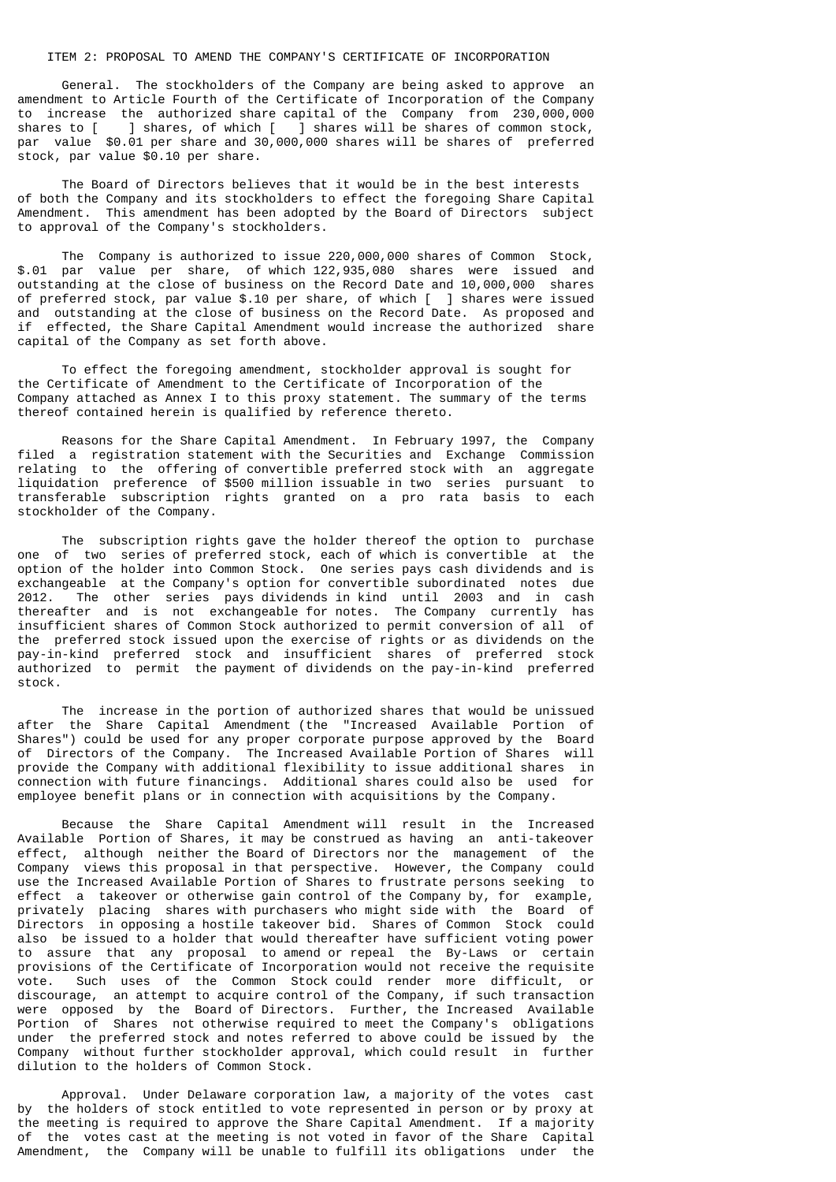# ITEM 2: PROPOSAL TO AMEND THE COMPANY'S CERTIFICATE OF INCORPORATION

 General. The stockholders of the Company are being asked to approve an amendment to Article Fourth of the Certificate of Incorporation of the Company to increase the authorized share capital of the Company from 230,000,000<br>shares to [ ] shares, of which [ ] shares will be shares of common stock, shares to [ ] shares, of which [ ] shares will be shares of common stock, par value \$0.01 per share and 30,000,000 shares will be shares of preferred stock, par value \$0.10 per share.

 The Board of Directors believes that it would be in the best interests of both the Company and its stockholders to effect the foregoing Share Capital Amendment. This amendment has been adopted by the Board of Directors subject to approval of the Company's stockholders.

 The Company is authorized to issue 220,000,000 shares of Common Stock, \$.01 par value per share, of which 122,935,080 shares were issued and outstanding at the close of business on the Record Date and 10,000,000 shares of preferred stock, par value \$.10 per share, of which [ ] shares were issued and outstanding at the close of business on the Record Date. As proposed and if effected, the Share Capital Amendment would increase the authorized share capital of the Company as set forth above.

 To effect the foregoing amendment, stockholder approval is sought for the Certificate of Amendment to the Certificate of Incorporation of the Company attached as Annex I to this proxy statement. The summary of the terms thereof contained herein is qualified by reference thereto.

 Reasons for the Share Capital Amendment. In February 1997, the Company filed a registration statement with the Securities and Exchange Commission relating to the offering of convertible preferred stock with an aggregate liquidation preference of \$500 million issuable in two series pursuant to transferable subscription rights granted on a pro rata basis to each stockholder of the Company.

 The subscription rights gave the holder thereof the option to purchase one of two series of preferred stock, each of which is convertible at the option of the holder into Common Stock. One series pays cash dividends and is exchangeable at the Company's option for convertible subordinated notes due 2012. The other series pays dividends in kind until 2003 and in cash thereafter and is not exchangeable for notes. The Company currently has insufficient shares of Common Stock authorized to permit conversion of all of the preferred stock issued upon the exercise of rights or as dividends on the pay-in-kind preferred stock and insufficient shares of preferred stock authorized to permit the payment of dividends on the pay-in-kind preferred stock.

 The increase in the portion of authorized shares that would be unissued after the Share Capital Amendment (the "Increased Available Portion of Shares") could be used for any proper corporate purpose approved by the Board of Directors of the Company. The Increased Available Portion of Shares will provide the Company with additional flexibility to issue additional shares in connection with future financings. Additional shares could also be used for employee benefit plans or in connection with acquisitions by the Company.

 Because the Share Capital Amendment will result in the Increased Available Portion of Shares, it may be construed as having an anti-takeover effect, although neither the Board of Directors nor the management of the Company views this proposal in that perspective. However, the Company could use the Increased Available Portion of Shares to frustrate persons seeking to effect a takeover or otherwise gain control of the Company by, for example, privately placing shares with purchasers who might side with the Board of Directors in opposing a hostile takeover bid. Shares of Common Stock could also be issued to a holder that would thereafter have sufficient voting power to assure that any proposal to amend or repeal the By-Laws or certain provisions of the Certificate of Incorporation would not receive the requisite vote. Such uses of the Common Stock could render more difficult, or discourage, an attempt to acquire control of the Company, if such transaction were opposed by the Board of Directors. Further, the Increased Available Portion of Shares not otherwise required to meet the Company's obligations under the preferred stock and notes referred to above could be issued by the Company without further stockholder approval, which could result in further dilution to the holders of Common Stock.

 Approval. Under Delaware corporation law, a majority of the votes cast by the holders of stock entitled to vote represented in person or by proxy at the meeting is required to approve the Share Capital Amendment. If a majority of the votes cast at the meeting is not voted in favor of the Share Capital Amendment, the Company will be unable to fulfill its obligations under the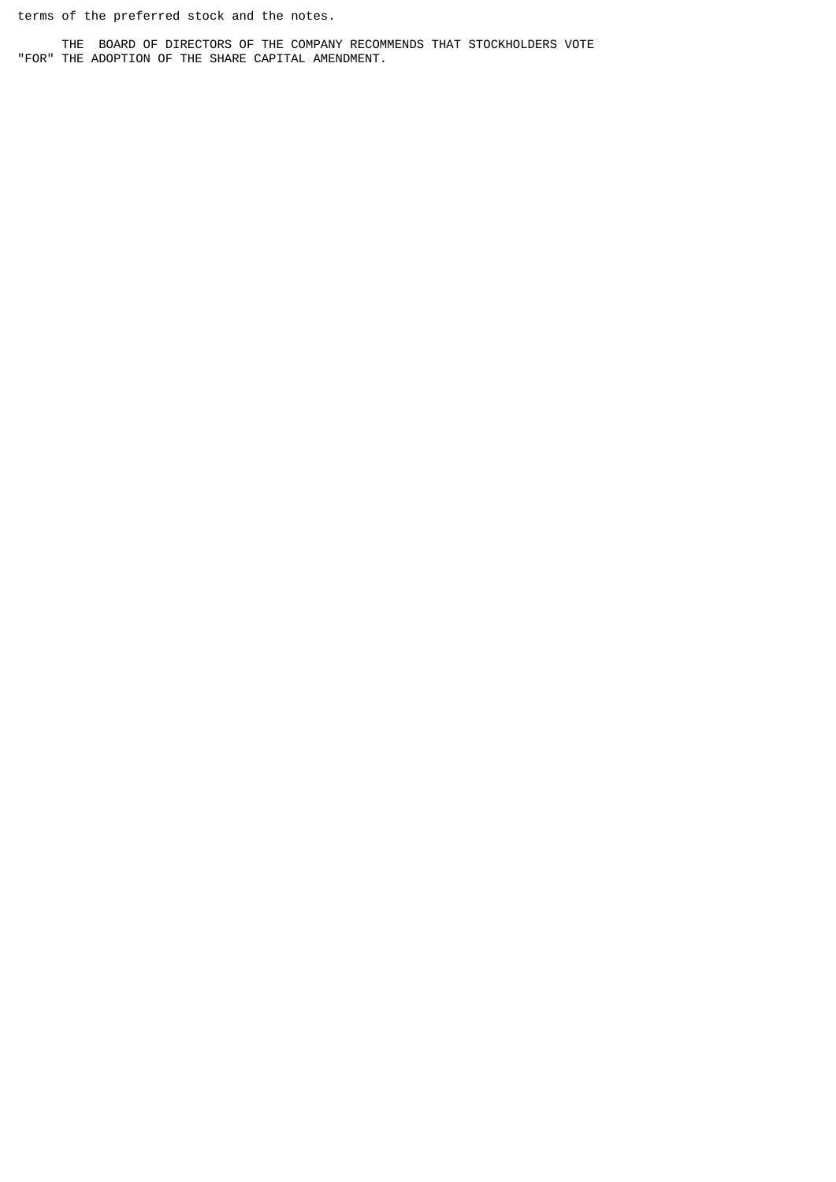terms of the preferred stock and the notes.

 THE BOARD OF DIRECTORS OF THE COMPANY RECOMMENDS THAT STOCKHOLDERS VOTE "FOR" THE ADOPTION OF THE SHARE CAPITAL AMENDMENT.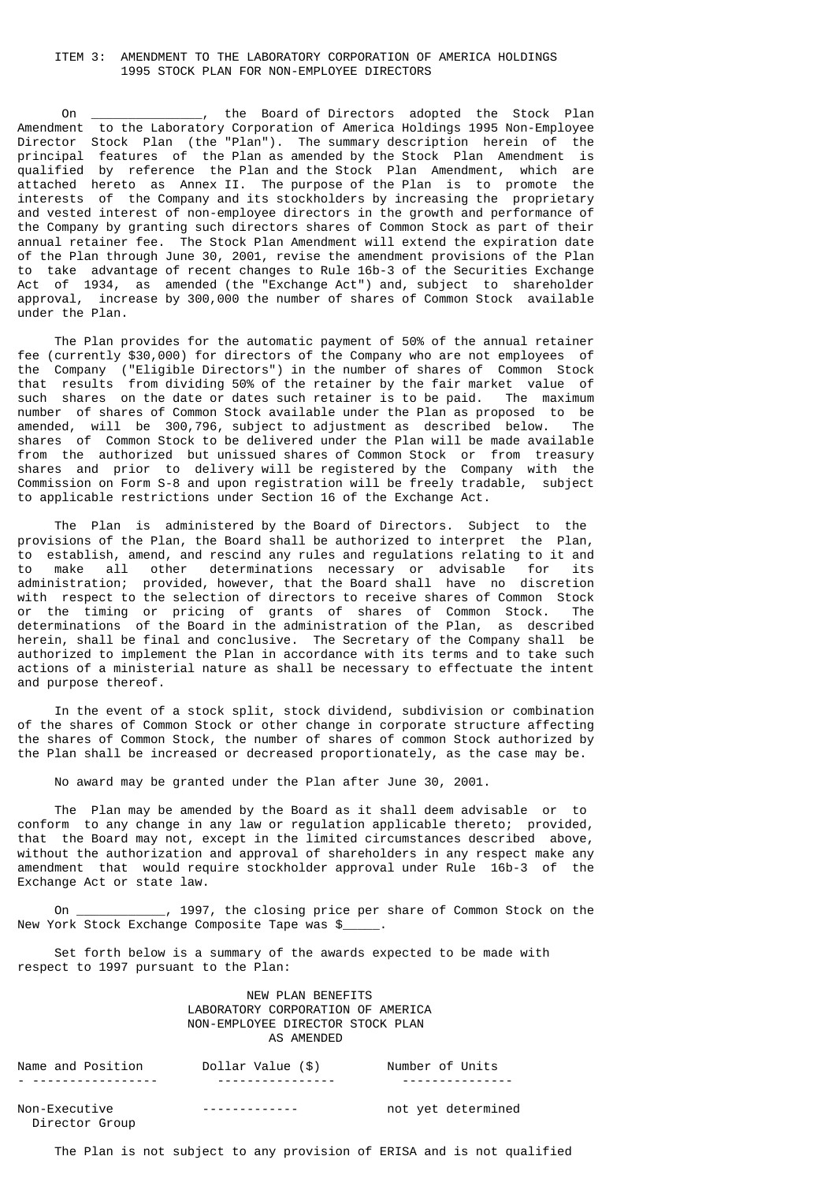# ITEM 3: AMENDMENT TO THE LABORATORY CORPORATION OF AMERICA HOLDINGS 1995 STOCK PLAN FOR NON-EMPLOYEE DIRECTORS

 On \_\_\_\_\_\_\_\_\_\_\_\_\_\_\_, the Board of Directors adopted the Stock Plan Amendment to the Laboratory Corporation of America Holdings 1995 Non-Employee Director Stock Plan (the "Plan"). The summary description herein of the principal features of the Plan as amended by the Stock Plan Amendment is qualified by reference the Plan and the Stock Plan Amendment, which are attached hereto as Annex II. The purpose of the Plan is to promote the interests of the Company and its stockholders by increasing the proprietary and vested interest of non-employee directors in the growth and performance of the Company by granting such directors shares of Common Stock as part of their annual retainer fee. The Stock Plan Amendment will extend the expiration date of the Plan through June 30, 2001, revise the amendment provisions of the Plan to take advantage of recent changes to Rule 16b-3 of the Securities Exchange Act of 1934, as amended (the "Exchange Act") and, subject to shareholder approval, increase by 300,000 the number of shares of Common Stock available under the Plan.

 The Plan provides for the automatic payment of 50% of the annual retainer fee (currently \$30,000) for directors of the Company who are not employees of the Company ("Eligible Directors") in the number of shares of Common Stock that results from dividing 50% of the retainer by the fair market value of such shares on the date or dates such retainer is to be paid. The maximum number of shares of Common Stock available under the Plan as proposed to be amended, will be 300,796, subject to adjustment as described below. The shares of Common Stock to be delivered under the Plan will be made available from the authorized but unissued shares of Common Stock or from treasury shares and prior to delivery will be registered by the Company with the Commission on Form S-8 and upon registration will be freely tradable, subject to applicable restrictions under Section 16 of the Exchange Act.

 The Plan is administered by the Board of Directors. Subject to the provisions of the Plan, the Board shall be authorized to interpret the Plan, to establish, amend, and rescind any rules and regulations relating to it and to make all other determinations necessary or advisable for its administration; provided, however, that the Board shall have no discretion with respect to the selection of directors to receive shares of Common Stock or the timing or pricing of grants of shares of Common Stock. The determinations of the Board in the administration of the Plan, as described herein, shall be final and conclusive. The Secretary of the Company shall be authorized to implement the Plan in accordance with its terms and to take such actions of a ministerial nature as shall be necessary to effectuate the intent and purpose thereof.

 In the event of a stock split, stock dividend, subdivision or combination of the shares of Common Stock or other change in corporate structure affecting the shares of Common Stock, the number of shares of common Stock authorized by the Plan shall be increased or decreased proportionately, as the case may be.

No award may be granted under the Plan after June 30, 2001.

 The Plan may be amended by the Board as it shall deem advisable or to conform to any change in any law or regulation applicable thereto; provided, that the Board may not, except in the limited circumstances described above, without the authorization and approval of shareholders in any respect make any amendment that would require stockholder approval under Rule 16b-3 of the Exchange Act or state law.

 On \_\_\_\_\_\_\_\_\_\_\_\_, 1997, the closing price per share of Common Stock on the New York Stock Exchange Composite Tape was \$

 Set forth below is a summary of the awards expected to be made with respect to 1997 pursuant to the Plan:

# NEW PLAN BENEFITS LABORATORY CORPORATION OF AMERICA NON-EMPLOYEE DIRECTOR STOCK PLAN AS AMENDED

| Name and Position                     | Dollar Value (\$) | Number of Units    |
|---------------------------------------|-------------------|--------------------|
| _ _ _ _ _ _ _ _ _ _ _ _ _ _ _ _ _ _ _ | ----------------- | ----------------   |
| Non-Executive                         | _______________   | not yet determined |

Director Group

The Plan is not subject to any provision of ERISA and is not qualified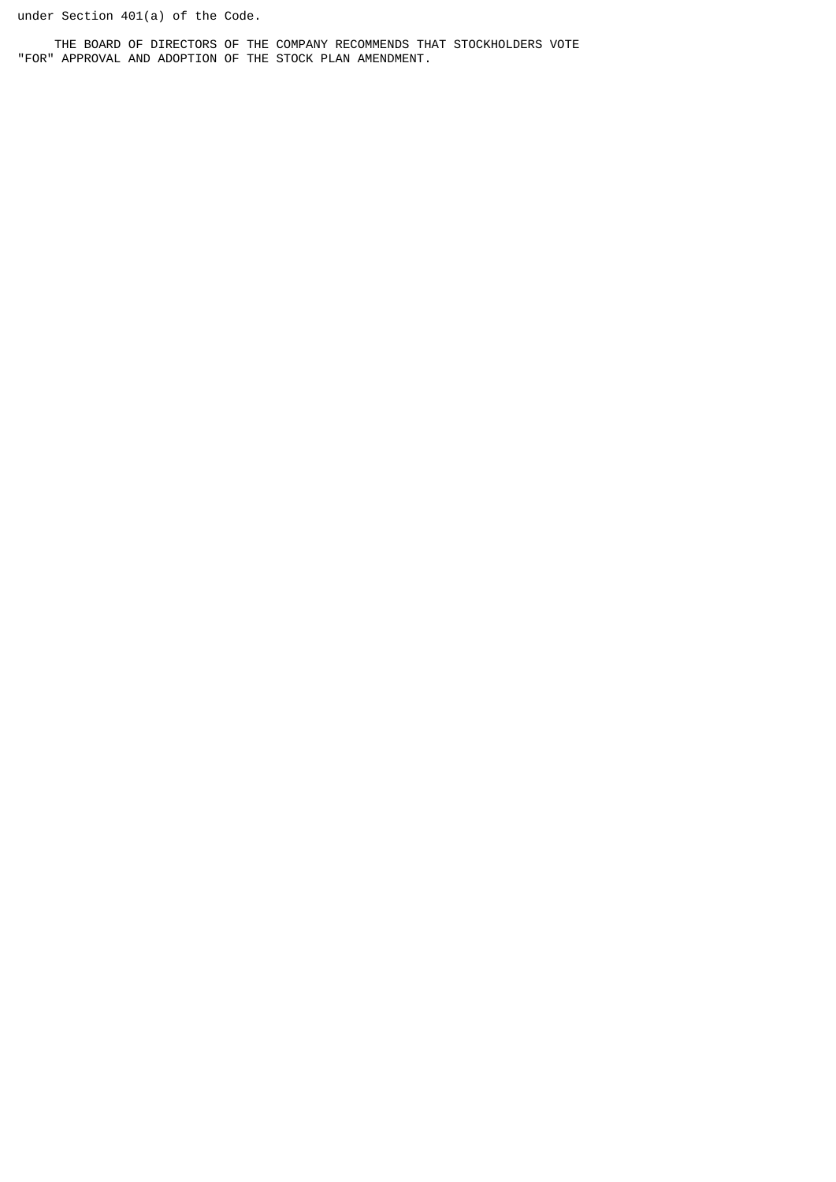under Section 401(a) of the Code.

 THE BOARD OF DIRECTORS OF THE COMPANY RECOMMENDS THAT STOCKHOLDERS VOTE "FOR" APPROVAL AND ADOPTION OF THE STOCK PLAN AMENDMENT.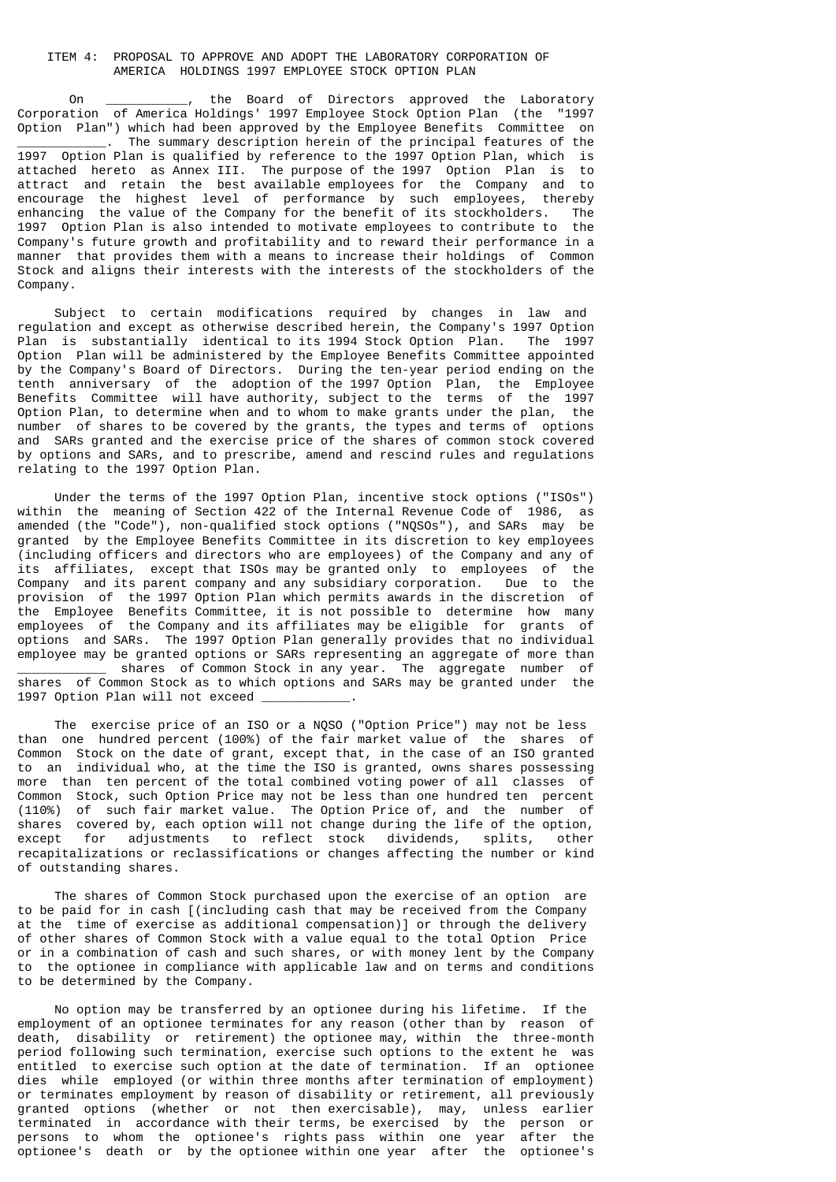# ITEM 4: PROPOSAL TO APPROVE AND ADOPT THE LABORATORY CORPORATION OF AMERICA HOLDINGS 1997 EMPLOYEE STOCK OPTION PLAN

 On \_\_\_\_\_\_\_\_\_\_\_, the Board of Directors approved the Laboratory Corporation of America Holdings' 1997 Employee Stock Option Plan (the "1997 Option Plan") which had been approved by the Employee Benefits Committee on The summary description herein of the principal features of the 1997 Option Plan is qualified by reference to the 1997 Option Plan, which is attached hereto as Annex III. The purpose of the 1997 Option Plan is to attract and retain the best available employees for the Company and to encourage the highest level of performance by such employees, thereby<br>enhancing the value of the Company for the benefit of its stockholders. The enhancing the value of the Company for the benefit of its stockholders. 1997 Option Plan is also intended to motivate employees to contribute to the Company's future growth and profitability and to reward their performance in a manner that provides them with a means to increase their holdings of Common Stock and aligns their interests with the interests of the stockholders of the Company.

 Subject to certain modifications required by changes in law and regulation and except as otherwise described herein, the Company's 1997 Option Plan is substantially identical to its 1994 Stock Option Plan. The 1997 Option Plan will be administered by the Employee Benefits Committee appointed by the Company's Board of Directors. During the ten-year period ending on the tenth anniversary of the adoption of the 1997 Option Plan, the Employee Benefits Committee will have authority, subject to the terms of the 1997 Option Plan, to determine when and to whom to make grants under the plan, the number of shares to be covered by the grants, the types and terms of options and SARs granted and the exercise price of the shares of common stock covered by options and SARs, and to prescribe, amend and rescind rules and regulations relating to the 1997 Option Plan.

 Under the terms of the 1997 Option Plan, incentive stock options ("ISOs") within the meaning of Section 422 of the Internal Revenue Code of 1986, as amended (the "Code"), non-qualified stock options ("NQSOs"), and SARs may be granted by the Employee Benefits Committee in its discretion to key employees (including officers and directors who are employees) of the Company and any of its affiliates, except that ISOs may be granted only to employees of the Company and its parent company and any subsidiary corporation. Due to the provision of the 1997 Option Plan which permits awards in the discretion of the Employee Benefits Committee, it is not possible to determine how many employees of the Company and its affiliates may be eligible for grants of options and SARs. The 1997 Option Plan generally provides that no individual employee may be granted options or SARs representing an aggregate of more than shares of Common Stock in any year. The aggregate number of shares of Common Stock as to which options and SARs may be granted under the 1997 Option Plan will not exceed

 The exercise price of an ISO or a NQSO ("Option Price") may not be less than one hundred percent (100%) of the fair market value of the shares of Common Stock on the date of grant, except that, in the case of an ISO granted to an individual who, at the time the ISO is granted, owns shares possessing more than ten percent of the total combined voting power of all classes of Common Stock, such Option Price may not be less than one hundred ten percent (110%) of such fair market value. The Option Price of, and the number of shares covered by, each option will not change during the life of the option, except for adjustments to reflect stock dividends, splits, other recapitalizations or reclassifications or changes affecting the number or kind of outstanding shares.

 The shares of Common Stock purchased upon the exercise of an option are to be paid for in cash [(including cash that may be received from the Company at the time of exercise as additional compensation)] or through the delivery of other shares of Common Stock with a value equal to the total Option Price or in a combination of cash and such shares, or with money lent by the Company to the optionee in compliance with applicable law and on terms and conditions to be determined by the Company.

 No option may be transferred by an optionee during his lifetime. If the employment of an optionee terminates for any reason (other than by reason of death, disability or retirement) the optionee may, within the three-month period following such termination, exercise such options to the extent he was entitled to exercise such option at the date of termination. If an optionee dies while employed (or within three months after termination of employment) or terminates employment by reason of disability or retirement, all previously granted options (whether or not then exercisable), may, unless earlier terminated in accordance with their terms, be exercised by the person or persons to whom the optionee's rights pass within one year after the optionee's death or by the optionee within one year after the optionee's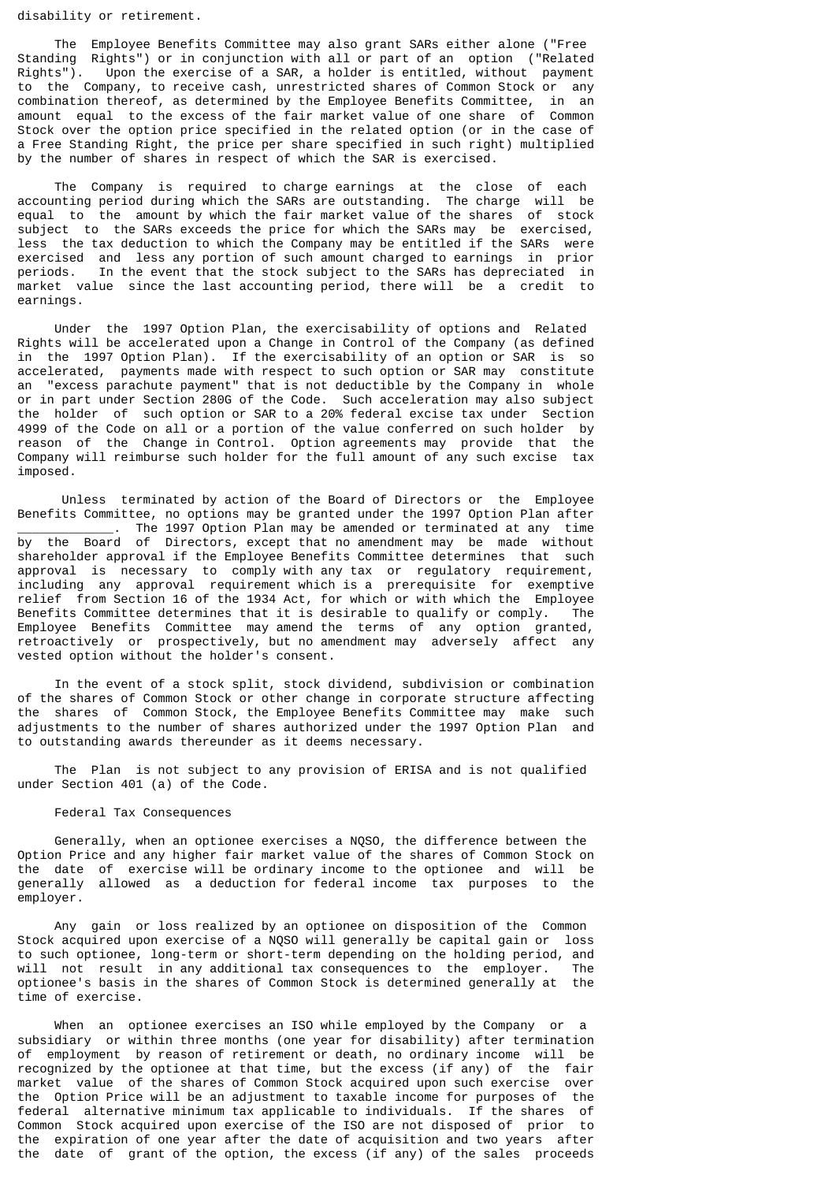disability or retirement.

 The Employee Benefits Committee may also grant SARs either alone ("Free Standing Rights") or in conjunction with all or part of an option ("Related Rights"). Upon the exercise of a SAR, a holder is entitled, without payment to the Company, to receive cash, unrestricted shares of Common Stock or any combination thereof, as determined by the Employee Benefits Committee, in an amount equal to the excess of the fair market value of one share of Common Stock over the option price specified in the related option (or in the case of a Free Standing Right, the price per share specified in such right) multiplied by the number of shares in respect of which the SAR is exercised.

 The Company is required to charge earnings at the close of each accounting period during which the SARs are outstanding. The charge will be equal to the amount by which the fair market value of the shares of stock subject to the SARs exceeds the price for which the SARs may be exercised, less the tax deduction to which the Company may be entitled if the SARs were exercised and less any portion of such amount charged to earnings in prior<br>periods. In the event that the stock subject to the SARs has depreciated in In the event that the stock subject to the SARs has depreciated in market value since the last accounting period, there will be a credit to earnings.

 Under the 1997 Option Plan, the exercisability of options and Related Rights will be accelerated upon a Change in Control of the Company (as defined in the 1997 Option Plan). If the exercisability of an option or SAR is so accelerated, payments made with respect to such option or SAR may constitute an "excess parachute payment" that is not deductible by the Company in whole or in part under Section 280G of the Code. Such acceleration may also subject the holder of such option or SAR to a 20% federal excise tax under Section 4999 of the Code on all or a portion of the value conferred on such holder by reason of the Change in Control. Option agreements may provide that the Company will reimburse such holder for the full amount of any such excise tax imposed.

 Unless terminated by action of the Board of Directors or the Employee Benefits Committee, no options may be granted under the 1997 Option Plan after The 1997 Option Plan may be amended or terminated at any time by the Board of Directors, except that no amendment may be made without shareholder approval if the Employee Benefits Committee determines that such approval is necessary to comply with any tax or regulatory requirement, including any approval requirement which is a prerequisite for exemptive relief from Section 16 of the 1934 Act, for which or with which the Employee Benefits Committee determines that it is desirable to qualify or comply. The Employee Benefits Committee may amend the terms of any option granted, retroactively or prospectively, but no amendment may adversely affect any vested option without the holder's consent.

 In the event of a stock split, stock dividend, subdivision or combination of the shares of Common Stock or other change in corporate structure affecting the shares of Common Stock, the Employee Benefits Committee may make such adjustments to the number of shares authorized under the 1997 Option Plan and to outstanding awards thereunder as it deems necessary.

 The Plan is not subject to any provision of ERISA and is not qualified under Section 401 (a) of the Code.

#### Federal Tax Consequences

 Generally, when an optionee exercises a NQSO, the difference between the Option Price and any higher fair market value of the shares of Common Stock on the date of exercise will be ordinary income to the optionee and will be generally allowed as a deduction for federal income tax purposes to the employer.

 Any gain or loss realized by an optionee on disposition of the Common Stock acquired upon exercise of a NQSO will generally be capital gain or loss to such optionee, long-term or short-term depending on the holding period, and will not result in any additional tax consequences to the employer. The optionee's basis in the shares of Common Stock is determined generally at the time of exercise.

 When an optionee exercises an ISO while employed by the Company or a subsidiary or within three months (one year for disability) after termination of employment by reason of retirement or death, no ordinary income will be recognized by the optionee at that time, but the excess (if any) of the fair market value of the shares of Common Stock acquired upon such exercise over the Option Price will be an adjustment to taxable income for purposes of the federal alternative minimum tax applicable to individuals. If the shares of Common Stock acquired upon exercise of the ISO are not disposed of prior to the expiration of one year after the date of acquisition and two years after the date of grant of the option, the excess (if any) of the sales proceeds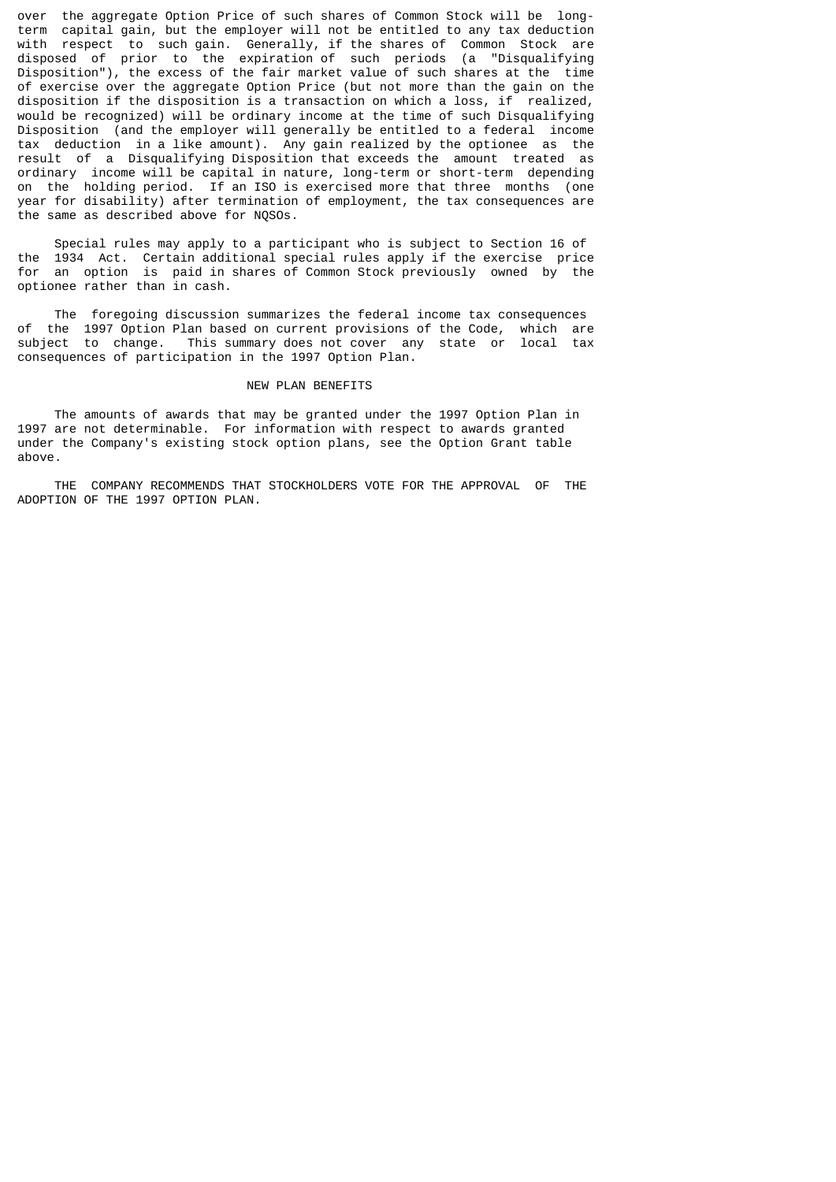over the aggregate Option Price of such shares of Common Stock will be longterm capital gain, but the employer will not be entitled to any tax deduction with respect to such gain. Generally, if the shares of Common Stock are disposed of prior to the expiration of such periods (a "Disqualifying Disposition"), the excess of the fair market value of such shares at the time of exercise over the aggregate Option Price (but not more than the gain on the disposition if the disposition is a transaction on which a loss, if realized, would be recognized) will be ordinary income at the time of such Disqualifying Disposition (and the employer will generally be entitled to a federal income tax deduction in a like amount). Any gain realized by the optionee as the result of a Disqualifying Disposition that exceeds the amount treated as ordinary income will be capital in nature, long-term or short-term depending on the holding period. If an ISO is exercised more that three months (one year for disability) after termination of employment, the tax consequences are the same as described above for NQSOs.

 Special rules may apply to a participant who is subject to Section 16 of the 1934 Act. Certain additional special rules apply if the exercise price for an option is paid in shares of Common Stock previously owned by the optionee rather than in cash.

The foregoing discussion summarizes the federal income tax consequences<br>of the 1997 Ontion Plan based on current provisions of the Code which are the 1997 Option Plan based on current provisions of the Code, which are subject to change. This summary does not cover any state or local tax consequences of participation in the 1997 Option Plan.

### NEW PLAN BENEFITS

 The amounts of awards that may be granted under the 1997 Option Plan in 1997 are not determinable. For information with respect to awards granted under the Company's existing stock option plans, see the Option Grant table above.

 THE COMPANY RECOMMENDS THAT STOCKHOLDERS VOTE FOR THE APPROVAL OF THE ADOPTION OF THE 1997 OPTION PLAN.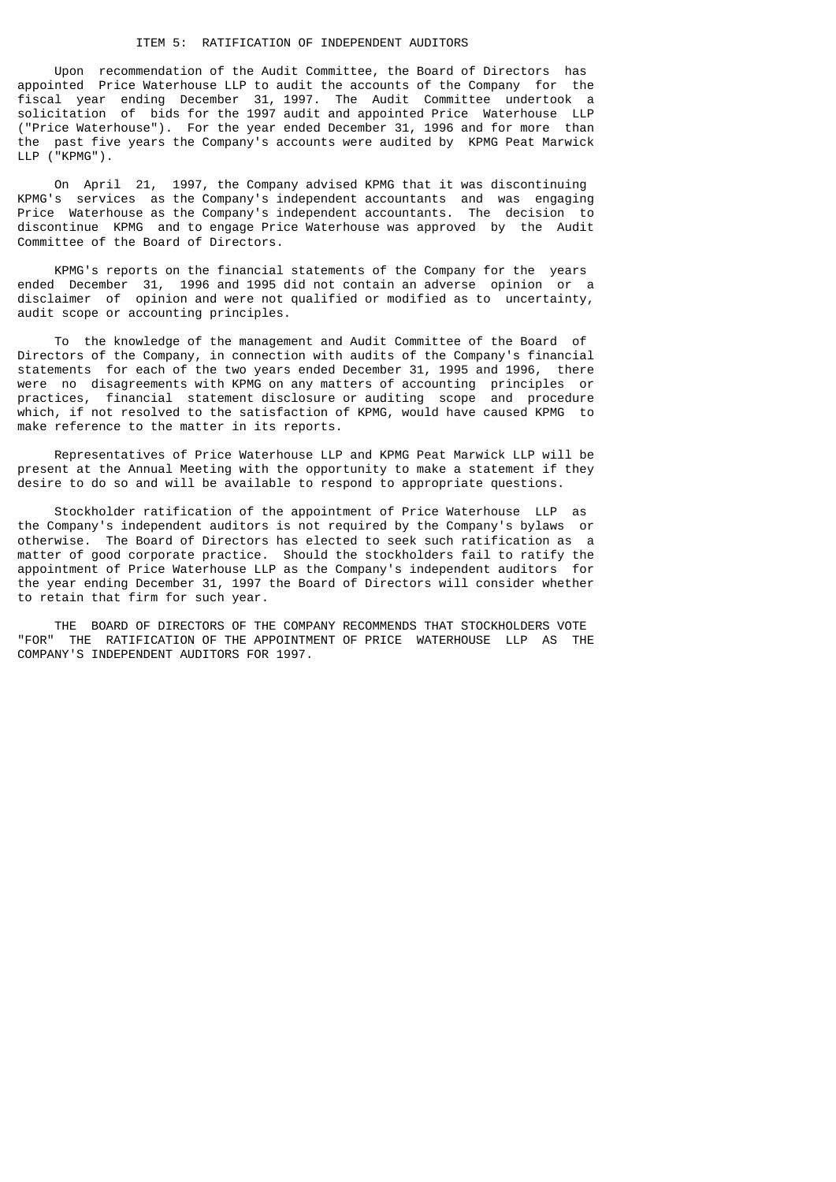# ITEM 5: RATIFICATION OF INDEPENDENT AUDITORS

 Upon recommendation of the Audit Committee, the Board of Directors has appointed Price Waterhouse LLP to audit the accounts of the Company for the fiscal year ending December 31, 1997. The Audit Committee undertook a solicitation of bids for the 1997 audit and appointed Price Waterhouse LLP ("Price Waterhouse"). For the year ended December 31, 1996 and for more than the past five years the Company's accounts were audited by KPMG Peat Marwick LLP ("KPMG").

 On April 21, 1997, the Company advised KPMG that it was discontinuing KPMG's services as the Company's independent accountants and was engaging Price Waterhouse as the Company's independent accountants. The decision to discontinue KPMG and to engage Price Waterhouse was approved by the Audit Committee of the Board of Directors.

 KPMG's reports on the financial statements of the Company for the years ended December 31, 1996 and 1995 did not contain an adverse opinion or a disclaimer of opinion and were not qualified or modified as to uncertainty, audit scope or accounting principles.

 To the knowledge of the management and Audit Committee of the Board of Directors of the Company, in connection with audits of the Company's financial statements for each of the two years ended December 31, 1995 and 1996, there were no disagreements with KPMG on any matters of accounting principles or practices, financial statement disclosure or auditing scope and procedure which, if not resolved to the satisfaction of KPMG, would have caused KPMG to make reference to the matter in its reports.

 Representatives of Price Waterhouse LLP and KPMG Peat Marwick LLP will be present at the Annual Meeting with the opportunity to make a statement if they desire to do so and will be available to respond to appropriate questions.

 Stockholder ratification of the appointment of Price Waterhouse LLP as the Company's independent auditors is not required by the Company's bylaws or otherwise. The Board of Directors has elected to seek such ratification as a matter of good corporate practice. Should the stockholders fail to ratify the appointment of Price Waterhouse LLP as the Company's independent auditors for the year ending December 31, 1997 the Board of Directors will consider whether to retain that firm for such year.

 THE BOARD OF DIRECTORS OF THE COMPANY RECOMMENDS THAT STOCKHOLDERS VOTE "FOR" THE RATIFICATION OF THE APPOINTMENT OF PRICE WATERHOUSE LLP AS THE COMPANY'S INDEPENDENT AUDITORS FOR 1997.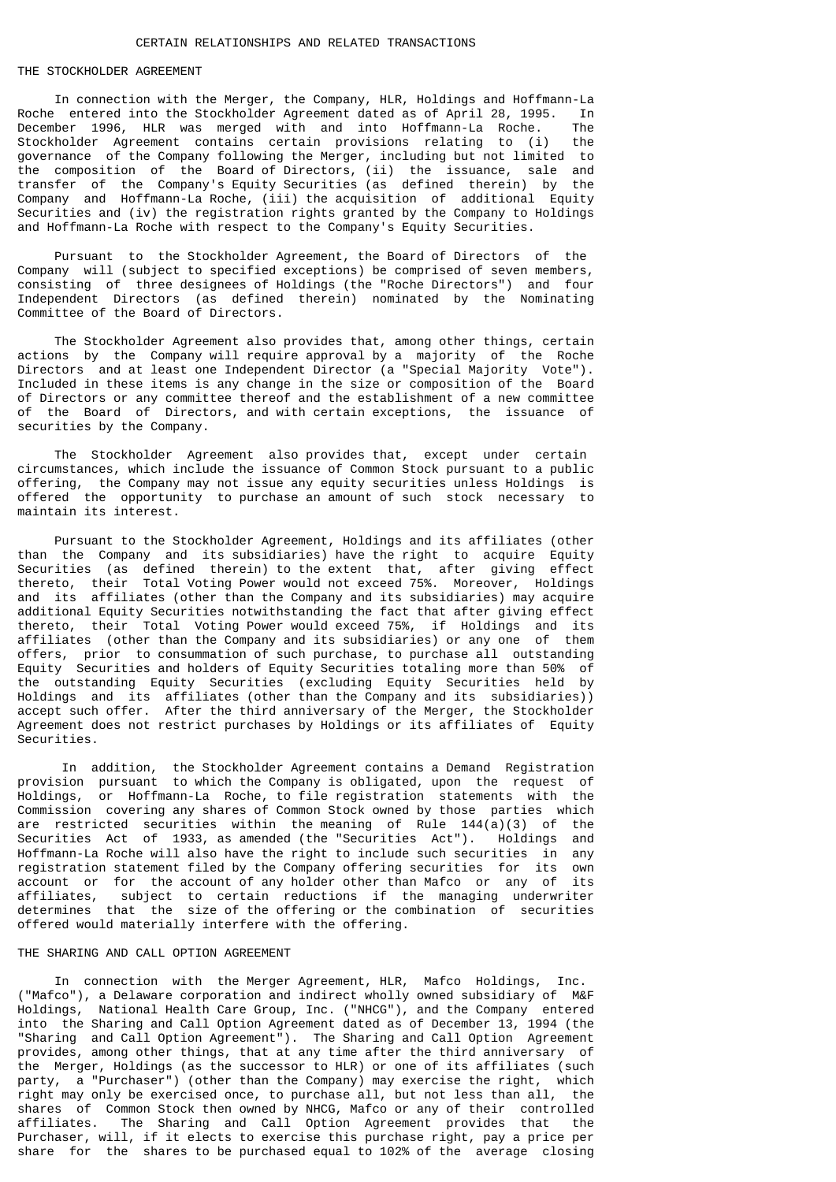# THE STOCKHOLDER AGREEMENT

 In connection with the Merger, the Company, HLR, Holdings and Hoffmann-La Roche entered into the Stockholder Agreement dated as of April 28, 1995. In December 1996, HLR was merged with and into Hoffmann-La Roche. The Stockholder Agreement contains certain provisions relating to (i) the governance of the Company following the Merger, including but not limited to the composition of the Board of Directors, (ii) the issuance, sale and transfer of the Company's Equity Securities (as defined therein) by the Company and Hoffmann-La Roche, (iii) the acquisition of additional Equity Securities and (iv) the registration rights granted by the Company to Holdings and Hoffmann-La Roche with respect to the Company's Equity Securities.

 Pursuant to the Stockholder Agreement, the Board of Directors of the Company will (subject to specified exceptions) be comprised of seven members, consisting of three designees of Holdings (the "Roche Directors") and four Independent Directors (as defined therein) nominated by the Nominating Committee of the Board of Directors.

 The Stockholder Agreement also provides that, among other things, certain actions by the Company will require approval by a majority of the Roche Directors and at least one Independent Director (a "Special Majority Vote"). Included in these items is any change in the size or composition of the Board of Directors or any committee thereof and the establishment of a new committee of the Board of Directors, and with certain exceptions, the issuance of securities by the Company.

 The Stockholder Agreement also provides that, except under certain circumstances, which include the issuance of Common Stock pursuant to a public offering, the Company may not issue any equity securities unless Holdings is offered the opportunity to purchase an amount of such stock necessary to maintain its interest.

 Pursuant to the Stockholder Agreement, Holdings and its affiliates (other than the Company and its subsidiaries) have the right to acquire Equity Securities (as defined therein) to the extent that, after giving effect thereto, their Total Voting Power would not exceed 75%. Moreover, Holdings and its affiliates (other than the Company and its subsidiaries) may acquire additional Equity Securities notwithstanding the fact that after giving effect thereto, their Total Voting Power would exceed 75%, if Holdings and its affiliates (other than the Company and its subsidiaries) or any one of them offers, prior to consummation of such purchase, to purchase all outstanding Equity Securities and holders of Equity Securities totaling more than 50% of the outstanding Equity Securities (excluding Equity Securities held by Holdings and its affiliates (other than the Company and its subsidiaries)) accept such offer. After the third anniversary of the Merger, the Stockholder Agreement does not restrict purchases by Holdings or its affiliates of Equity Securities.

 In addition, the Stockholder Agreement contains a Demand Registration provision pursuant to which the Company is obligated, upon the request of Holdings, or Hoffmann-La Roche, to file registration statements with the Commission covering any shares of Common Stock owned by those parties which are restricted securities within the meaning of Rule 144(a)(3) of the<br>Securities Act of 1933, as amended (the "Securities Act"). Holdings and Securities Act of 1933, as amended (the "Securities Act"). Hoffmann-La Roche will also have the right to include such securities in any registration statement filed by the Company offering securities for its own account or for the account of any holder other than Mafco or any of its affiliates, subject to certain reductions if the managing underwriter determines that the size of the offering or the combination of securities offered would materially interfere with the offering.

#### THE SHARING AND CALL OPTION AGREEMENT

 In connection with the Merger Agreement, HLR, Mafco Holdings, Inc. ("Mafco"), a Delaware corporation and indirect wholly owned subsidiary of M&F National Health Care Group, Inc. ("NHCG"), and the Company entered into the Sharing and Call Option Agreement dated as of December 13, 1994 (the "Sharing and Call Option Agreement"). The Sharing and Call Option Agreement provides, among other things, that at any time after the third anniversary of the Merger, Holdings (as the successor to HLR) or one of its affiliates (such party, a "Purchaser") (other than the Company) may exercise the right, which right may only be exercised once, to purchase all, but not less than all, the shares of Common Stock then owned by NHCG, Mafco or any of their controlled affiliates. The Sharing and Call Option Agreement provides that the Purchaser, will, if it elects to exercise this purchase right, pay a price per share for the shares to be purchased equal to 102% of the average closing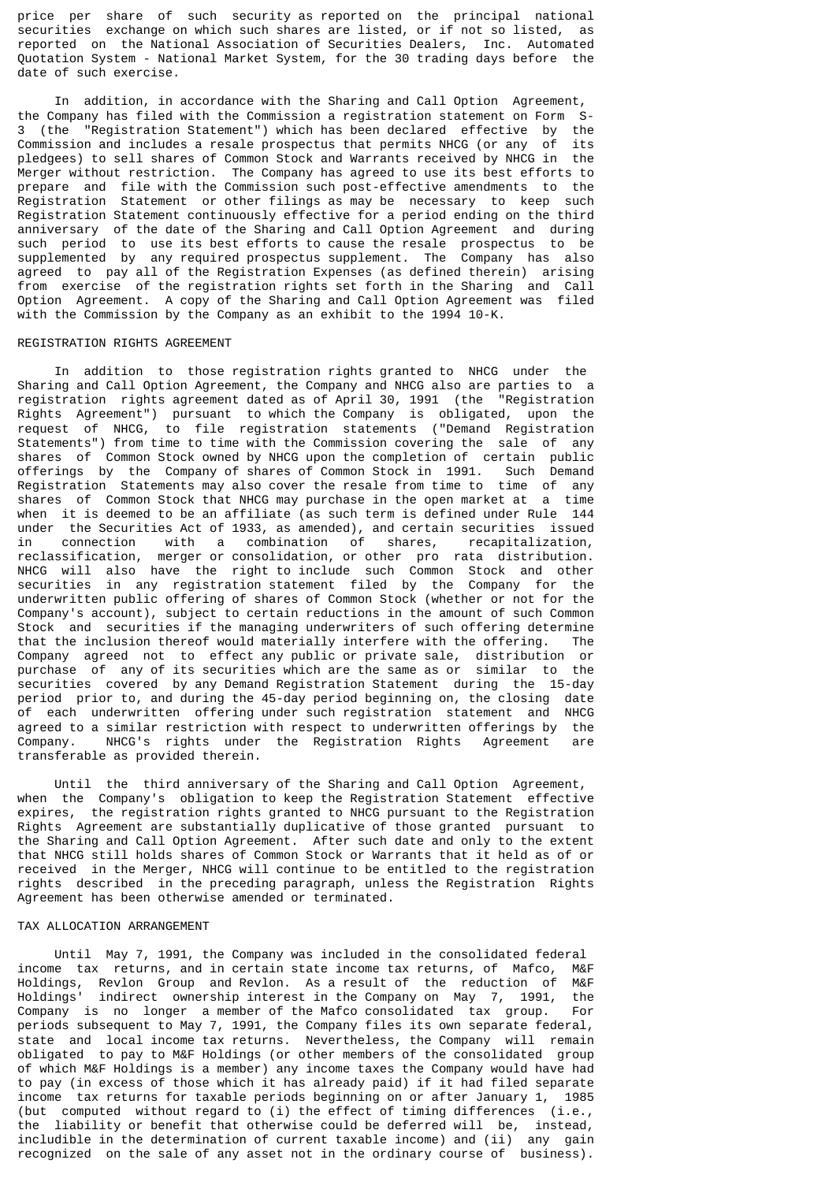price per share of such security as reported on the principal national securities exchange on which such shares are listed, or if not so listed, as reported on the National Association of Securities Dealers, Inc. Automated Quotation System - National Market System, for the 30 trading days before the date of such exercise.

 In addition, in accordance with the Sharing and Call Option Agreement, the Company has filed with the Commission a registration statement on Form S-3 (the "Registration Statement") which has been declared effective by the Commission and includes a resale prospectus that permits NHCG (or any of its pledgees) to sell shares of Common Stock and Warrants received by NHCG in the Merger without restriction. The Company has agreed to use its best efforts to prepare and file with the Commission such post-effective amendments to the Registration Statement or other filings as may be necessary to keep such Registration Statement continuously effective for a period ending on the third anniversary of the date of the Sharing and Call Option Agreement and during such period to use its best efforts to cause the resale prospectus to be supplemented by any required prospectus supplement. The Company has also agreed to pay all of the Registration Expenses (as defined therein) arising from exercise of the registration rights set forth in the Sharing and Call Option Agreement. A copy of the Sharing and Call Option Agreement was filed with the Commission by the Company as an exhibit to the 1994 10-K.

#### REGISTRATION RIGHTS AGREEMENT

 In addition to those registration rights granted to NHCG under the Sharing and Call Option Agreement, the Company and NHCG also are parties to a registration rights agreement dated as of April 30, 1991 (the "Registration Rights Agreement") pursuant to which the Company is obligated, upon the request of NHCG, to file registration statements ("Demand Registration Statements") from time to time with the Commission covering the sale of any shares of Common Stock owned by NHCG upon the completion of certain public offerings by the Company of shares of Common Stock in 1991. Such Demand Registration Statements may also cover the resale from time to time of any shares of Common Stock that NHCG may purchase in the open market at a time when it is deemed to be an affiliate (as such term is defined under Rule 144 under the Securities Act of 1933, as amended), and certain securities issued in connection with a combination of shares, recapitalization, reclassification, merger or consolidation, or other pro rata distribution. NHCG will also have the right to include such Common Stock and other securities in any registration statement filed by the Company for the underwritten public offering of shares of Common Stock (whether or not for the Company's account), subject to certain reductions in the amount of such Common Stock and securities if the managing underwriters of such offering determine that the inclusion thereof would materially interfere with the offering. The Company agreed not to effect any public or private sale, distribution or purchase of any of its securities which are the same as or similar to the securities covered by any Demand Registration Statement during the 15-day period prior to, and during the 45-day period beginning on, the closing date of each underwritten offering under such registration statement and NHCG agreed to a similar restriction with respect to underwritten offerings by the Company. NHCG's rights under the Registration Rights Agreement transferable as provided therein.

 Until the third anniversary of the Sharing and Call Option Agreement, when the Company's obligation to keep the Registration Statement effective expires, the registration rights granted to NHCG pursuant to the Registration Rights Agreement are substantially duplicative of those granted pursuant to the Sharing and Call Option Agreement. After such date and only to the extent that NHCG still holds shares of Common Stock or Warrants that it held as of or received in the Merger, NHCG will continue to be entitled to the registration rights described in the preceding paragraph, unless the Registration Rights Agreement has been otherwise amended or terminated.

### TAX ALLOCATION ARRANGEMENT

 Until May 7, 1991, the Company was included in the consolidated federal income tax returns, and in certain state income tax returns, of Mafco, M&F Holdings, Revlon Group and Revlon. As a result of the reduction of M&F Holdings' indirect ownership interest in the Company on May 7, 1991, the Company is no longer a member of the Mafco consolidated tax group. For periods subsequent to May 7, 1991, the Company files its own separate federal, state and local income tax returns. Nevertheless, the Company will remain obligated to pay to M&F Holdings (or other members of the consolidated group of which M&F Holdings is a member) any income taxes the Company would have had to pay (in excess of those which it has already paid) if it had filed separate income tax returns for taxable periods beginning on or after January 1, 1985 (but computed without regard to (i) the effect of timing differences (i.e., the liability or benefit that otherwise could be deferred will be, instead, includible in the determination of current taxable income) and (ii) any gain recognized on the sale of any asset not in the ordinary course of business).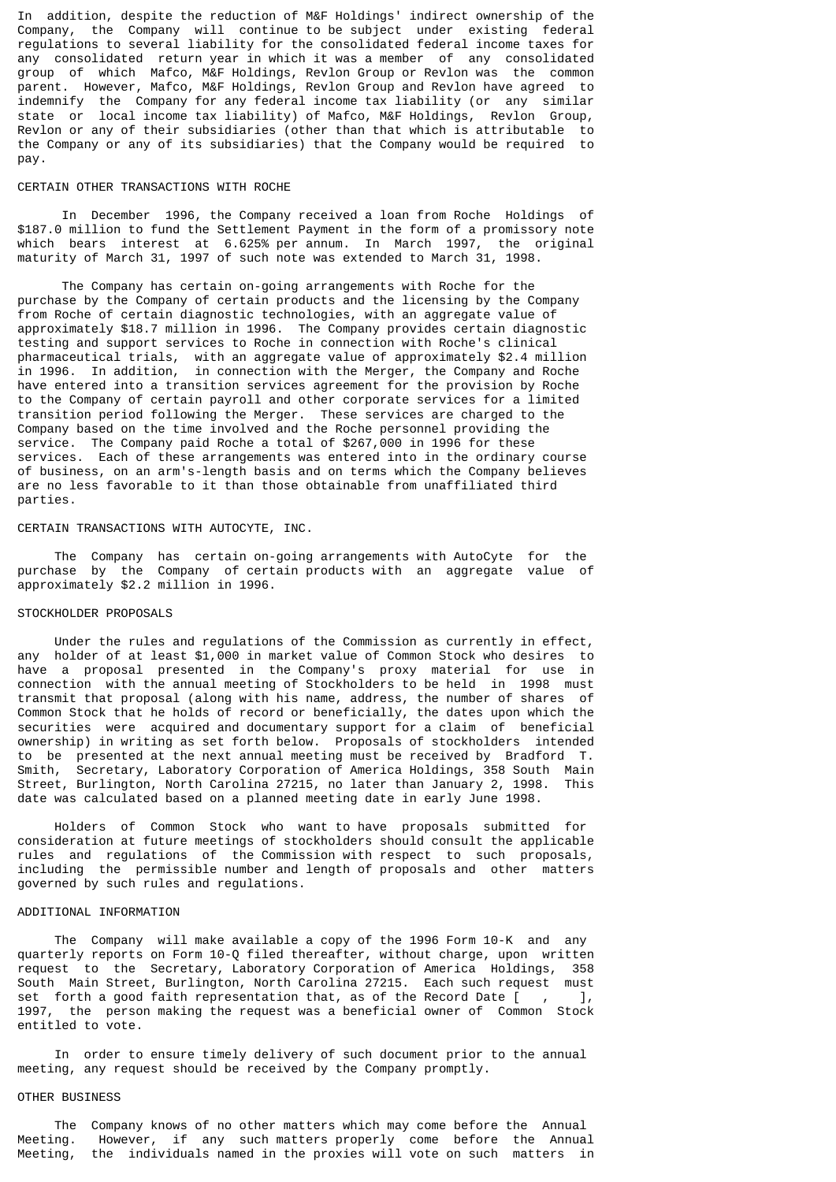In addition, despite the reduction of M&F Holdings' indirect ownership of the Company, the Company will continue to be subject under existing federal regulations to several liability for the consolidated federal income taxes for any consolidated return year in which it was a member of any consolidated group of which Mafco, M&F Holdings, Revlon Group or Revlon was the common parent. However, Mafco, M&F Holdings, Revlon Group and Revlon have agreed to indemnify the Company for any federal income tax liability (or any similar state or local income tax liability) of Mafco, M&F Holdings, Revlon Group, Revlon or any of their subsidiaries (other than that which is attributable to the Company or any of its subsidiaries) that the Company would be required to pay.

#### CERTAIN OTHER TRANSACTIONS WITH ROCHE

 In December 1996, the Company received a loan from Roche Holdings of \$187.0 million to fund the Settlement Payment in the form of a promissory note which bears interest at 6.625% per annum. In March 1997, the original maturity of March 31, 1997 of such note was extended to March 31, 1998.

 The Company has certain on-going arrangements with Roche for the purchase by the Company of certain products and the licensing by the Company from Roche of certain diagnostic technologies, with an aggregate value of approximately \$18.7 million in 1996. The Company provides certain diagnostic testing and support services to Roche in connection with Roche's clinical pharmaceutical trials, with an aggregate value of approximately \$2.4 million in 1996. In addition, in connection with the Merger, the Company and Roche have entered into a transition services agreement for the provision by Roche to the Company of certain payroll and other corporate services for a limited transition period following the Merger. These services are charged to the Company based on the time involved and the Roche personnel providing the service. The Company paid Roche a total of \$267,000 in 1996 for these services. Each of these arrangements was entered into in the ordinary course of business, on an arm's-length basis and on terms which the Company believes are no less favorable to it than those obtainable from unaffiliated third parties.

# CERTAIN TRANSACTIONS WITH AUTOCYTE, INC.

 The Company has certain on-going arrangements with AutoCyte for the purchase by the Company of certain products with an aggregate value of approximately \$2.2 million in 1996.

#### STOCKHOLDER PROPOSALS

 Under the rules and regulations of the Commission as currently in effect, any holder of at least \$1,000 in market value of Common Stock who desires to have a proposal presented in the Company's proxy material for use in connection with the annual meeting of Stockholders to be held in 1998 must transmit that proposal (along with his name, address, the number of shares of Common Stock that he holds of record or beneficially, the dates upon which the securities were acquired and documentary support for a claim of beneficial ownership) in writing as set forth below. Proposals of stockholders intended to be presented at the next annual meeting must be received by Bradford T. Smith, Secretary, Laboratory Corporation of America Holdings, 358 South Main Street, Burlington, North Carolina 27215, no later than January 2, 1998. This date was calculated based on a planned meeting date in early June 1998.

 Holders of Common Stock who want to have proposals submitted for consideration at future meetings of stockholders should consult the applicable rules and regulations of the Commission with respect to such proposals, including the permissible number and length of proposals and other matters governed by such rules and regulations.

#### ADDITIONAL INFORMATION

 The Company will make available a copy of the 1996 Form 10-K and any quarterly reports on Form 10-Q filed thereafter, without charge, upon written request to the Secretary, Laboratory Corporation of America Holdings, 358 South Main Street, Burlington, North Carolina 27215. Each such request must set forth a good faith representation that, as of the Record Date  $\begin{bmatrix} 1 & 1 \end{bmatrix}$ 1997, the person making the request was a beneficial owner of Common Stock entitled to vote.

 In order to ensure timely delivery of such document prior to the annual meeting, any request should be received by the Company promptly.

### OTHER BUSINESS

 The Company knows of no other matters which may come before the Annual Meeting. However, if any such matters properly come before the Annual Meeting, the individuals named in the proxies will vote on such matters in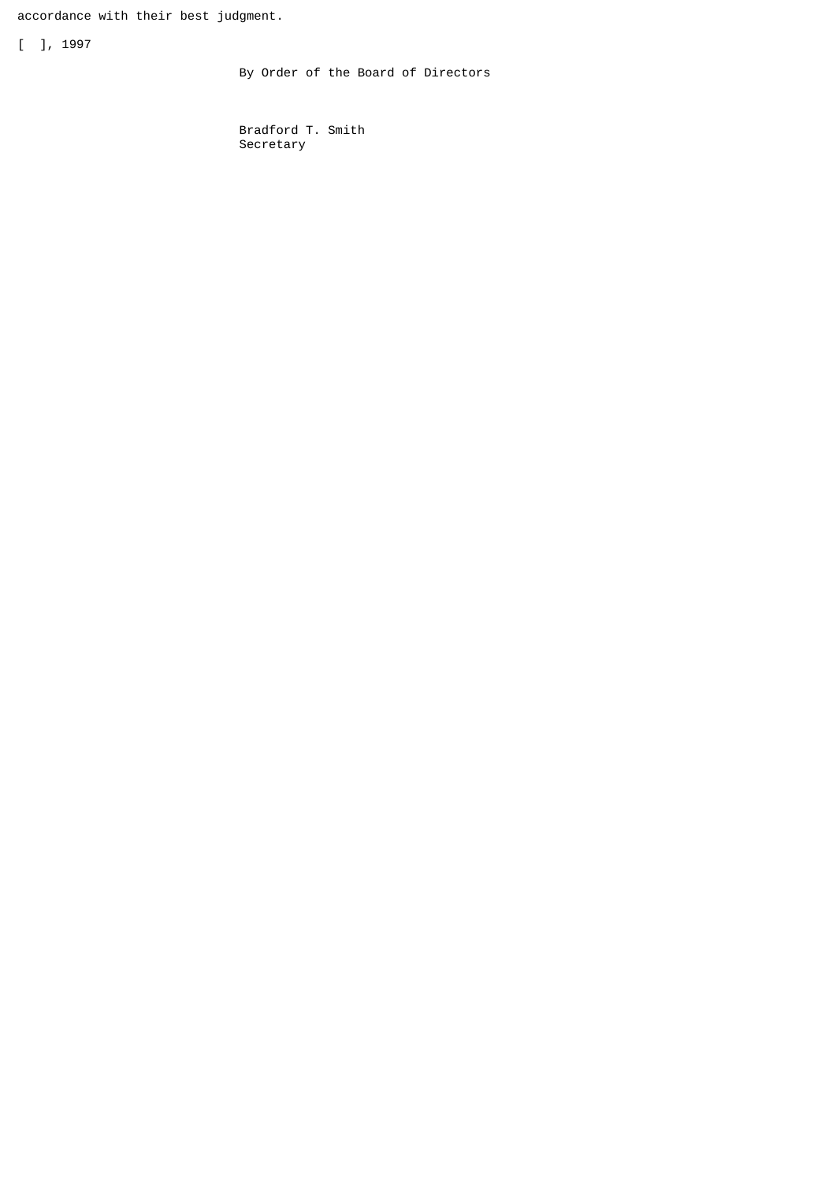accordance with their best judgment.

[ ], 1997

By Order of the Board of Directors

 Bradford T. Smith Secretary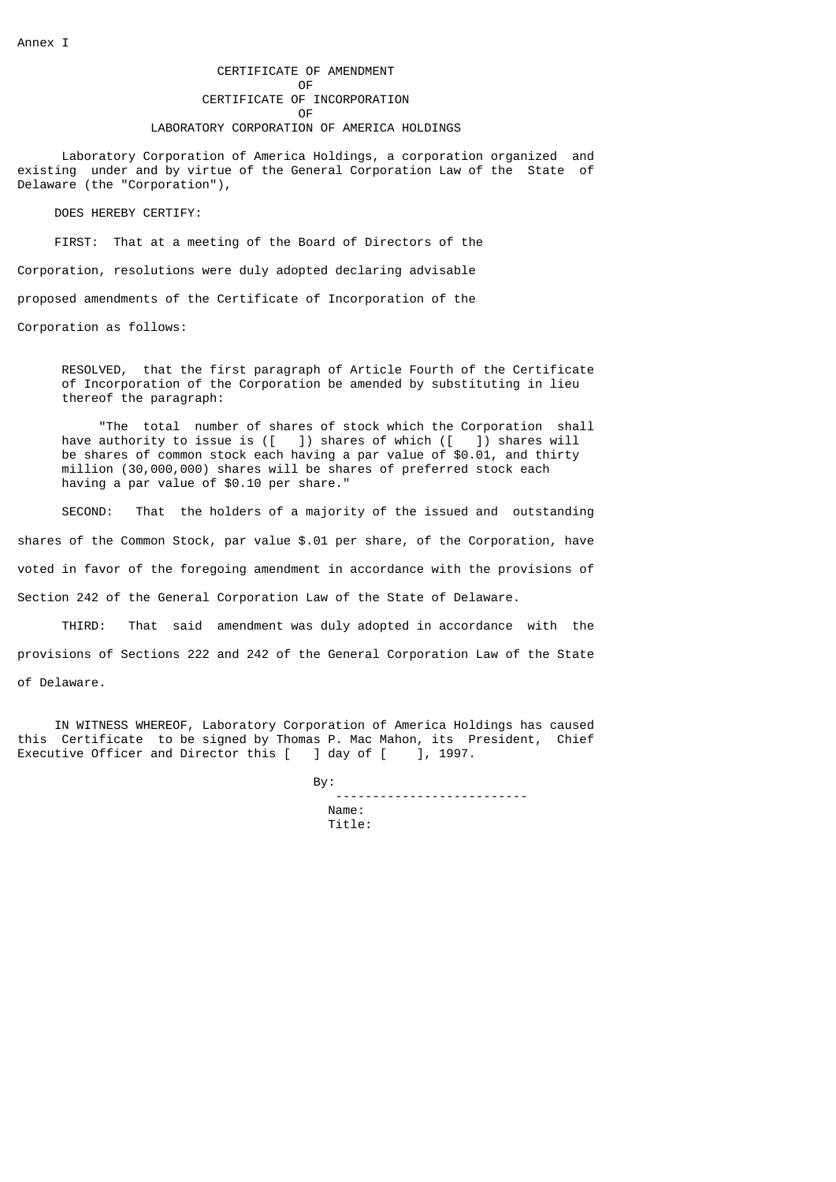Laboratory Corporation of America Holdings, a corporation organized and existing under and by virtue of the General Corporation Law of the State of Delaware (the "Corporation"),

DOES HEREBY CERTIFY:

FIRST: That at a meeting of the Board of Directors of the

Corporation, resolutions were duly adopted declaring advisable

proposed amendments of the Certificate of Incorporation of the

Corporation as follows:

 RESOLVED, that the first paragraph of Article Fourth of the Certificate of Incorporation of the Corporation be amended by substituting in lieu thereof the paragraph:

 "The total number of shares of stock which the Corporation shall have authority to issue is  $([- ])$  shares of which  $([- ])$  shares will be shares of common stock each having a par value of \$0.01, and thirty million (30,000,000) shares will be shares of preferred stock each having a par value of \$0.10 per share."

 SECOND: That the holders of a majority of the issued and outstanding shares of the Common Stock, par value \$.01 per share, of the Corporation, have voted in favor of the foregoing amendment in accordance with the provisions of Section 242 of the General Corporation Law of the State of Delaware.

 THIRD: That said amendment was duly adopted in accordance with the provisions of Sections 222 and 242 of the General Corporation Law of the State of Delaware.

 IN WITNESS WHEREOF, Laboratory Corporation of America Holdings has caused this Certificate to be signed by Thomas P. Mac Mahon, its President, Chief<br>Executive Officer and Director this [ ] day of [ ], 1997. Executive Officer and Director this [

 By: -------------------------- Name: Title: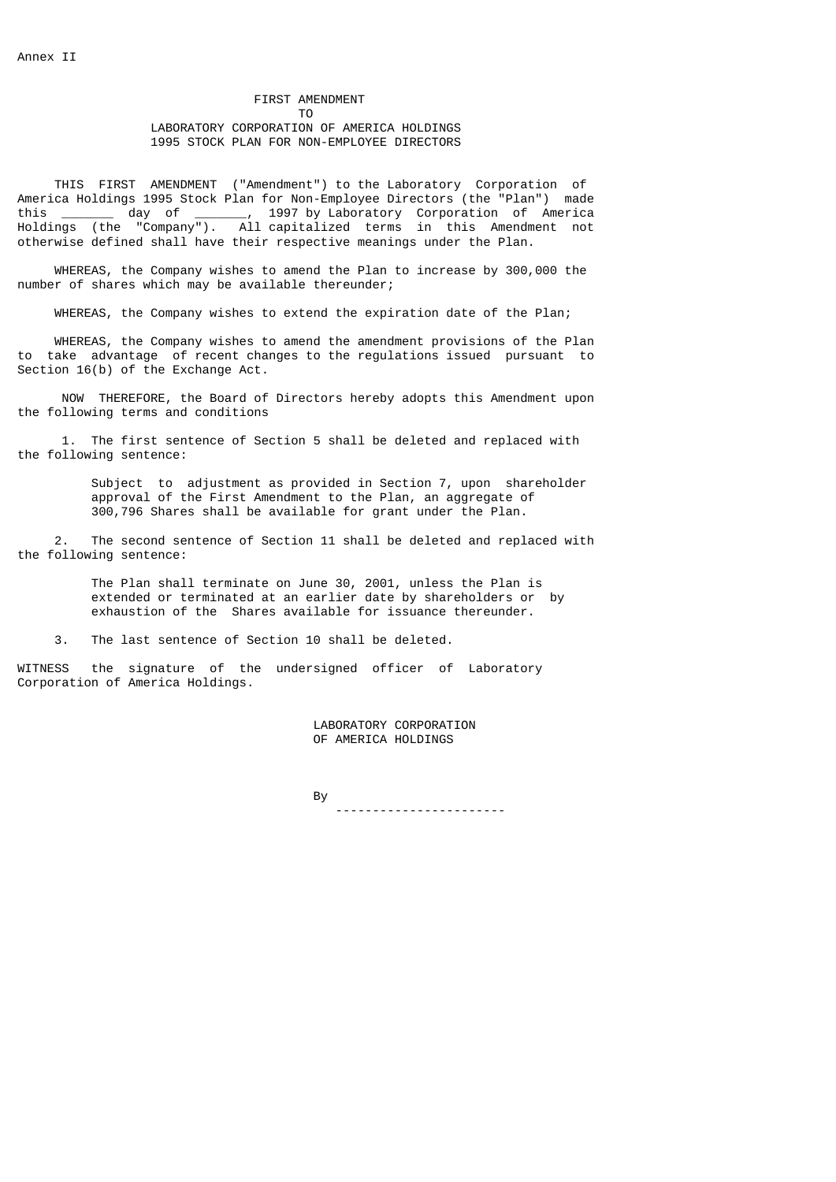# FIRST AMENDMENT<br>TO To the contract of the contract of the contract of the contract of the contract of the contract of the contract of the contract of the contract of the contract of the contract of the contract of the contract of the contrac LABORATORY CORPORATION OF AMERICA HOLDINGS 1995 STOCK PLAN FOR NON-EMPLOYEE DIRECTORS

 THIS FIRST AMENDMENT ("Amendment") to the Laboratory Corporation of America Holdings 1995 Stock Plan for Non-Employee Directors (the "Plan") made this \_\_\_\_\_\_\_ day of \_\_\_\_\_\_\_, 1997 by Laboratory Corporation of America Holdings (the "Company"). All capitalized terms in this Amendment not otherwise defined shall have their respective meanings under the Plan.

 WHEREAS, the Company wishes to amend the Plan to increase by 300,000 the number of shares which may be available thereunder;

WHEREAS, the Company wishes to extend the expiration date of the Plan;

 WHEREAS, the Company wishes to amend the amendment provisions of the Plan to take advantage of recent changes to the regulations issued pursuant to Section 16(b) of the Exchange Act.

 NOW THEREFORE, the Board of Directors hereby adopts this Amendment upon the following terms and conditions

 1. The first sentence of Section 5 shall be deleted and replaced with the following sentence:

> Subject to adjustment as provided in Section 7, upon shareholder approval of the First Amendment to the Plan, an aggregate of 300,796 Shares shall be available for grant under the Plan.

 2. The second sentence of Section 11 shall be deleted and replaced with the following sentence:

 The Plan shall terminate on June 30, 2001, unless the Plan is extended or terminated at an earlier date by shareholders or by exhaustion of the Shares available for issuance thereunder.

3. The last sentence of Section 10 shall be deleted.

WITNESS the signature of the undersigned officer of Laboratory Corporation of America Holdings.

> LABORATORY CORPORATION OF AMERICA HOLDINGS

and the state of the state of the By------------------------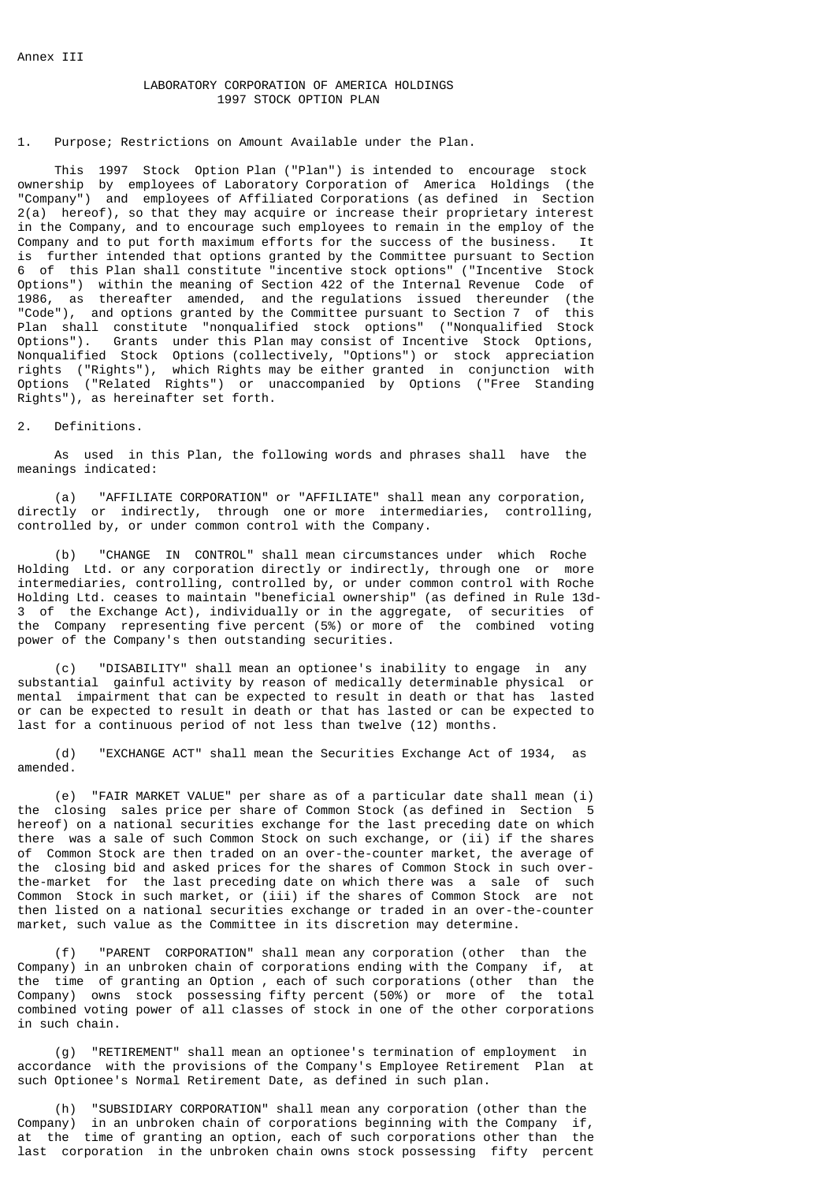# LABORATORY CORPORATION OF AMERICA HOLDINGS 1997 STOCK OPTION PLAN

#### 1. Purpose; Restrictions on Amount Available under the Plan.

 This 1997 Stock Option Plan ("Plan") is intended to encourage stock ownership by employees of Laboratory Corporation of America Holdings (the "Company") and employees of Affiliated Corporations (as defined in Section 2(a) hereof), so that they may acquire or increase their proprietary interest in the Company, and to encourage such employees to remain in the employ of the Company and to put forth maximum efforts for the success of the business. It is further intended that options granted by the Committee pursuant to Section 6 of this Plan shall constitute "incentive stock options" ("Incentive Stock Options") within the meaning of Section 422 of the Internal Revenue Code of 1986, as thereafter amended, and the regulations issued thereunder (the "Code"), and options granted by the Committee pursuant to Section 7 of this Plan shall constitute "nonqualified stock options" ("Nonqualified Stock Options"). Grants under this Plan may consist of Incentive Stock Options, Nonqualified Stock Options (collectively, "Options") or stock appreciation rights ("Rights"), which Rights may be either granted in conjunction with Options ("Related Rights") or unaccompanied by Options ("Free Standing Rights"), as hereinafter set forth.

### 2. Definitions.

 As used in this Plan, the following words and phrases shall have the meanings indicated:

 (a) "AFFILIATE CORPORATION" or "AFFILIATE" shall mean any corporation, directly or indirectly, through one or more intermediaries, controlling, controlled by, or under common control with the Company.

 (b) "CHANGE IN CONTROL" shall mean circumstances under which Roche Holding Ltd. or any corporation directly or indirectly, through one or more intermediaries, controlling, controlled by, or under common control with Roche Holding Ltd. ceases to maintain "beneficial ownership" (as defined in Rule 13d-3 of the Exchange Act), individually or in the aggregate, of securities of the Company representing five percent (5%) or more of the combined voting power of the Company's then outstanding securities.

 (c) "DISABILITY" shall mean an optionee's inability to engage in any substantial gainful activity by reason of medically determinable physical or mental impairment that can be expected to result in death or that has lasted or can be expected to result in death or that has lasted or can be expected to last for a continuous period of not less than twelve (12) months.

 (d) "EXCHANGE ACT" shall mean the Securities Exchange Act of 1934, as amended.

 (e) "FAIR MARKET VALUE" per share as of a particular date shall mean (i) the closing sales price per share of Common Stock (as defined in Section 5 hereof) on a national securities exchange for the last preceding date on which there was a sale of such Common Stock on such exchange, or (ii) if the shares of Common Stock are then traded on an over-the-counter market, the average of the closing bid and asked prices for the shares of Common Stock in such overthe-market for the last preceding date on which there was a sale of such Common Stock in such market, or (iii) if the shares of Common Stock are not then listed on a national securities exchange or traded in an over-the-counter market, such value as the Committee in its discretion may determine.

 (f) "PARENT CORPORATION" shall mean any corporation (other than the Company) in an unbroken chain of corporations ending with the Company if, at the time of granting an Option , each of such corporations (other than the Company) owns stock possessing fifty percent (50%) or more of the total combined voting power of all classes of stock in one of the other corporations in such chain.

 (g) "RETIREMENT" shall mean an optionee's termination of employment in accordance with the provisions of the Company's Employee Retirement Plan at such Optionee's Normal Retirement Date, as defined in such plan.

 (h) "SUBSIDIARY CORPORATION" shall mean any corporation (other than the Company) in an unbroken chain of corporations beginning with the Company if, at the time of granting an option, each of such corporations other than the last corporation in the unbroken chain owns stock possessing fifty percent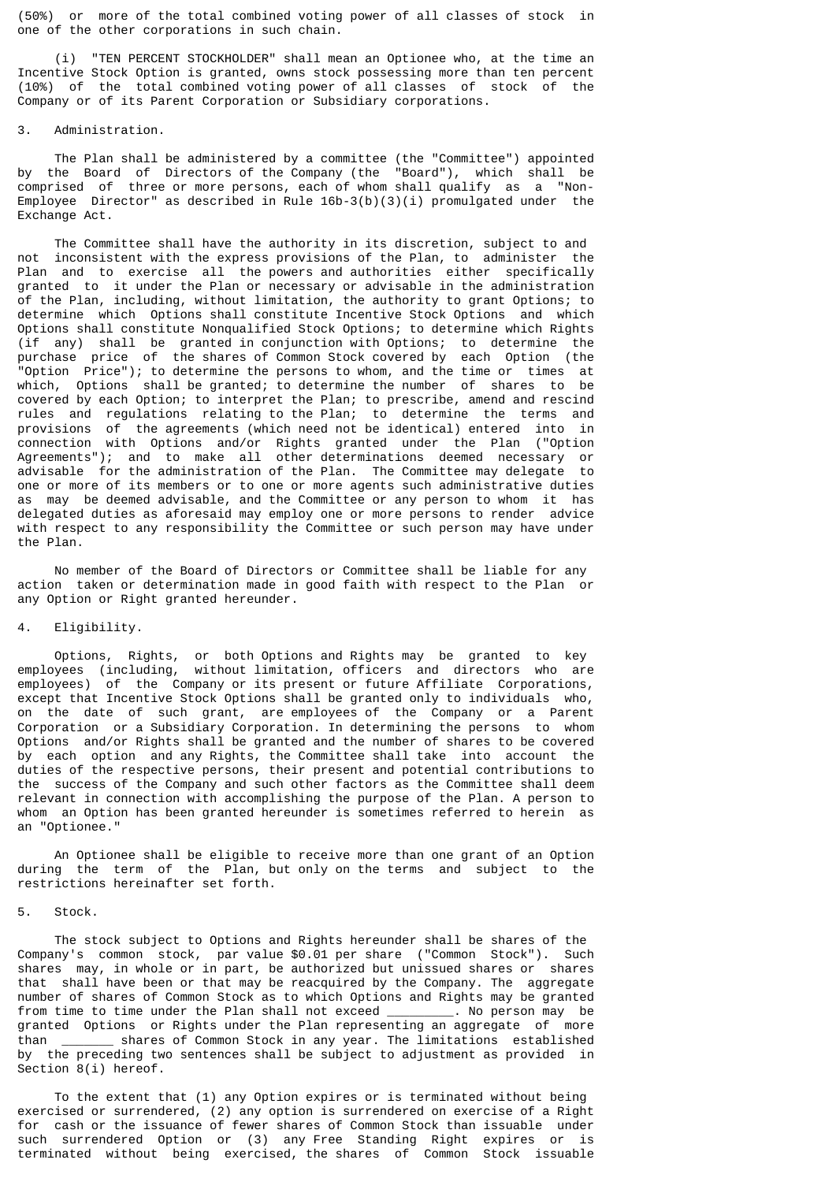(50%) or more of the total combined voting power of all classes of stock in one of the other corporations in such chain.

 (i) "TEN PERCENT STOCKHOLDER" shall mean an Optionee who, at the time an Incentive Stock Option is granted, owns stock possessing more than ten percent (10%) of the total combined voting power of all classes of stock of the Company or of its Parent Corporation or Subsidiary corporations.

# 3. Administration.

 The Plan shall be administered by a committee (the "Committee") appointed by the Board of Directors of the Company (the "Board"), which shall be comprised of three or more persons, each of whom shall qualify as a "Non-Employee Director" as described in Rule  $16b-3(b)(3)(i)$  promulgated under the Exchange Act.

 The Committee shall have the authority in its discretion, subject to and not inconsistent with the express provisions of the Plan, to administer the Plan and to exercise all the powers and authorities either specifically granted to it under the Plan or necessary or advisable in the administration of the Plan, including, without limitation, the authority to grant Options; to determine which Options shall constitute Incentive Stock Options and which Options shall constitute Nonqualified Stock Options; to determine which Rights (if any) shall be granted in conjunction with Options; to determine the purchase price of the shares of Common Stock covered by each Option (the "Option Price"); to determine the persons to whom, and the time or times at which, Options shall be granted; to determine the number of shares to be covered by each Option; to interpret the Plan; to prescribe, amend and rescind rules and regulations relating to the Plan; to determine the terms and provisions of the agreements (which need not be identical) entered into in connection with Options and/or Rights granted under the Plan ("Option Agreements"); and to make all other determinations deemed necessary or advisable for the administration of the Plan. The Committee may delegate to one or more of its members or to one or more agents such administrative duties as may be deemed advisable, and the Committee or any person to whom it has delegated duties as aforesaid may employ one or more persons to render advice with respect to any responsibility the Committee or such person may have under the Plan.

 No member of the Board of Directors or Committee shall be liable for any action taken or determination made in good faith with respect to the Plan or any Option or Right granted hereunder.

# 4. Eligibility.

 Options, Rights, or both Options and Rights may be granted to key employees (including, without limitation, officers and directors who are employees) of the Company or its present or future Affiliate Corporations, except that Incentive Stock Options shall be granted only to individuals who, on the date of such grant, are employees of the Company or a Parent Corporation or a Subsidiary Corporation. In determining the persons to whom Options and/or Rights shall be granted and the number of shares to be covered by each option and any Rights, the Committee shall take into account the duties of the respective persons, their present and potential contributions to the success of the Company and such other factors as the Committee shall deem relevant in connection with accomplishing the purpose of the Plan. A person to whom an Option has been granted hereunder is sometimes referred to herein as an "Optionee."

 An Optionee shall be eligible to receive more than one grant of an Option during the term of the Plan, but only on the terms and subject to the restrictions hereinafter set forth.

## 5. Stock.

 The stock subject to Options and Rights hereunder shall be shares of the Company's common stock, par value \$0.01 per share ("Common Stock"). Such shares may, in whole or in part, be authorized but unissued shares or shares that shall have been or that may be reacquired by the Company. The aggregate number of shares of Common Stock as to which Options and Rights may be granted from time to time under the Plan shall not exceed \_\_\_\_\_\_\_\_\_. No person may be granted Options or Rights under the Plan representing an aggregate of more than \_\_\_\_\_\_\_ shares of Common Stock in any year. The limitations established by the preceding two sentences shall be subject to adjustment as provided in Section 8(i) hereof.

 To the extent that (1) any Option expires or is terminated without being exercised or surrendered, (2) any option is surrendered on exercise of a Right for cash or the issuance of fewer shares of Common Stock than issuable under such surrendered Option or (3) any Free Standing Right expires or is terminated without being exercised, the shares of Common Stock issuable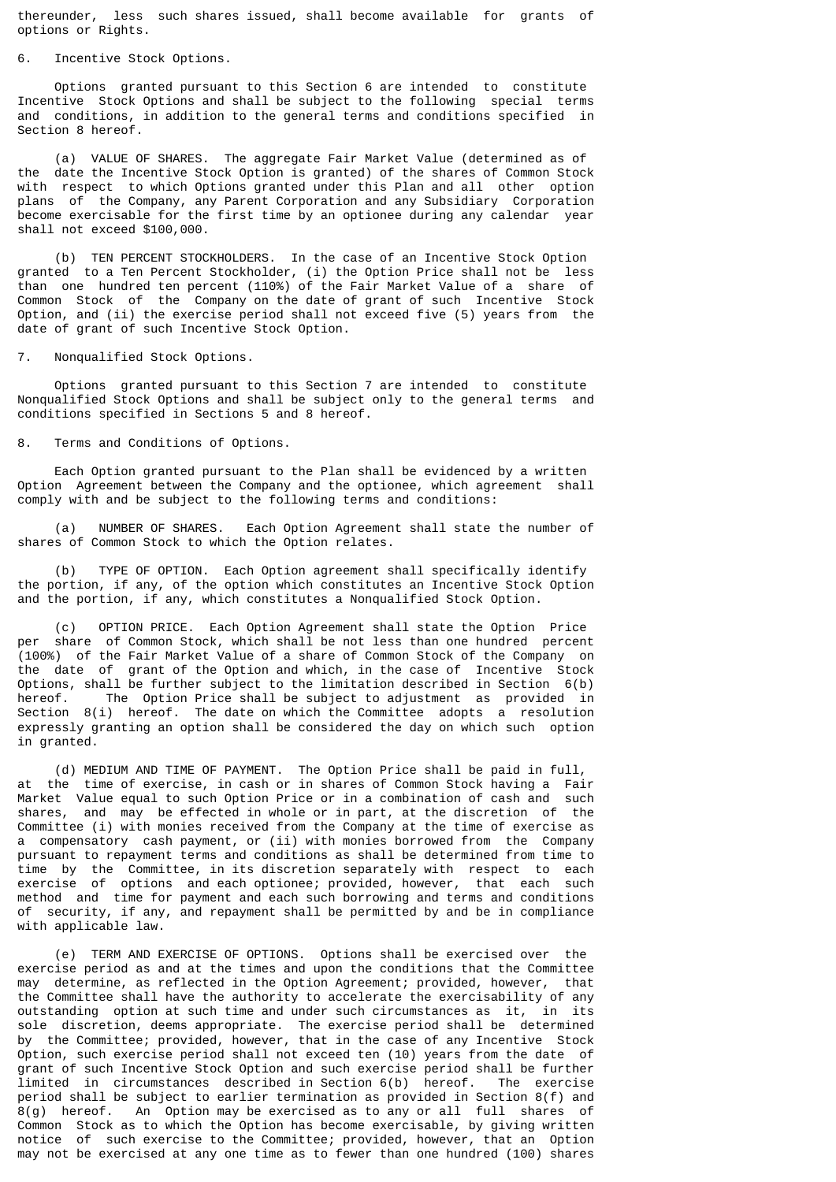thereunder, less such shares issued, shall become available for grants of options or Rights.

### Incentive Stock Options.

 Options granted pursuant to this Section 6 are intended to constitute Incentive Stock Options and shall be subject to the following special terms and conditions, in addition to the general terms and conditions specified in Section 8 hereof.

 (a) VALUE OF SHARES. The aggregate Fair Market Value (determined as of the date the Incentive Stock Option is granted) of the shares of Common Stock with respect to which Options granted under this Plan and all other option plans of the Company, any Parent Corporation and any Subsidiary Corporation become exercisable for the first time by an optionee during any calendar year shall not exceed \$100,000.

 (b) TEN PERCENT STOCKHOLDERS. In the case of an Incentive Stock Option granted to a Ten Percent Stockholder, (i) the Option Price shall not be less than one hundred ten percent (110%) of the Fair Market Value of a share of Common Stock of the Company on the date of grant of such Incentive Stock Option, and (ii) the exercise period shall not exceed five (5) years from the date of grant of such Incentive Stock Option.

7. Nonqualified Stock Options.

 Options granted pursuant to this Section 7 are intended to constitute Nonqualified Stock Options and shall be subject only to the general terms and conditions specified in Sections 5 and 8 hereof.

8. Terms and Conditions of Options.

 Each Option granted pursuant to the Plan shall be evidenced by a written Option Agreement between the Company and the optionee, which agreement shall comply with and be subject to the following terms and conditions:

 (a) NUMBER OF SHARES. Each Option Agreement shall state the number of shares of Common Stock to which the Option relates.

 (b) TYPE OF OPTION. Each Option agreement shall specifically identify the portion, if any, of the option which constitutes an Incentive Stock Option and the portion, if any, which constitutes a Nonqualified Stock Option.

(c) OPTION PRICE. Each Option Agreement shall state the Option Price<br>per share of Common Stock, which shall be not less than one hundred percent share of Common Stock, which shall be not less than one hundred percent (100%) of the Fair Market Value of a share of Common Stock of the Company on the date of grant of the Option and which, in the case of Incentive Stock Options, shall be further subject to the limitation described in Section 6(b) hereof. The Option Price shall be subject to adjustment as provided in Section 8(i) hereof. The date on which the Committee adopts a resolution expressly granting an option shall be considered the day on which such option in granted.

 (d) MEDIUM AND TIME OF PAYMENT. The Option Price shall be paid in full, at the time of exercise, in cash or in shares of Common Stock having a Fair Market Value equal to such Option Price or in a combination of cash and such shares, and may be effected in whole or in part, at the discretion of the Committee (i) with monies received from the Company at the time of exercise as a compensatory cash payment, or (ii) with monies borrowed from the Company pursuant to repayment terms and conditions as shall be determined from time to time by the Committee, in its discretion separately with respect to each exercise of options and each optionee; provided, however, that each such method and time for payment and each such borrowing and terms and conditions of security, if any, and repayment shall be permitted by and be in compliance with applicable law.

 (e) TERM AND EXERCISE OF OPTIONS. Options shall be exercised over the exercise period as and at the times and upon the conditions that the Committee may determine, as reflected in the Option Agreement; provided, however, that the Committee shall have the authority to accelerate the exercisability of any outstanding option at such time and under such circumstances as it, in its sole discretion, deems appropriate. The exercise period shall be determined by the Committee; provided, however, that in the case of any Incentive Stock Option, such exercise period shall not exceed ten (10) years from the date of grant of such Incentive Stock Option and such exercise period shall be further<br>limited in circumstances described in Section 6(b) hereof. The exercise limited in circumstances described in Section 6(b) hereof. period shall be subject to earlier termination as provided in Section 8(f) and 8(g) hereof. An Option may be exercised as to any or all full shares of Common Stock as to which the Option has become exercisable, by giving written notice of such exercise to the Committee; provided, however, that an Option may not be exercised at any one time as to fewer than one hundred (100) shares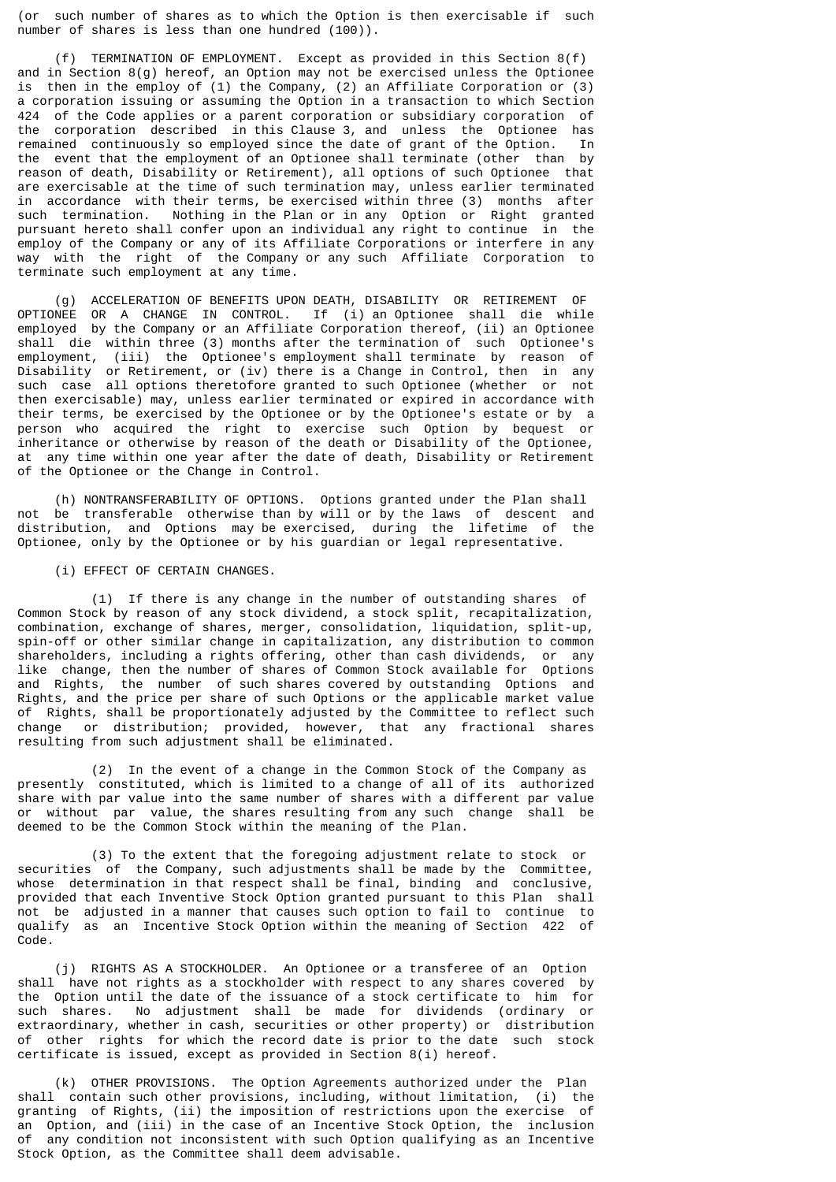(or such number of shares as to which the Option is then exercisable if such number of shares is less than one hundred (100)).

 (f) TERMINATION OF EMPLOYMENT. Except as provided in this Section 8(f) and in Section  $8(g)$  hereof, an Option may not be exercised unless the Optionee is then in the employ of (1) the Company, (2) an Affiliate Corporation or (3) a corporation issuing or assuming the Option in a transaction to which Section 424 of the Code applies or a parent corporation or subsidiary corporation of the corporation described in this Clause 3, and unless the Optionee has remained continuously so employed since the date of grant of the Option. In the event that the employment of an Optionee shall terminate (other than by reason of death, Disability or Retirement), all options of such Optionee that are exercisable at the time of such termination may, unless earlier terminated in accordance with their terms, be exercised within three (3) months after such termination. Nothing in the Plan or in any Option or Right granted pursuant hereto shall confer upon an individual any right to continue in the employ of the Company or any of its Affiliate Corporations or interfere in any way with the right of the Company or any such Affiliate Corporation to terminate such employment at any time.

 (g) ACCELERATION OF BENEFITS UPON DEATH, DISABILITY OR RETIREMENT OF OPTIONEE OR A CHANGE IN CONTROL. If (i) an Optionee shall die while employed by the Company or an Affiliate Corporation thereof, (ii) an Optionee shall die within three (3) months after the termination of such Optionee's employment, (iii) the Optionee's employment shall terminate by reason of Disability or Retirement, or (iv) there is a Change in Control, then in any such case all options theretofore granted to such Optionee (whether or not such case all options theretofore granted to such Optionee (whether then exercisable) may, unless earlier terminated or expired in accordance with their terms, be exercised by the Optionee or by the Optionee's estate or by a person who acquired the right to exercise such Option by bequest or inheritance or otherwise by reason of the death or Disability of the Optionee, at any time within one year after the date of death, Disability or Retirement of the Optionee or the Change in Control.

 (h) NONTRANSFERABILITY OF OPTIONS. Options granted under the Plan shall not be transferable otherwise than by will or by the laws of descent and<br>distribution, and Options may be exercised, during the lifetime of the distribution, and Options may be exercised, during the lifetime of Optionee, only by the Optionee or by his guardian or legal representative.

(i) EFFECT OF CERTAIN CHANGES.

 (1) If there is any change in the number of outstanding shares of Common Stock by reason of any stock dividend, a stock split, recapitalization, combination, exchange of shares, merger, consolidation, liquidation, split-up, spin-off or other similar change in capitalization, any distribution to common shareholders, including a rights offering, other than cash dividends, or any like change, then the number of shares of Common Stock available for Options and Rights, the number of such shares covered by outstanding Options and Rights, and the price per share of such Options or the applicable market value of Rights, shall be proportionately adjusted by the Committee to reflect such change or distribution; provided, however, that any fractional shares resulting from such adjustment shall be eliminated.

 (2) In the event of a change in the Common Stock of the Company as presently constituted, which is limited to a change of all of its authorized share with par value into the same number of shares with a different par value or without par value, the shares resulting from any such change shall be deemed to be the Common Stock within the meaning of the Plan.

 (3) To the extent that the foregoing adjustment relate to stock or securities of the Company, such adjustments shall be made by the Committee, whose determination in that respect shall be final, binding and conclusive, provided that each Inventive Stock Option granted pursuant to this Plan shall not be adjusted in a manner that causes such option to fail to continue to qualify as an Incentive Stock Option within the meaning of Section 422 of Code.

 (j) RIGHTS AS A STOCKHOLDER. An Optionee or a transferee of an Option shall have not rights as a stockholder with respect to any shares covered by the Option until the date of the issuance of a stock certificate to him for such shares. No adjustment shall be made for dividends (ordinary or extraordinary, whether in cash, securities or other property) or distribution of other rights for which the record date is prior to the date such stock certificate is issued, except as provided in Section 8(i) hereof.

 (k) OTHER PROVISIONS. The Option Agreements authorized under the Plan shall contain such other provisions, including, without limitation, (i) the granting of Rights, (ii) the imposition of restrictions upon the exercise of an Option, and (iii) in the case of an Incentive Stock Option, the inclusion of any condition not inconsistent with such Option qualifying as an Incentive Stock Option, as the Committee shall deem advisable.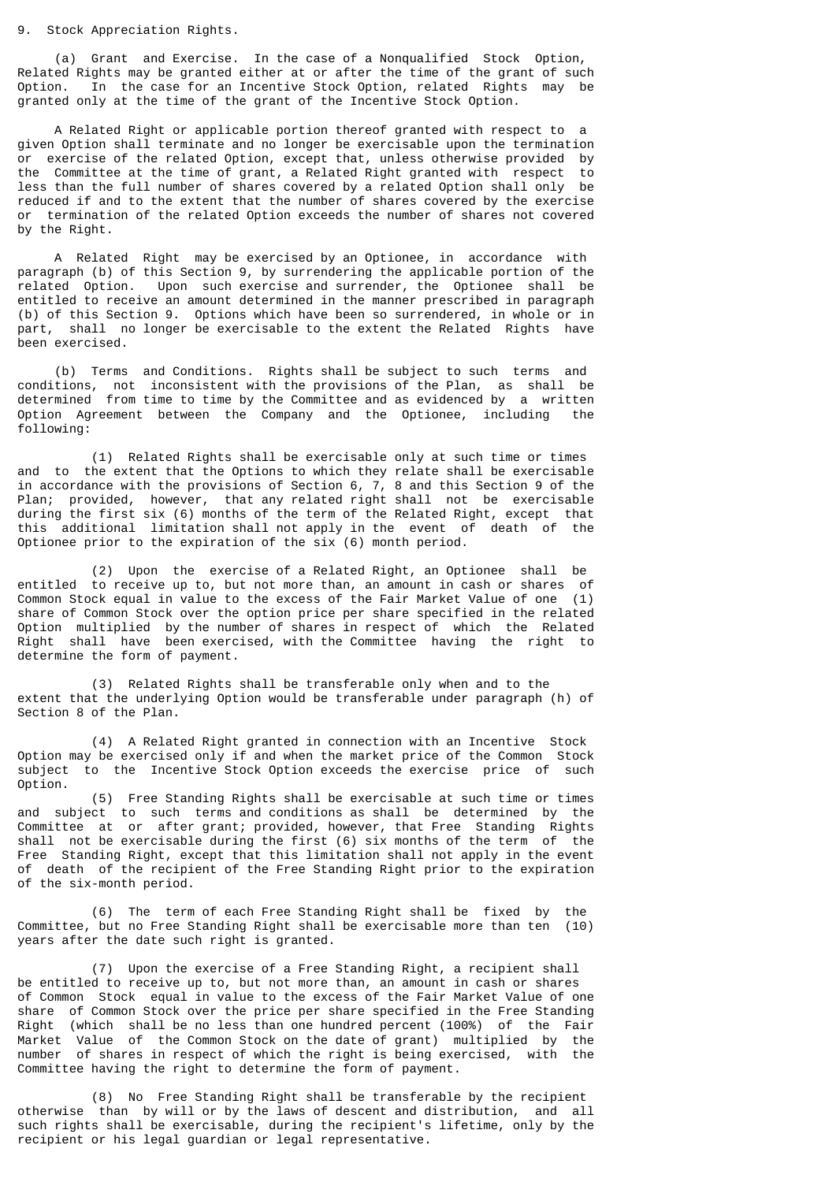#### 9. Stock Appreciation Rights.

 (a) Grant and Exercise. In the case of a Nonqualified Stock Option, Related Rights may be granted either at or after the time of the grant of such Option. In the case for an Incentive Stock Option, related Rights may be granted only at the time of the grant of the Incentive Stock Option.

 A Related Right or applicable portion thereof granted with respect to a given Option shall terminate and no longer be exercisable upon the termination or exercise of the related Option, except that, unless otherwise provided by the Committee at the time of grant, a Related Right granted with respect to less than the full number of shares covered by a related Option shall only be reduced if and to the extent that the number of shares covered by the exercise or termination of the related Option exceeds the number of shares not covered by the Right.

 A Related Right may be exercised by an Optionee, in accordance with paragraph (b) of this Section 9, by surrendering the applicable portion of the related Option. Upon such exercise and surrender, the Optionee shall be entitled to receive an amount determined in the manner prescribed in paragraph (b) of this Section 9. Options which have been so surrendered, in whole or in part, shall no longer be exercisable to the extent the Related Rights have been exercised.

 (b) Terms and Conditions. Rights shall be subject to such terms and conditions, not inconsistent with the provisions of the Plan, as shall be determined from time to time by the Committee and as evidenced by a written Option Agreement between the Company and the Optionee, including the following:

 (1) Related Rights shall be exercisable only at such time or times and to the extent that the Options to which they relate shall be exercisable in accordance with the provisions of Section 6, 7, 8 and this Section 9 of the Plan; provided, however, that any related right shall not be exercisable during the first six (6) months of the term of the Related Right, except that this additional limitation shall not apply in the event of death of the Optionee prior to the expiration of the six (6) month period.

 (2) Upon the exercise of a Related Right, an Optionee shall be entitled to receive up to, but not more than, an amount in cash or shares of Common Stock equal in value to the excess of the Fair Market Value of one (1) share of Common Stock over the option price per share specified in the related Option multiplied by the number of shares in respect of which the Related Right shall have been exercised, with the Committee having the right to determine the form of payment.

 (3) Related Rights shall be transferable only when and to the extent that the underlying Option would be transferable under paragraph (h) of Section 8 of the Plan.

 (4) A Related Right granted in connection with an Incentive Stock Option may be exercised only if and when the market price of the Common Stock subject to the Incentive Stock Option exceeds the exercise price of such Option.

 (5) Free Standing Rights shall be exercisable at such time or times and subject to such terms and conditions as shall be determined by the Committee at or after grant; provided, however, that Free Standing Rights shall not be exercisable during the first (6) six months of the term of the Free Standing Right, except that this limitation shall not apply in the event of death of the recipient of the Free Standing Right prior to the expiration of the six-month period.

 (6) The term of each Free Standing Right shall be fixed by the Committee, but no Free Standing Right shall be exercisable more than ten (10) years after the date such right is granted.

 (7) Upon the exercise of a Free Standing Right, a recipient shall be entitled to receive up to, but not more than, an amount in cash or shares of Common Stock equal in value to the excess of the Fair Market Value of one share of Common Stock over the price per share specified in the Free Standing Right (which shall be no less than one hundred percent (100%) of the Fair Market Value of the Common Stock on the date of grant) multiplied by the number of shares in respect of which the right is being exercised, with the Committee having the right to determine the form of payment.

 (8) No Free Standing Right shall be transferable by the recipient otherwise than by will or by the laws of descent and distribution, and all such rights shall be exercisable, during the recipient's lifetime, only by the recipient or his legal guardian or legal representative.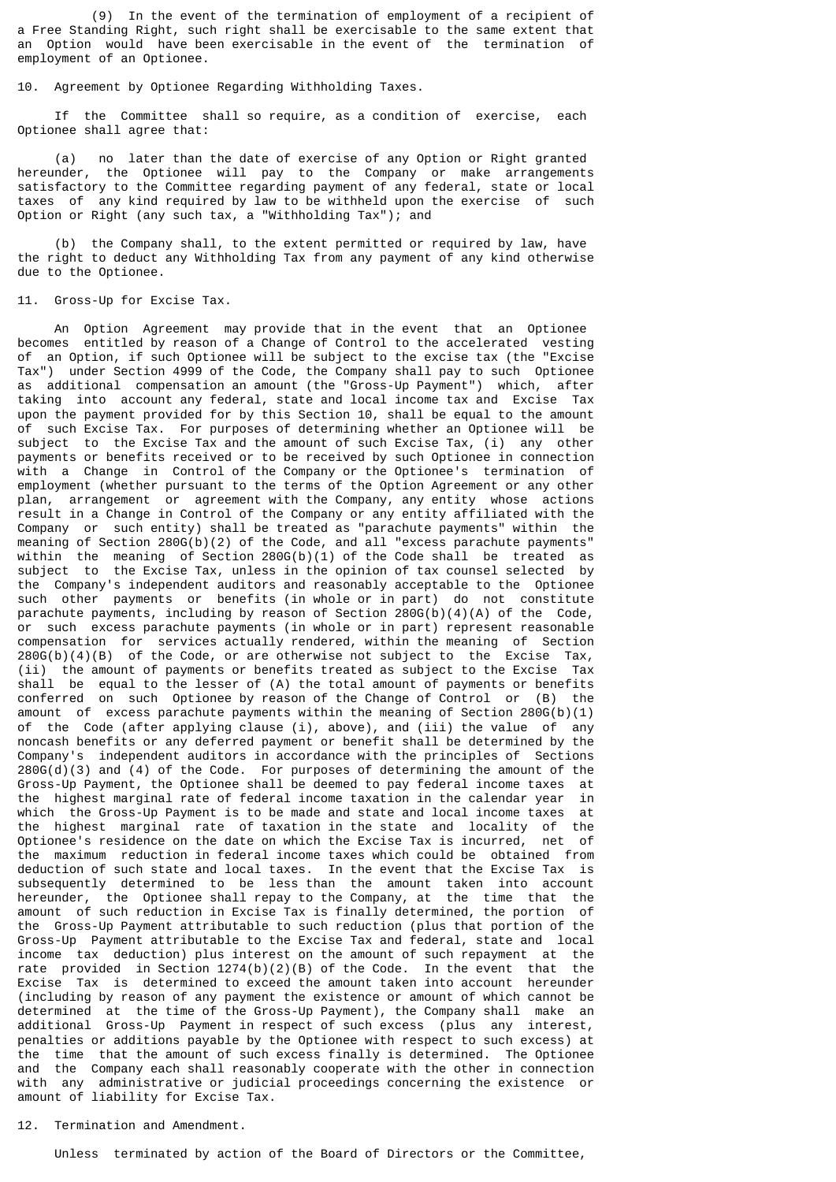(9) In the event of the termination of employment of a recipient of a Free Standing Right, such right shall be exercisable to the same extent that an Option would have been exercisable in the event of the termination of employment of an Optionee.

10. Agreement by Optionee Regarding Withholding Taxes.

 If the Committee shall so require, as a condition of exercise, each Optionee shall agree that:

 (a) no later than the date of exercise of any Option or Right granted hereunder, the Optionee will pay to the Company or make arrangements satisfactory to the Committee regarding payment of any federal, state or local taxes of any kind required by law to be withheld upon the exercise of such Option or Right (any such tax, a "Withholding Tax"); and

 (b) the Company shall, to the extent permitted or required by law, have the right to deduct any Withholding Tax from any payment of any kind otherwise due to the Optionee.

11. Gross-Up for Excise Tax.

 An Option Agreement may provide that in the event that an Optionee becomes entitled by reason of a Change of Control to the accelerated vesting of an Option, if such Optionee will be subject to the excise tax (the "Excise Tax") under Section 4999 of the Code, the Company shall pay to such Optionee as additional compensation an amount (the "Gross-Up Payment") which, after taking into account any federal, state and local income tax and Excise Tax upon the payment provided for by this Section 10, shall be equal to the amount of such Excise Tax. For purposes of determining whether an Optionee will be subject to the Excise Tax and the amount of such Excise Tax, (i) any other payments or benefits received or to be received by such Optionee in connection with a Change in Control of the Company or the Optionee's termination of employment (whether pursuant to the terms of the Option Agreement or any other plan, arrangement or agreement with the Company, any entity whose actions result in a Change in Control of the Company or any entity affiliated with the Company or such entity) shall be treated as "parachute payments" within the meaning of Section 280G(b)(2) of the Code, and all "excess parachute payments" within the meaning of Section  $280G(b)(1)$  of the Code shall be treated as subject to the Excise Tax, unless in the opinion of tax counsel selected by the Company's independent auditors and reasonably acceptable to the Optionee such other payments or benefits (in whole or in part) do not constitute parachute payments, including by reason of Section 280G(b)(4)(A) of the Code, or such excess parachute payments (in whole or in part) represent reasonable compensation for services actually rendered, within the meaning of Section  $280G(b)(4)(B)$  of the Code, or are otherwise not subject to the Excise Tax, (ii) the amount of payments or benefits treated as subject to the Excise Tax shall be equal to the lesser of (A) the total amount of payments or benefits conferred on such Optionee by reason of the Change of Control or (B) the amount of excess parachute payments within the meaning of Section 280G(b)(1) of the Code (after applying clause (i), above), and (iii) the value of any noncash benefits or any deferred payment or benefit shall be determined by the Company's independent auditors in accordance with the principles of Sections  $280G(d)(3)$  and  $(4)$  of the Code. For purposes of determining the amount of the Gross-Up Payment, the Optionee shall be deemed to pay federal income taxes at the highest marginal rate of federal income taxation in the calendar year in which the Gross-Up Payment is to be made and state and local income taxes at the highest marginal rate of taxation in the state and locality of the Optionee's residence on the date on which the Excise Tax is incurred, net of the maximum reduction in federal income taxes which could be obtained from deduction of such state and local taxes. In the event that the Excise Tax is subsequently determined to be less than the amount taken into account hereunder, the Optionee shall repay to the Company, at the time that the amount of such reduction in Excise Tax is finally determined, the portion of the Gross-Up Payment attributable to such reduction (plus that portion of the Gross-Up Payment attributable to the Excise Tax and federal, state and local income tax deduction) plus interest on the amount of such repayment at the rate provided in Section 1274(b)(2)(B) of the Code. In the event that the Excise Tax is determined to exceed the amount taken into account hereunder (including by reason of any payment the existence or amount of which cannot be determined at the time of the Gross-Up Payment), the Company shall make an additional Gross-Up Payment in respect of such excess (plus any interest, penalties or additions payable by the Optionee with respect to such excess) at the time that the amount of such excess finally is determined. The Optionee and the Company each shall reasonably cooperate with the other in connection with any administrative or judicial proceedings concerning the existence or amount of liability for Excise Tax.

# 12. Termination and Amendment.

Unless terminated by action of the Board of Directors or the Committee,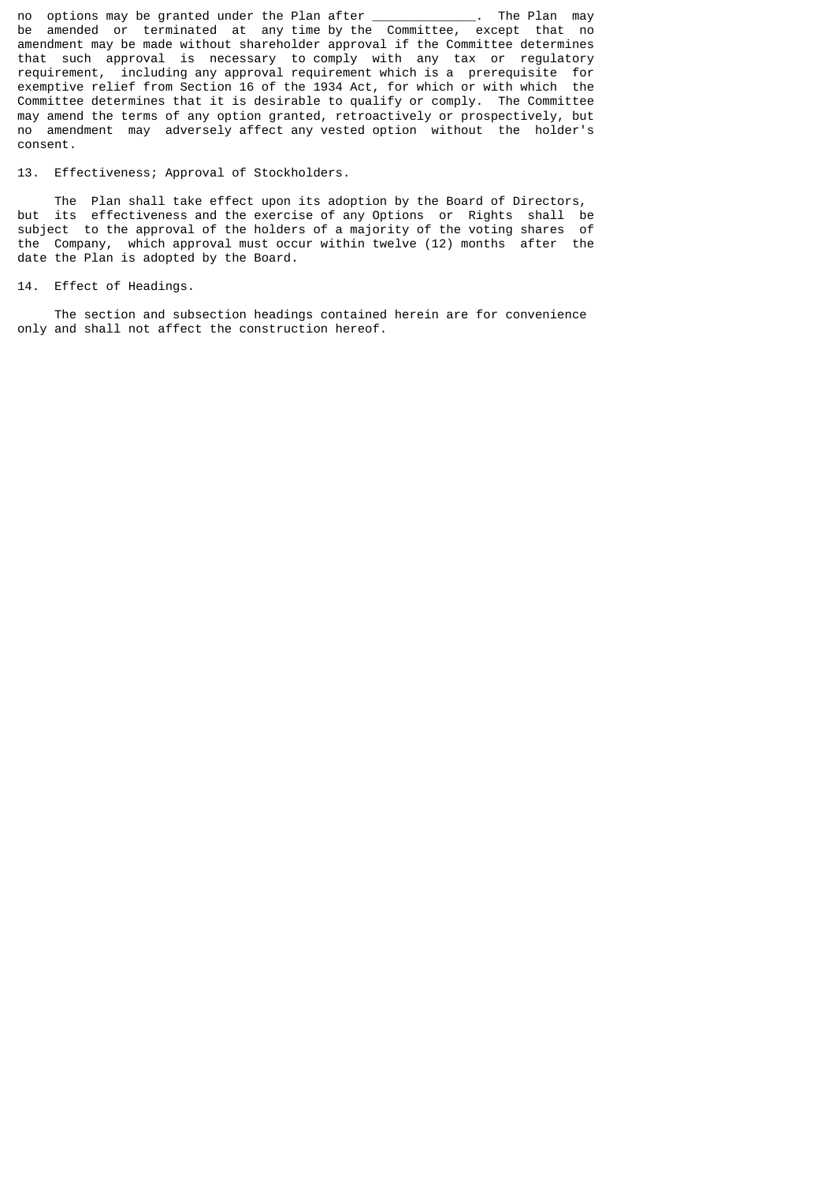no options may be granted under the Plan after \_\_\_\_\_\_\_\_\_\_\_\_\_\_. The Plan may be amended or terminated at any time by the Committee, except that no amendment may be made without shareholder approval if the Committee determines that such approval is necessary to comply with any tax or regulatory requirement, including any approval requirement which is a prerequisite for exemptive relief from Section 16 of the 1934 Act, for which or with which the Committee determines that it is desirable to qualify or comply. The Committee may amend the terms of any option granted, retroactively or prospectively, but no amendment may adversely affect any vested option without the holder's consent.

13. Effectiveness; Approval of Stockholders.

 The Plan shall take effect upon its adoption by the Board of Directors, but its effectiveness and the exercise of any Options or Rights shall be subject to the approval of the holders of a majority of the voting shares of the Company, which approval must occur within twelve (12) months after the date the Plan is adopted by the Board.

14. Effect of Headings.

 The section and subsection headings contained herein are for convenience only and shall not affect the construction hereof.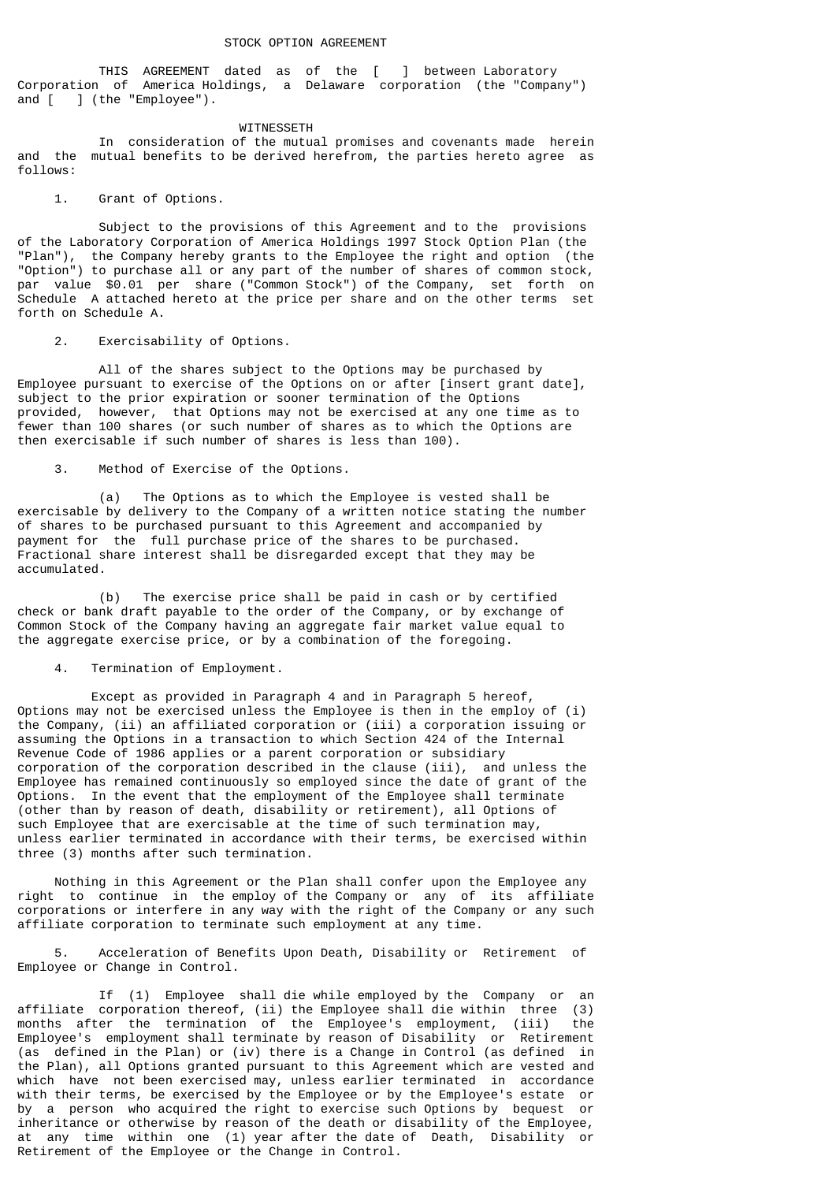THIS AGREEMENT dated as of the [ ] between Laboratory Corporation of America Holdings, a Delaware corporation (the "Company") and [ ] (the "Employee").

#### WITNESSETH

 In consideration of the mutual promises and covenants made herein and the mutual benefits to be derived herefrom, the parties hereto agree as follows:

### 1. Grant of Options.

 Subject to the provisions of this Agreement and to the provisions of the Laboratory Corporation of America Holdings 1997 Stock Option Plan (the "Plan"), the Company hereby grants to the Employee the right and option (the "Option") to purchase all or any part of the number of shares of common stock, par value \$0.01 per share ("Common Stock") of the Company, set forth on Schedule A attached hereto at the price per share and on the other terms set forth on Schedule A.

# 2. Exercisability of Options.

All of the shares subject to the Options may be purchased by Employee pursuant to exercise of the Options on or after [insert grant date], subject to the prior expiration or sooner termination of the Options provided, however, that Options may not be exercised at any one time as to fewer than 100 shares (or such number of shares as to which the Options are then exercisable if such number of shares is less than 100).

3. Method of Exercise of the Options.

 (a) The Options as to which the Employee is vested shall be exercisable by delivery to the Company of a written notice stating the number of shares to be purchased pursuant to this Agreement and accompanied by payment for the full purchase price of the shares to be purchased. Fractional share interest shall be disregarded except that they may be accumulated.

 (b) The exercise price shall be paid in cash or by certified check or bank draft payable to the order of the Company, or by exchange of Common Stock of the Company having an aggregate fair market value equal to the aggregate exercise price, or by a combination of the foregoing.

## 4. Termination of Employment.

 Except as provided in Paragraph 4 and in Paragraph 5 hereof, Options may not be exercised unless the Employee is then in the employ of (i) the Company, (ii) an affiliated corporation or (iii) a corporation issuing or assuming the Options in a transaction to which Section 424 of the Internal Revenue Code of 1986 applies or a parent corporation or subsidiary corporation of the corporation described in the clause (iii), and unless the Employee has remained continuously so employed since the date of grant of the Options. In the event that the employment of the Employee shall terminate (other than by reason of death, disability or retirement), all Options of such Employee that are exercisable at the time of such termination may, unless earlier terminated in accordance with their terms, be exercised within three (3) months after such termination.

 Nothing in this Agreement or the Plan shall confer upon the Employee any right to continue in the employ of the Company or any of its affiliate corporations or interfere in any way with the right of the Company or any such affiliate corporation to terminate such employment at any time.

 5. Acceleration of Benefits Upon Death, Disability or Retirement of Employee or Change in Control.

 If (1) Employee shall die while employed by the Company or an affiliate corporation thereof, (ii) the Employee shall die within three (3) months after the termination of the Employee's employment, (iii) the Employee's employment shall terminate by reason of Disability or Retirement (as defined in the Plan) or (iv) there is a Change in Control (as defined in the Plan), all Options granted pursuant to this Agreement which are vested and which have not been exercised may, unless earlier terminated in accordance with their terms, be exercised by the Employee or by the Employee's estate or by a person who acquired the right to exercise such Options by bequest or inheritance or otherwise by reason of the death or disability of the Employee, at any time within one (1) year after the date of Death, Disability or Retirement of the Employee or the Change in Control.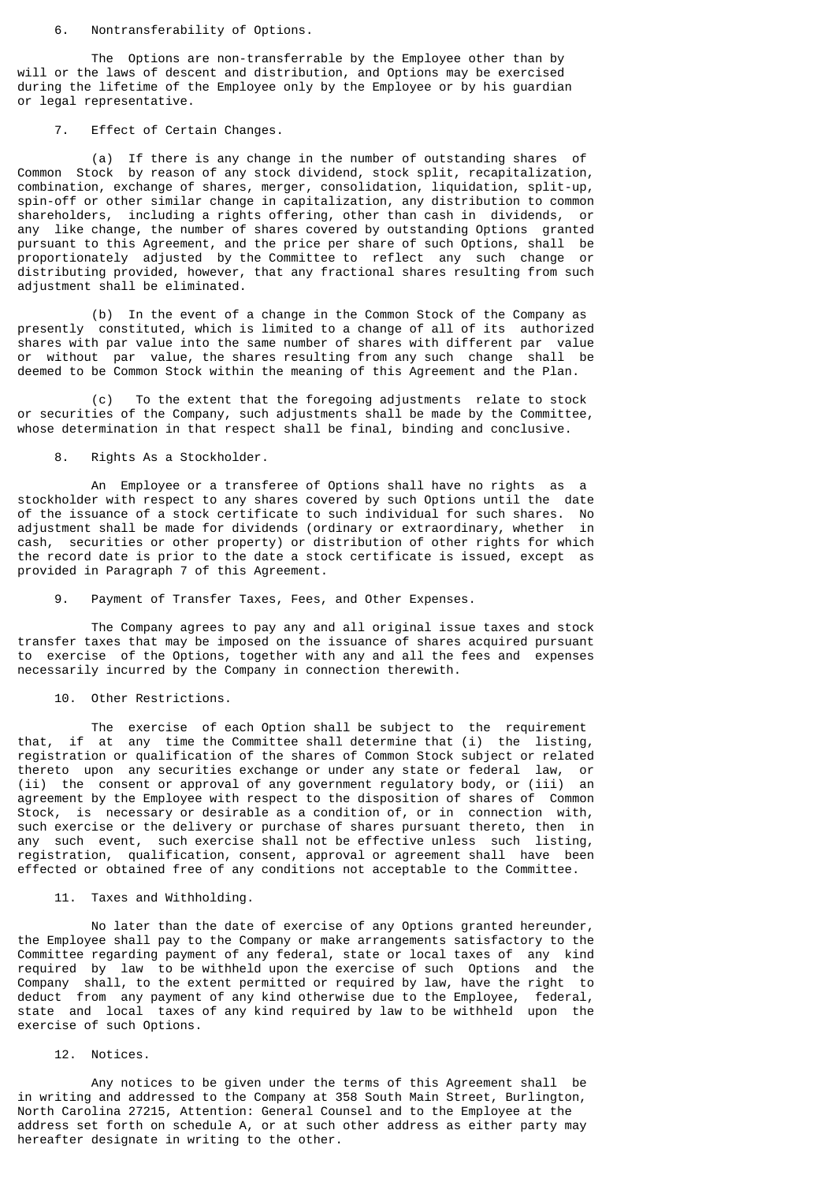#### 6. Nontransferability of Options.

 The Options are non-transferrable by the Employee other than by will or the laws of descent and distribution, and Options may be exercised during the lifetime of the Employee only by the Employee or by his guardian or legal representative.

# 7. Effect of Certain Changes.

 (a) If there is any change in the number of outstanding shares of Common Stock by reason of any stock dividend, stock split, recapitalization, combination, exchange of shares, merger, consolidation, liquidation, split-up, spin-off or other similar change in capitalization, any distribution to common shareholders, including a rights offering, other than cash in dividends, or any like change, the number of shares covered by outstanding Options granted pursuant to this Agreement, and the price per share of such Options, shall be proportionately adjusted by the Committee to reflect any such change or distributing provided, however, that any fractional shares resulting from such adjustment shall be eliminated.

 (b) In the event of a change in the Common Stock of the Company as presently constituted, which is limited to a change of all of its authorized shares with par value into the same number of shares with different par value or without par value, the shares resulting from any such change shall be deemed to be Common Stock within the meaning of this Agreement and the Plan.

 (c) To the extent that the foregoing adjustments relate to stock or securities of the Company, such adjustments shall be made by the Committee, whose determination in that respect shall be final, binding and conclusive.

# 8. Rights As a Stockholder.

 An Employee or a transferee of Options shall have no rights as a stockholder with respect to any shares covered by such Options until the date of the issuance of a stock certificate to such individual for such shares. No adjustment shall be made for dividends (ordinary or extraordinary, whether in cash, securities or other property) or distribution of other rights for which the record date is prior to the date a stock certificate is issued, except as provided in Paragraph 7 of this Agreement.

# 9. Payment of Transfer Taxes, Fees, and Other Expenses.

 The Company agrees to pay any and all original issue taxes and stock transfer taxes that may be imposed on the issuance of shares acquired pursuant to exercise of the Options, together with any and all the fees and expenses necessarily incurred by the Company in connection therewith.

### 10. Other Restrictions.

 The exercise of each Option shall be subject to the requirement that, if at any time the Committee shall determine that (i) the listing, registration or qualification of the shares of Common Stock subject or related thereto upon any securities exchange or under any state or federal law, or (ii) the consent or approval of any government regulatory body, or (iii) an agreement by the Employee with respect to the disposition of shares of Common Stock, is necessary or desirable as a condition of, or in connection with, such exercise or the delivery or purchase of shares pursuant thereto, then in any such event, such exercise shall not be effective unless such listing, registration, qualification, consent, approval or agreement shall have been effected or obtained free of any conditions not acceptable to the Committee.

## 11. Taxes and Withholding.

 No later than the date of exercise of any Options granted hereunder, the Employee shall pay to the Company or make arrangements satisfactory to the Committee regarding payment of any federal, state or local taxes of any kind required by law to be withheld upon the exercise of such Options and the Company shall, to the extent permitted or required by law, have the right to deduct from any payment of any kind otherwise due to the Employee, federal, state and local taxes of any kind required by law to be withheld upon the exercise of such Options.

## 12. Notices.

 Any notices to be given under the terms of this Agreement shall be in writing and addressed to the Company at 358 South Main Street, Burlington, North Carolina 27215, Attention: General Counsel and to the Employee at the address set forth on schedule A, or at such other address as either party may hereafter designate in writing to the other.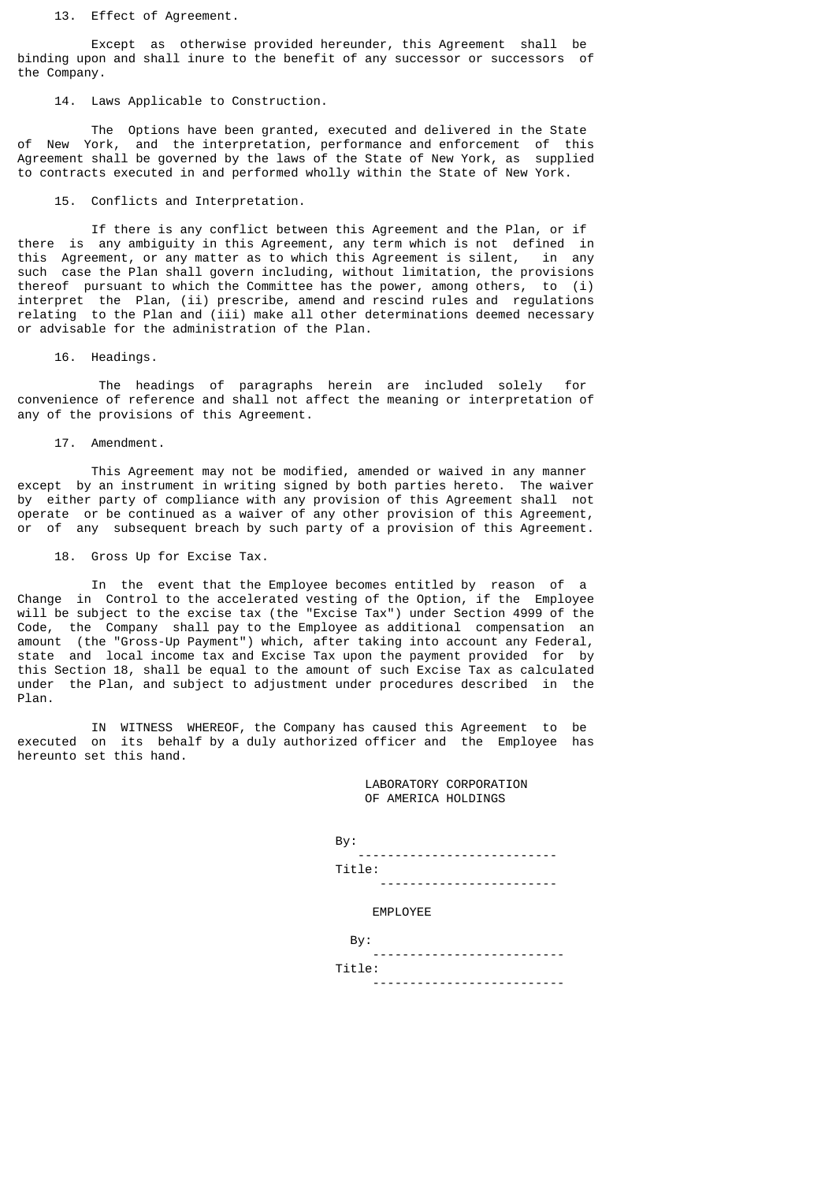13. Effect of Agreement.

 Except as otherwise provided hereunder, this Agreement shall be binding upon and shall inure to the benefit of any successor or successors of the Company.

14. Laws Applicable to Construction.

 The Options have been granted, executed and delivered in the State of New York, and the interpretation, performance and enforcement of this Agreement shall be governed by the laws of the State of New York, as supplied to contracts executed in and performed wholly within the State of New York.

15. Conflicts and Interpretation.

 If there is any conflict between this Agreement and the Plan, or if there is any ambiguity in this Agreement, any term which is not defined in this Agreement, or any matter as to which this Agreement is silent, in any such case the Plan shall govern including, without limitation, the provisions thereof pursuant to which the Committee has the power, among others, to (i) interpret the Plan, (ii) prescribe, amend and rescind rules and regulations relating to the Plan and (iii) make all other determinations deemed necessary or advisable for the administration of the Plan.

16. Headings.

 The headings of paragraphs herein are included solely for convenience of reference and shall not affect the meaning or interpretation of any of the provisions of this Agreement.

17. Amendment.

 This Agreement may not be modified, amended or waived in any manner except by an instrument in writing signed by both parties hereto. The waiver by either party of compliance with any provision of this Agreement shall not operate or be continued as a waiver of any other provision of this Agreement, or of any subsequent breach by such party of a provision of this Agreement.

18. Gross Up for Excise Tax.

 In the event that the Employee becomes entitled by reason of a Change in Control to the accelerated vesting of the Option, if the Employee will be subject to the excise tax (the "Excise Tax") under Section 4999 of the Code, the Company shall pay to the Employee as additional compensation an amount (the "Gross-Up Payment") which, after taking into account any Federal, state and local income tax and Excise Tax upon the payment provided for by this Section 18, shall be equal to the amount of such Excise Tax as calculated under the Plan, and subject to adjustment under procedures described in the Plan.

 IN WITNESS WHEREOF, the Company has caused this Agreement to be executed on its behalf by a duly authorized officer and the Employee has hereunto set this hand.

> LABORATORY CORPORATION OF AMERICA HOLDINGS

 By: --------------------------- Title:

------------------------

EMPLOYEE

| By:                              |
|----------------------------------|
| -----------------------<br>- - - |
| Title:                           |
| ---------------------------      |